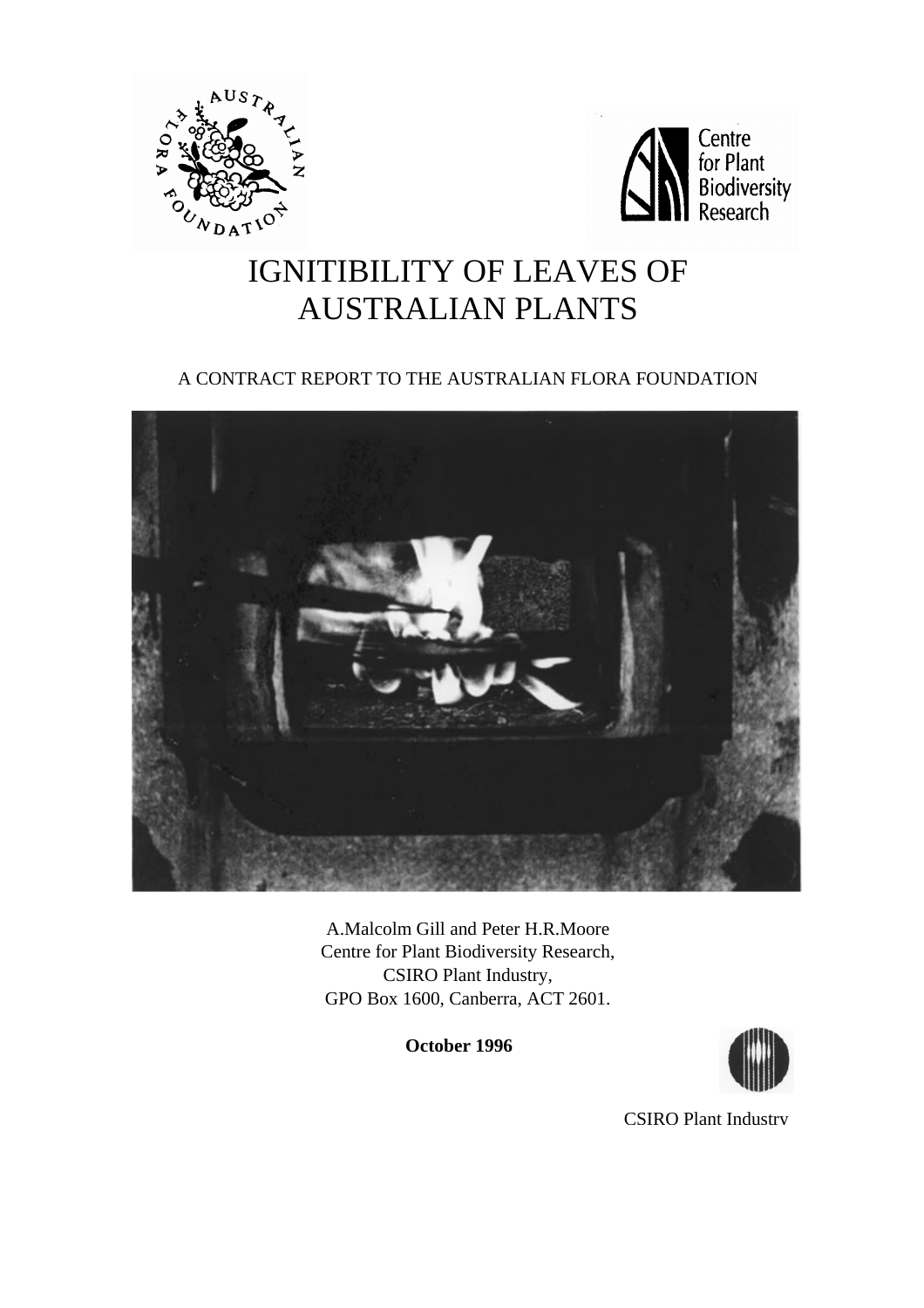



# IGNITIBILITY OF LEAVES OF AUSTRALIAN PLANTS

# A CONTRACT REPORT TO THE AUSTRALIAN FLORA FOUNDATION



A.Malcolm Gill and Peter H.R.Moore Centre for Plant Biodiversity Research, CSIRO Plant Industry, GPO Box 1600, Canberra, ACT 2601.

 **October 1996** 



CSIRO Plant Industry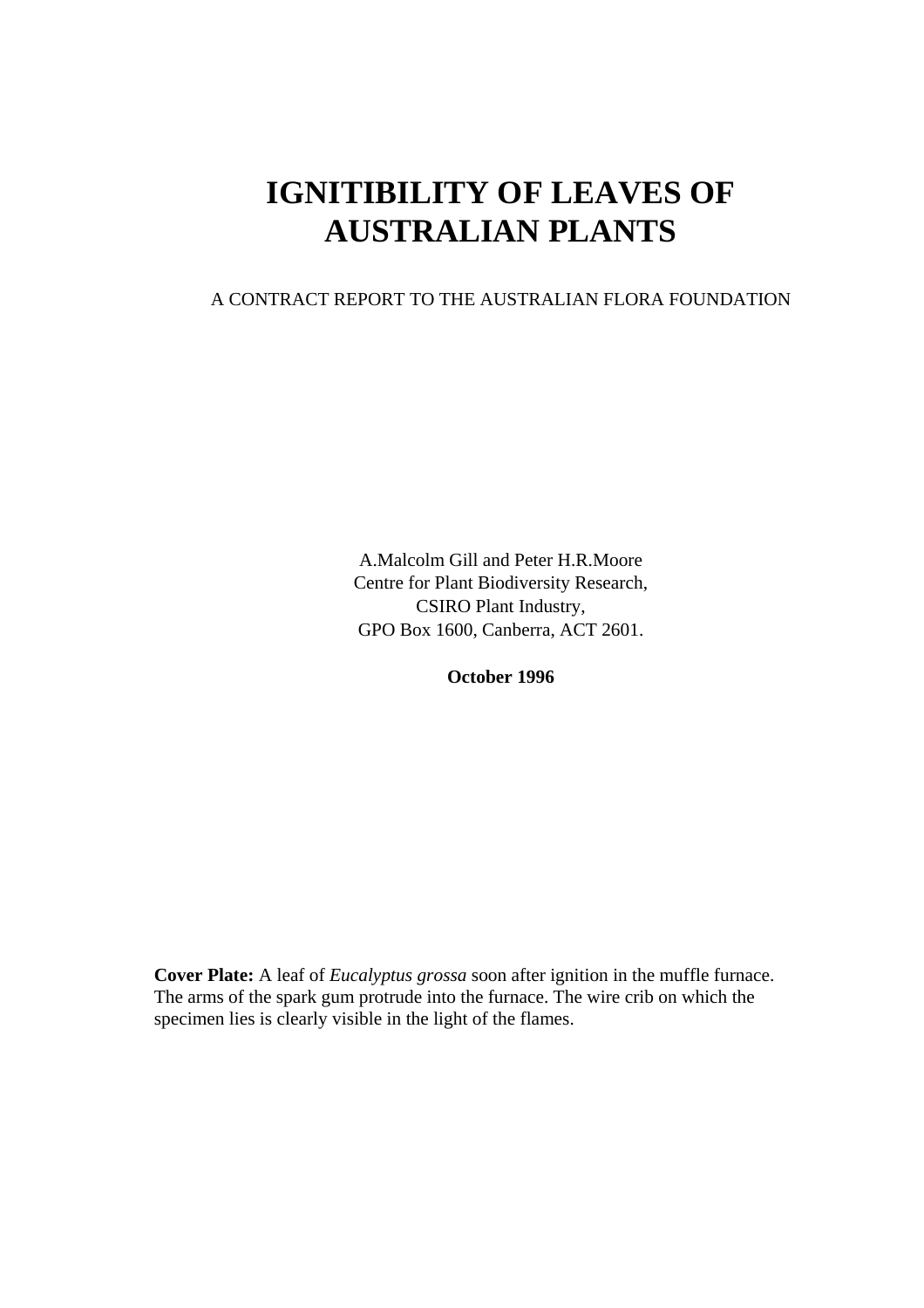# **IGNITIBILITY OF LEAVES OF AUSTRALIAN PLANTS**

# A CONTRACT REPORT TO THE AUSTRALIAN FLORA FOUNDATION

A.Malcolm Gill and Peter H.R.Moore Centre for Plant Biodiversity Research, CSIRO Plant Industry, GPO Box 1600, Canberra, ACT 2601.

**October 1996** 

**Cover Plate:** A leaf of *Eucalyptus grossa* soon after ignition in the muffle furnace. The arms of the spark gum protrude into the furnace. The wire crib on which the specimen lies is clearly visible in the light of the flames.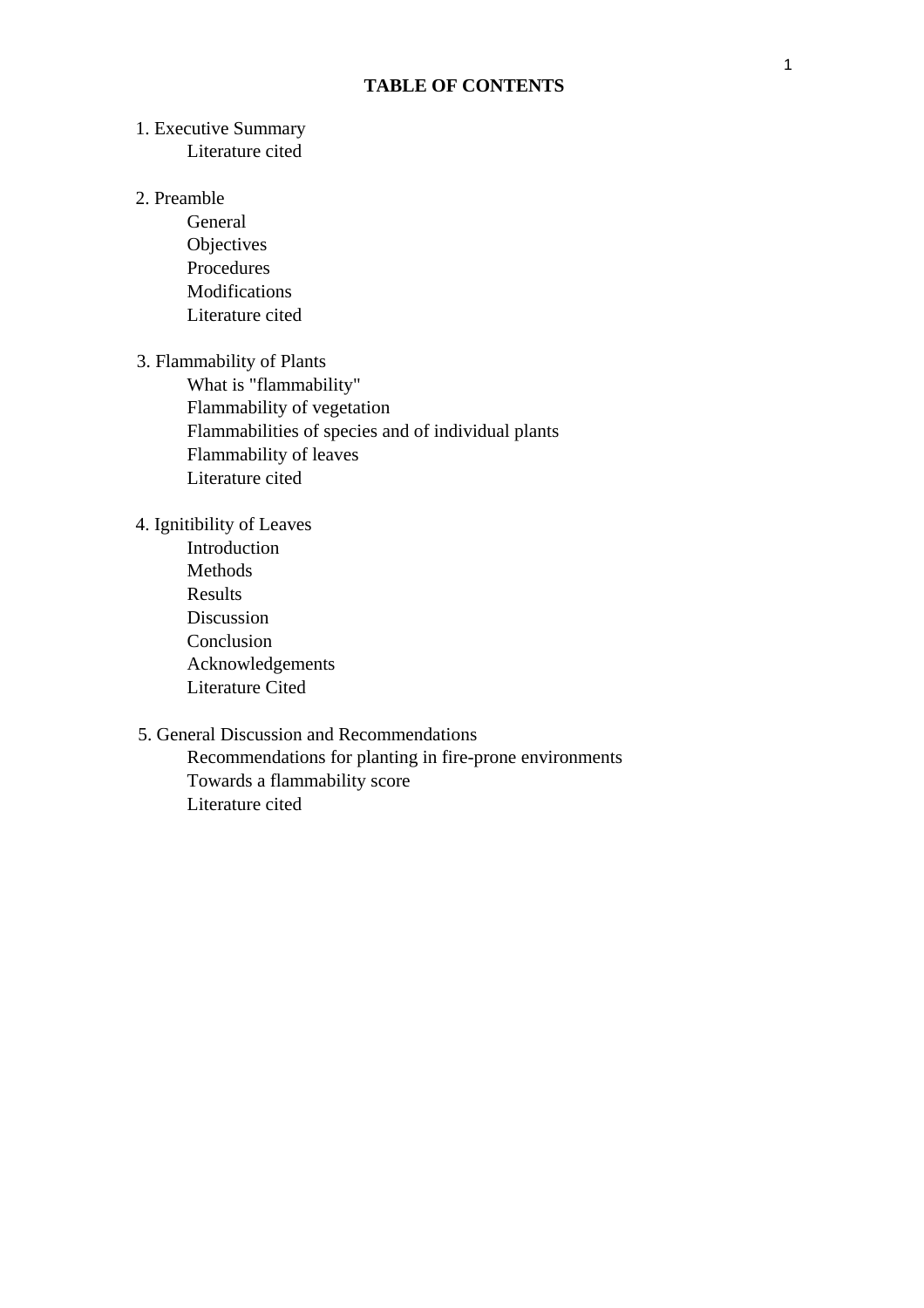# **TABLE OF CONTENTS**

## 1. Executive Summary Literature cited

#### 2. Preamble

General **Objectives** Procedures Modifications Literature cited

#### 3. Flammability of Plants

What is "flammability" Flammability of vegetation Flammabilities of species and of individual plants Flammability of leaves Literature cited

## 4. Ignitibility of Leaves

Introduction Methods Results Discussion Conclusion Acknowledgements Literature Cited

# 5. General Discussion and Recommendations

Recommendations for planting in fire-prone environments Towards a flammability score Literature cited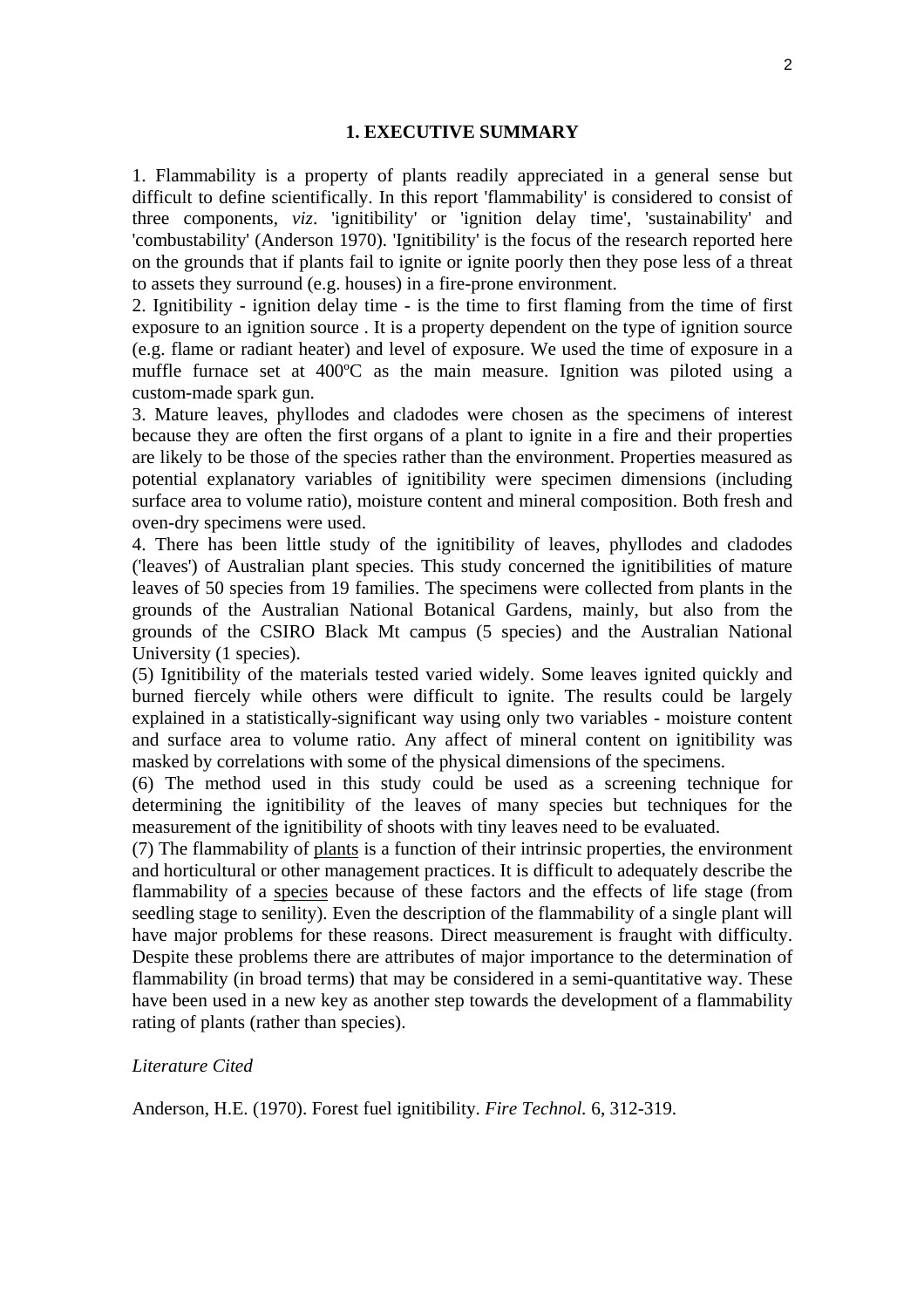#### **1. EXECUTIVE SUMMARY**

1. Flammability is a property of plants readily appreciated in a general sense but difficult to define scientifically. In this report 'flammability' is considered to consist of three components, *viz*. 'ignitibility' or 'ignition delay time', 'sustainability' and 'combustability' (Anderson 1970). 'Ignitibility' is the focus of the research reported here on the grounds that if plants fail to ignite or ignite poorly then they pose less of a threat to assets they surround (e.g. houses) in a fire-prone environment.

2. Ignitibility - ignition delay time - is the time to first flaming from the time of first exposure to an ignition source . It is a property dependent on the type of ignition source (e.g. flame or radiant heater) and level of exposure. We used the time of exposure in a muffle furnace set at 400ºC as the main measure. Ignition was piloted using a custom-made spark gun.

3. Mature leaves, phyllodes and cladodes were chosen as the specimens of interest because they are often the first organs of a plant to ignite in a fire and their properties are likely to be those of the species rather than the environment. Properties measured as potential explanatory variables of ignitibility were specimen dimensions (including surface area to volume ratio), moisture content and mineral composition. Both fresh and oven-dry specimens were used.

4. There has been little study of the ignitibility of leaves, phyllodes and cladodes ('leaves') of Australian plant species. This study concerned the ignitibilities of mature leaves of 50 species from 19 families. The specimens were collected from plants in the grounds of the Australian National Botanical Gardens, mainly, but also from the grounds of the CSIRO Black Mt campus (5 species) and the Australian National University (1 species).

(5) Ignitibility of the materials tested varied widely. Some leaves ignited quickly and burned fiercely while others were difficult to ignite. The results could be largely explained in a statistically-significant way using only two variables - moisture content and surface area to volume ratio. Any affect of mineral content on ignitibility was masked by correlations with some of the physical dimensions of the specimens.

(6) The method used in this study could be used as a screening technique for determining the ignitibility of the leaves of many species but techniques for the measurement of the ignitibility of shoots with tiny leaves need to be evaluated.

(7) The flammability of plants is a function of their intrinsic properties, the environment and horticultural or other management practices. It is difficult to adequately describe the flammability of a species because of these factors and the effects of life stage (from seedling stage to senility). Even the description of the flammability of a single plant will have major problems for these reasons. Direct measurement is fraught with difficulty. Despite these problems there are attributes of major importance to the determination of flammability (in broad terms) that may be considered in a semi-quantitative way. These have been used in a new key as another step towards the development of a flammability rating of plants (rather than species).

#### *Literature Cited*

Anderson, H.E. (1970). Forest fuel ignitibility. *Fire Technol.* 6, 312-319.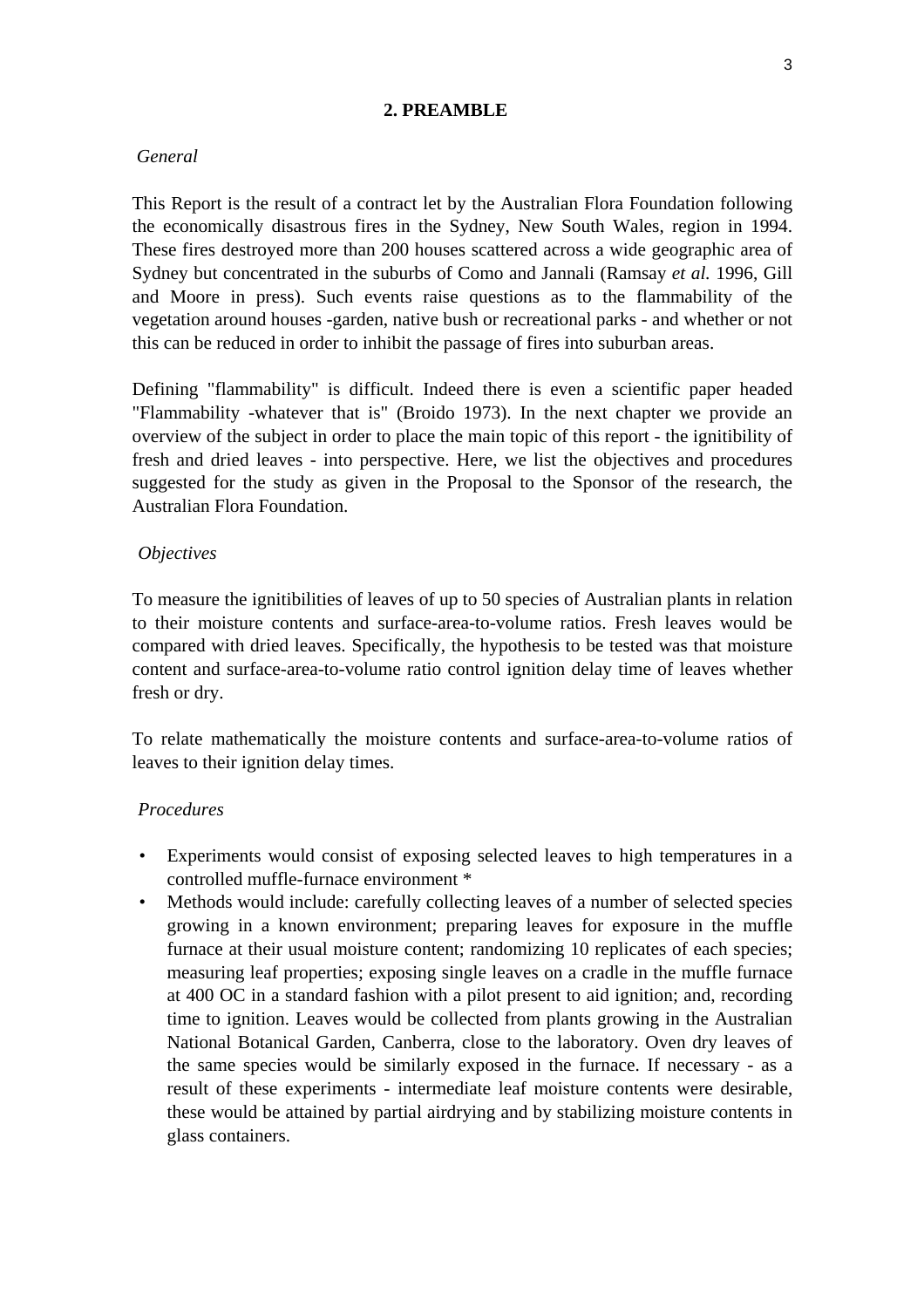# **2. PREAMBLE**

## *General*

This Report is the result of a contract let by the Australian Flora Foundation following the economically disastrous fires in the Sydney, New South Wales, region in 1994. These fires destroyed more than 200 houses scattered across a wide geographic area of Sydney but concentrated in the suburbs of Como and Jannali (Ramsay *et al.* 1996, Gill and Moore in press). Such events raise questions as to the flammability of the vegetation around houses -garden, native bush or recreational parks - and whether or not this can be reduced in order to inhibit the passage of fires into suburban areas.

Defining "flammability" is difficult. Indeed there is even a scientific paper headed "Flammability -whatever that is" (Broido 1973). In the next chapter we provide an overview of the subject in order to place the main topic of this report - the ignitibility of fresh and dried leaves - into perspective. Here, we list the objectives and procedures suggested for the study as given in the Proposal to the Sponsor of the research, the Australian Flora Foundation.

# *Objectives*

To measure the ignitibilities of leaves of up to 50 species of Australian plants in relation to their moisture contents and surface-area-to-volume ratios. Fresh leaves would be compared with dried leaves. Specifically, the hypothesis to be tested was that moisture content and surface-area-to-volume ratio control ignition delay time of leaves whether fresh or dry.

To relate mathematically the moisture contents and surface-area-to-volume ratios of leaves to their ignition delay times.

# *Procedures*

- Experiments would consist of exposing selected leaves to high temperatures in a controlled muffle-furnace environment \*
- Methods would include: carefully collecting leaves of a number of selected species growing in a known environment; preparing leaves for exposure in the muffle furnace at their usual moisture content; randomizing 10 replicates of each species; measuring leaf properties; exposing single leaves on a cradle in the muffle furnace at 400 OC in a standard fashion with a pilot present to aid ignition; and, recording time to ignition. Leaves would be collected from plants growing in the Australian National Botanical Garden, Canberra, close to the laboratory. Oven dry leaves of the same species would be similarly exposed in the furnace. If necessary - as a result of these experiments - intermediate leaf moisture contents were desirable, these would be attained by partial airdrying and by stabilizing moisture contents in glass containers.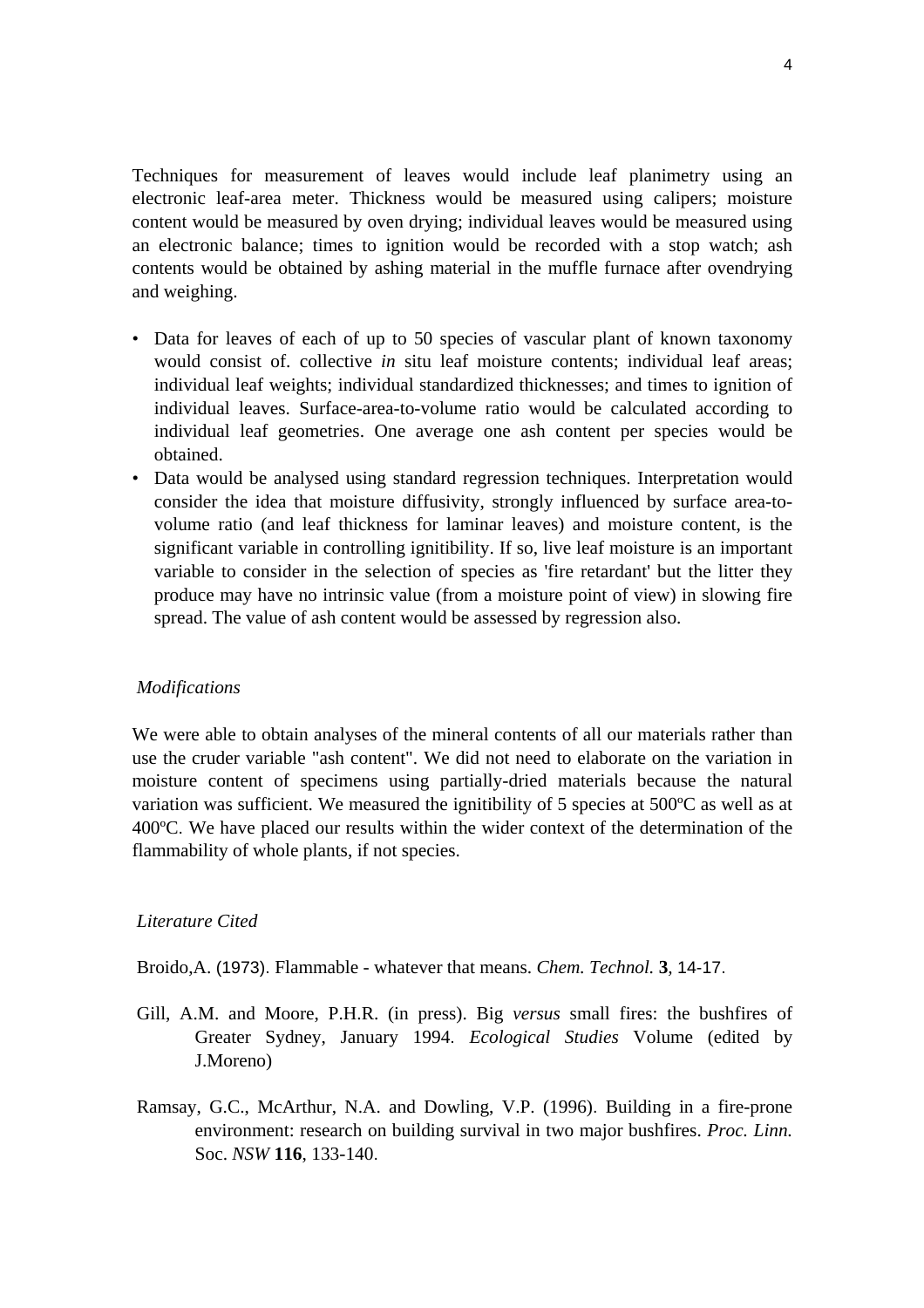Techniques for measurement of leaves would include leaf planimetry using an electronic leaf-area meter. Thickness would be measured using calipers; moisture content would be measured by oven drying; individual leaves would be measured using an electronic balance; times to ignition would be recorded with a stop watch; ash contents would be obtained by ashing material in the muffle furnace after ovendrying and weighing.

- Data for leaves of each of up to 50 species of vascular plant of known taxonomy would consist of. collective *in* situ leaf moisture contents; individual leaf areas; individual leaf weights; individual standardized thicknesses; and times to ignition of individual leaves. Surface-area-to-volume ratio would be calculated according to individual leaf geometries. One average one ash content per species would be obtained.
- Data would be analysed using standard regression techniques. Interpretation would consider the idea that moisture diffusivity, strongly influenced by surface area-tovolume ratio (and leaf thickness for laminar leaves) and moisture content, is the significant variable in controlling ignitibility. If so, live leaf moisture is an important variable to consider in the selection of species as 'fire retardant' but the litter they produce may have no intrinsic value (from a moisture point of view) in slowing fire spread. The value of ash content would be assessed by regression also.

# *Modifications*

We were able to obtain analyses of the mineral contents of all our materials rather than use the cruder variable "ash content". We did not need to elaborate on the variation in moisture content of specimens using partially-dried materials because the natural variation was sufficient. We measured the ignitibility of 5 species at 500ºC as well as at 400ºC. We have placed our results within the wider context of the determination of the flammability of whole plants, if not species.

#### *Literature Cited*

Broido,A. (1973). Flammable - whatever that means. *Chem. Technol.* **3***,* 14-17.

- Gill, A.M. and Moore, P.H.R. (in press). Big *versus* small fires: the bushfires of Greater Sydney, January 1994. *Ecological Studies* Volume (edited by J.Moreno)
- Ramsay, G.C., McArthur, N.A. and Dowling, V.P. (1996). Building in a fire-prone environment: research on building survival in two major bushfires. *Proc. Linn.*  Soc. *NSW* **116**, 133-140.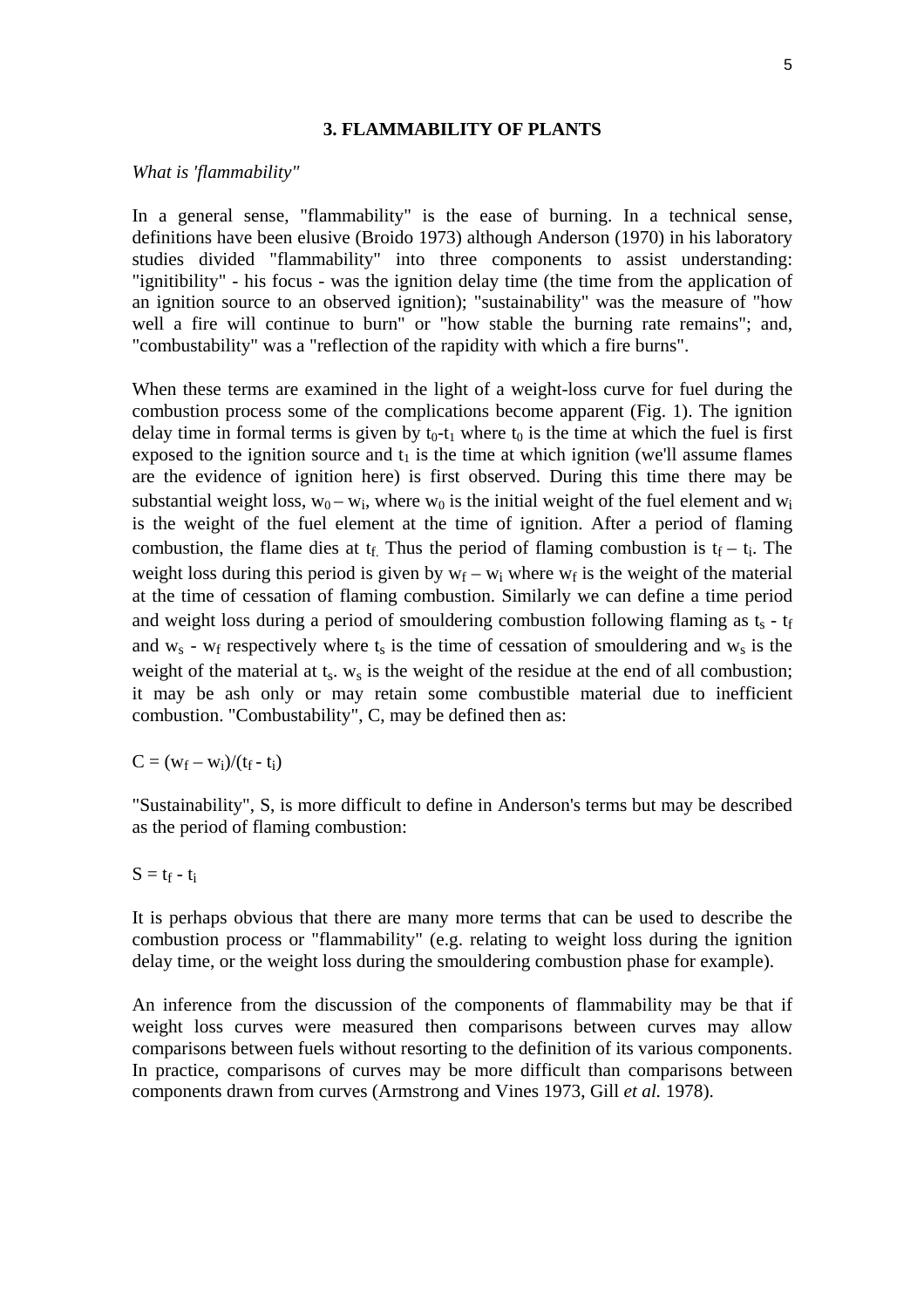#### **3. FLAMMABILITY OF PLANTS**

#### *What is 'flammability"*

In a general sense, "flammability" is the ease of burning. In a technical sense, definitions have been elusive (Broido 1973) although Anderson (1970) in his laboratory studies divided "flammability" into three components to assist understanding: "ignitibility" - his focus - was the ignition delay time (the time from the application of an ignition source to an observed ignition); "sustainability" was the measure of "how well a fire will continue to burn" or "how stable the burning rate remains"; and, "combustability" was a "reflection of the rapidity with which a fire burns".

When these terms are examined in the light of a weight-loss curve for fuel during the combustion process some of the complications become apparent (Fig. 1). The ignition delay time in formal terms is given by  $t_0-t_1$  where  $t_0$  is the time at which the fuel is first exposed to the ignition source and  $t_1$  is the time at which ignition (we'll assume flames are the evidence of ignition here) is first observed. During this time there may be substantial weight loss,  $w_0 - w_i$ , where  $w_0$  is the initial weight of the fuel element and  $w_i$ is the weight of the fuel element at the time of ignition. After a period of flaming combustion, the flame dies at  $t_f$ . Thus the period of flaming combustion is  $t_f - t_i$ . The weight loss during this period is given by  $w_f - w_i$  where  $w_f$  is the weight of the material at the time of cessation of flaming combustion. Similarly we can define a time period and weight loss during a period of smouldering combustion following flaming as  $t_s - t_f$ and  $w_s$  -  $w_f$  respectively where  $t_s$  is the time of cessation of smouldering and  $w_s$  is the weight of the material at  $t_s$ .  $w_s$  is the weight of the residue at the end of all combustion; it may be ash only or may retain some combustible material due to inefficient combustion. "Combustability", C, may be defined then as:

$$
C=(w_f-w_i)/(t_f-t_i)
$$

"Sustainability", S, is more difficult to define in Anderson's terms but may be described as the period of flaming combustion:

$$
S = t_f \mathbin{\text{-}} t_i
$$

It is perhaps obvious that there are many more terms that can be used to describe the combustion process or "flammability" (e.g. relating to weight loss during the ignition delay time, or the weight loss during the smouldering combustion phase for example).

An inference from the discussion of the components of flammability may be that if weight loss curves were measured then comparisons between curves may allow comparisons between fuels without resorting to the definition of its various components. In practice, comparisons of curves may be more difficult than comparisons between components drawn from curves (Armstrong and Vines 1973, Gill *et al.* 1978).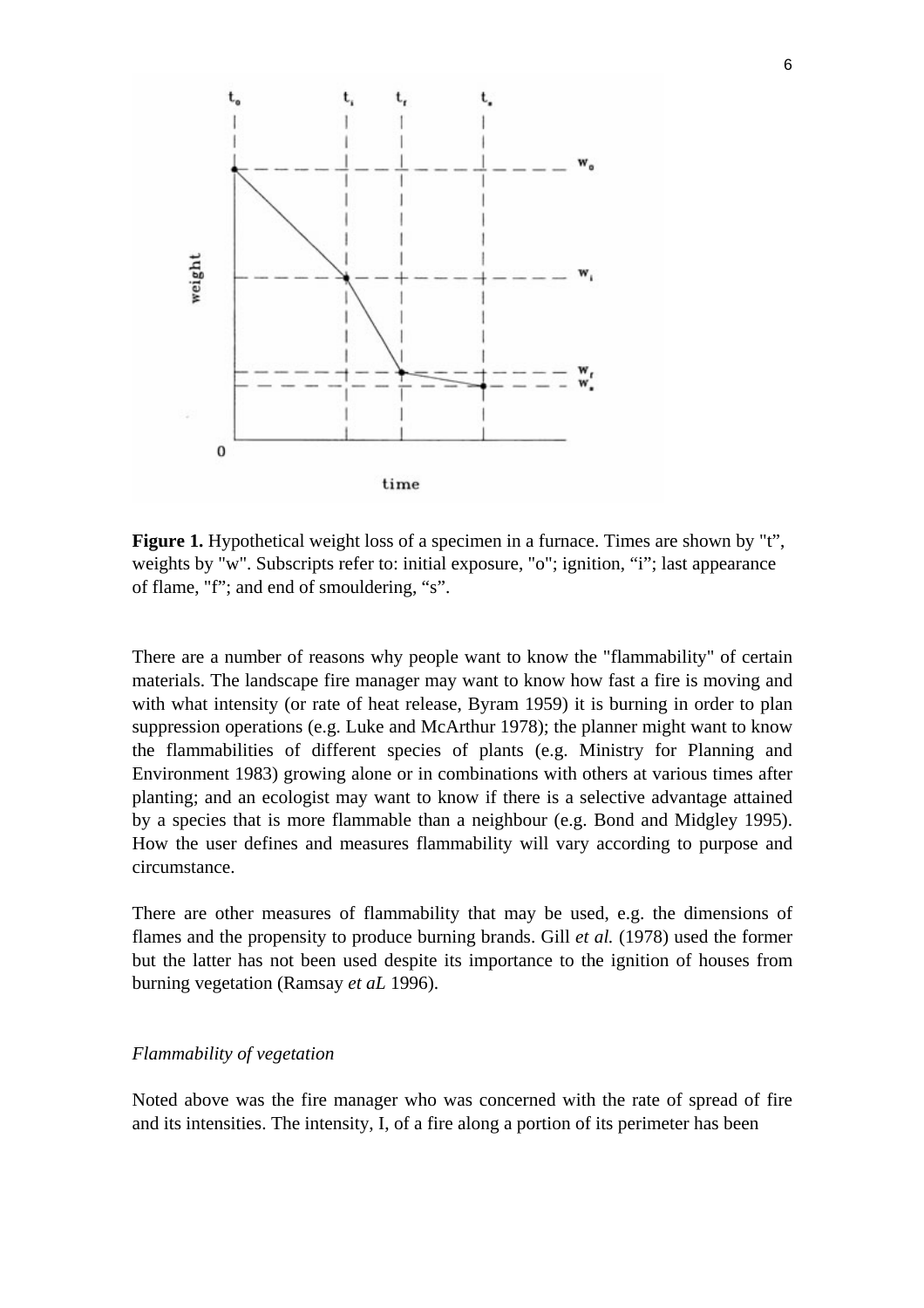

**Figure 1.** Hypothetical weight loss of a specimen in a furnace. Times are shown by "t", weights by "w". Subscripts refer to: initial exposure, "o"; ignition, "i"; last appearance of flame, "f"; and end of smouldering, "s".

There are a number of reasons why people want to know the "flammability" of certain materials. The landscape fire manager may want to know how fast a fire is moving and with what intensity (or rate of heat release, Byram 1959) it is burning in order to plan suppression operations (e.g. Luke and McArthur 1978); the planner might want to know the flammabilities of different species of plants (e.g. Ministry for Planning and Environment 1983) growing alone or in combinations with others at various times after planting; and an ecologist may want to know if there is a selective advantage attained by a species that is more flammable than a neighbour (e.g. Bond and Midgley 1995). How the user defines and measures flammability will vary according to purpose and circumstance.

There are other measures of flammability that may be used, e.g. the dimensions of flames and the propensity to produce burning brands. Gill *et al.* (1978) used the former but the latter has not been used despite its importance to the ignition of houses from burning vegetation (Ramsay *et aL* 1996).

#### *Flammability of vegetation*

Noted above was the fire manager who was concerned with the rate of spread of fire and its intensities. The intensity, I, of a fire along a portion of its perimeter has been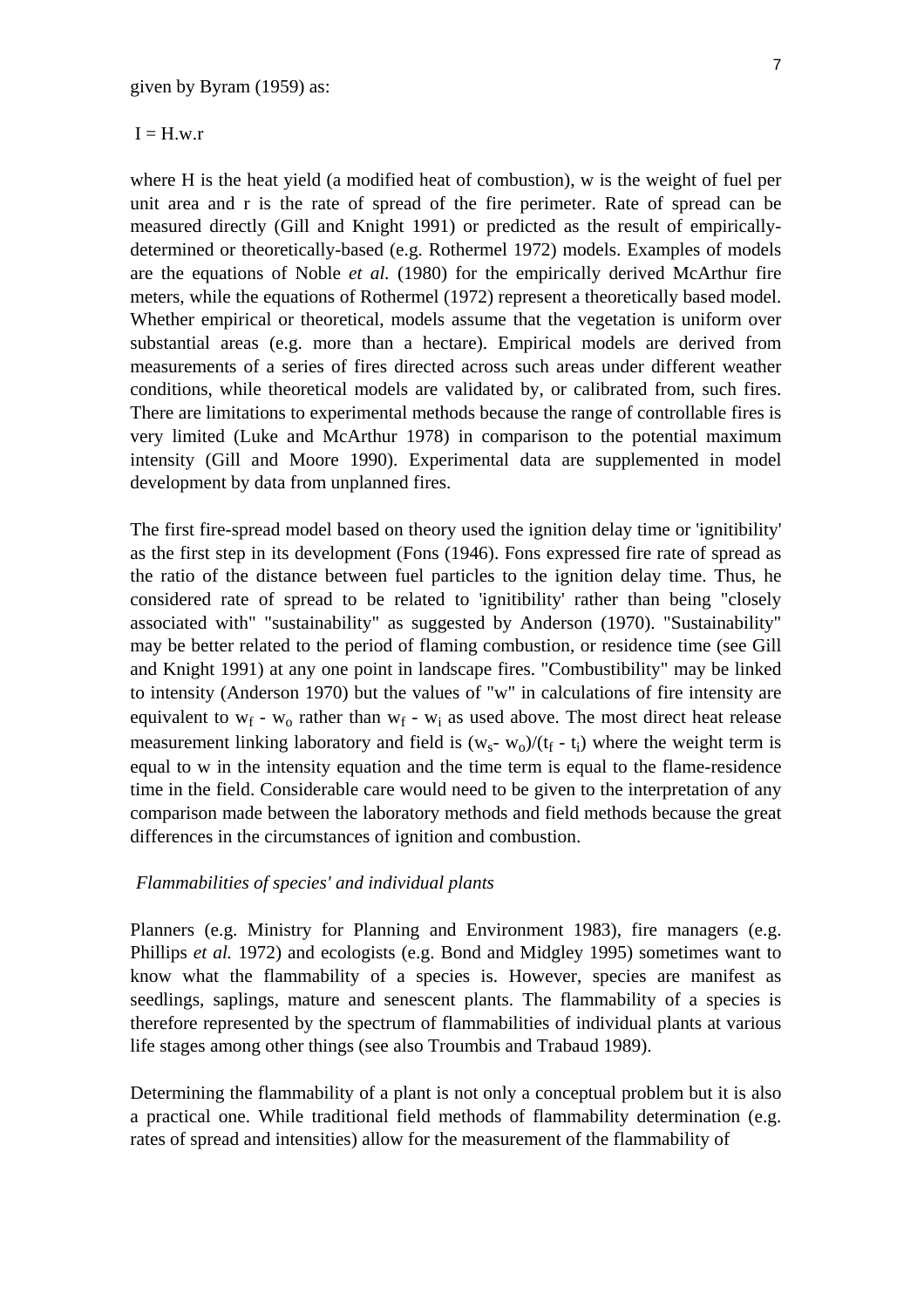#### $I = H.w.r$

where H is the heat yield (a modified heat of combustion), w is the weight of fuel per unit area and r is the rate of spread of the fire perimeter. Rate of spread can be measured directly (Gill and Knight 1991) or predicted as the result of empiricallydetermined or theoretically-based (e.g. Rothermel 1972) models. Examples of models are the equations of Noble *et al.* (1980) for the empirically derived McArthur fire meters, while the equations of Rothermel (1972) represent a theoretically based model. Whether empirical or theoretical, models assume that the vegetation is uniform over substantial areas (e.g. more than a hectare). Empirical models are derived from measurements of a series of fires directed across such areas under different weather conditions, while theoretical models are validated by, or calibrated from, such fires. There are limitations to experimental methods because the range of controllable fires is very limited (Luke and McArthur 1978) in comparison to the potential maximum intensity (Gill and Moore 1990). Experimental data are supplemented in model development by data from unplanned fires.

The first fire-spread model based on theory used the ignition delay time or 'ignitibility' as the first step in its development (Fons (1946). Fons expressed fire rate of spread as the ratio of the distance between fuel particles to the ignition delay time. Thus, he considered rate of spread to be related to 'ignitibility' rather than being "closely associated with" "sustainability" as suggested by Anderson (1970). "Sustainability" may be better related to the period of flaming combustion, or residence time (see Gill and Knight 1991) at any one point in landscape fires. "Combustibility" may be linked to intensity (Anderson 1970) but the values of "w" in calculations of fire intensity are equivalent to  $w_f - w_o$  rather than  $w_f - w_i$  as used above. The most direct heat release measurement linking laboratory and field is  $(w_s - w_0)/(t_f - t_i)$  where the weight term is equal to w in the intensity equation and the time term is equal to the flame-residence time in the field. Considerable care would need to be given to the interpretation of any comparison made between the laboratory methods and field methods because the great differences in the circumstances of ignition and combustion.

## *Flammabilities of species' and individual plants*

Planners (e.g. Ministry for Planning and Environment 1983), fire managers (e.g. Phillips *et al.* 1972) and ecologists (e.g. Bond and Midgley 1995) sometimes want to know what the flammability of a species is. However, species are manifest as seedlings, saplings, mature and senescent plants. The flammability of a species is therefore represented by the spectrum of flammabilities of individual plants at various life stages among other things (see also Troumbis and Trabaud 1989).

Determining the flammability of a plant is not only a conceptual problem but it is also a practical one. While traditional field methods of flammability determination (e.g. rates of spread and intensities) allow for the measurement of the flammability of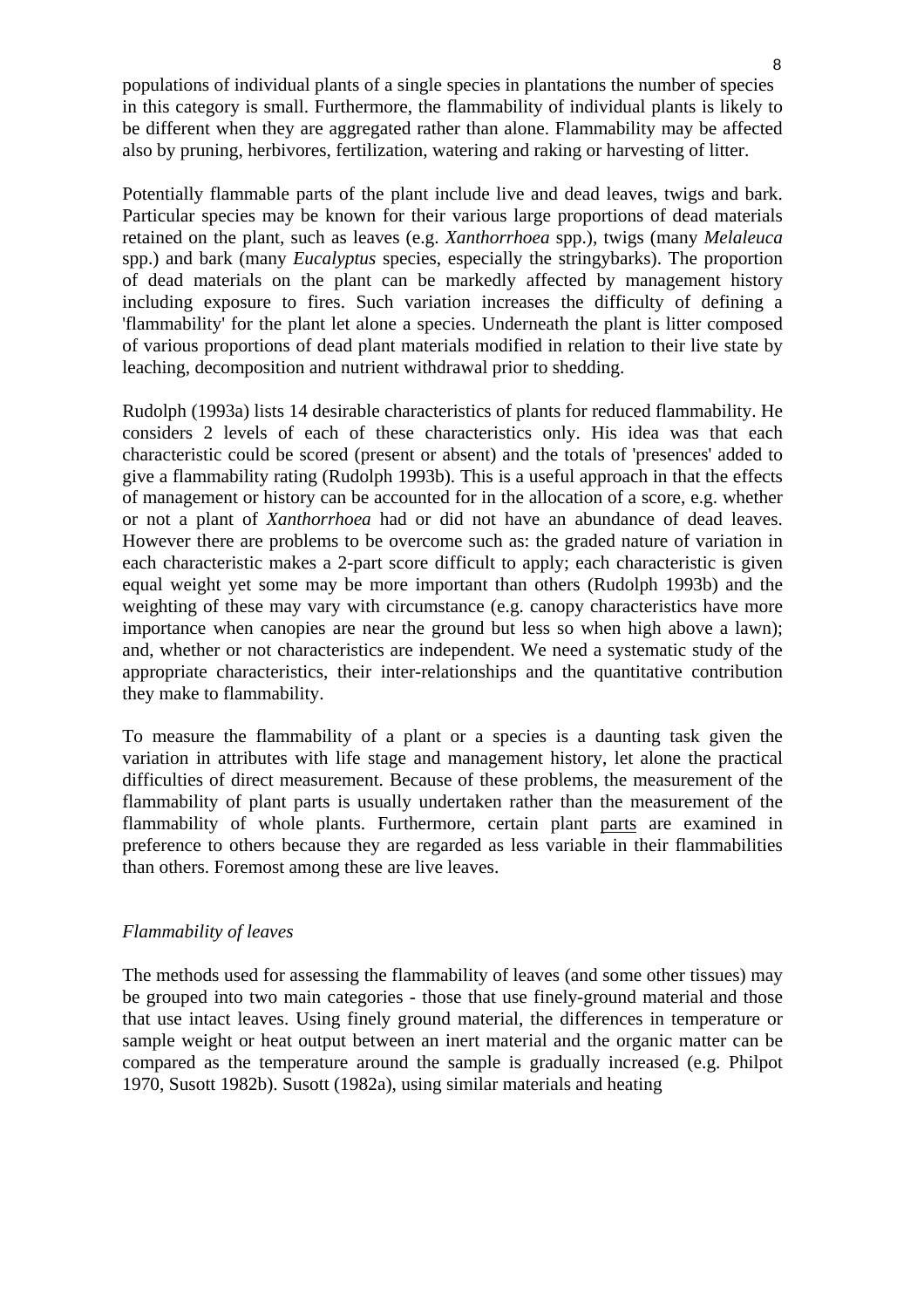populations of individual plants of a single species in plantations the number of species in this category is small. Furthermore, the flammability of individual plants is likely to be different when they are aggregated rather than alone. Flammability may be affected also by pruning, herbivores, fertilization, watering and raking or harvesting of litter.

Potentially flammable parts of the plant include live and dead leaves, twigs and bark. Particular species may be known for their various large proportions of dead materials retained on the plant, such as leaves (e.g. *Xanthorrhoea* spp.), twigs (many *Melaleuca*  spp.) and bark (many *Eucalyptus* species, especially the stringybarks). The proportion of dead materials on the plant can be markedly affected by management history including exposure to fires. Such variation increases the difficulty of defining a 'flammability' for the plant let alone a species. Underneath the plant is litter composed of various proportions of dead plant materials modified in relation to their live state by leaching, decomposition and nutrient withdrawal prior to shedding.

Rudolph (1993a) lists 14 desirable characteristics of plants for reduced flammability. He considers 2 levels of each of these characteristics only. His idea was that each characteristic could be scored (present or absent) and the totals of 'presences' added to give a flammability rating (Rudolph 1993b). This is a useful approach in that the effects of management or history can be accounted for in the allocation of a score, e.g. whether or not a plant of *Xanthorrhoea* had or did not have an abundance of dead leaves. However there are problems to be overcome such as: the graded nature of variation in each characteristic makes a 2-part score difficult to apply; each characteristic is given equal weight yet some may be more important than others (Rudolph 1993b) and the weighting of these may vary with circumstance (e.g. canopy characteristics have more importance when canopies are near the ground but less so when high above a lawn); and, whether or not characteristics are independent. We need a systematic study of the appropriate characteristics, their inter-relationships and the quantitative contribution they make to flammability.

To measure the flammability of a plant or a species is a daunting task given the variation in attributes with life stage and management history, let alone the practical difficulties of direct measurement. Because of these problems, the measurement of the flammability of plant parts is usually undertaken rather than the measurement of the flammability of whole plants. Furthermore, certain plant parts are examined in preference to others because they are regarded as less variable in their flammabilities than others. Foremost among these are live leaves.

#### *Flammability of leaves*

The methods used for assessing the flammability of leaves (and some other tissues) may be grouped into two main categories - those that use finely-ground material and those that use intact leaves. Using finely ground material, the differences in temperature or sample weight or heat output between an inert material and the organic matter can be compared as the temperature around the sample is gradually increased (e.g. Philpot 1970, Susott 1982b). Susott (1982a), using similar materials and heating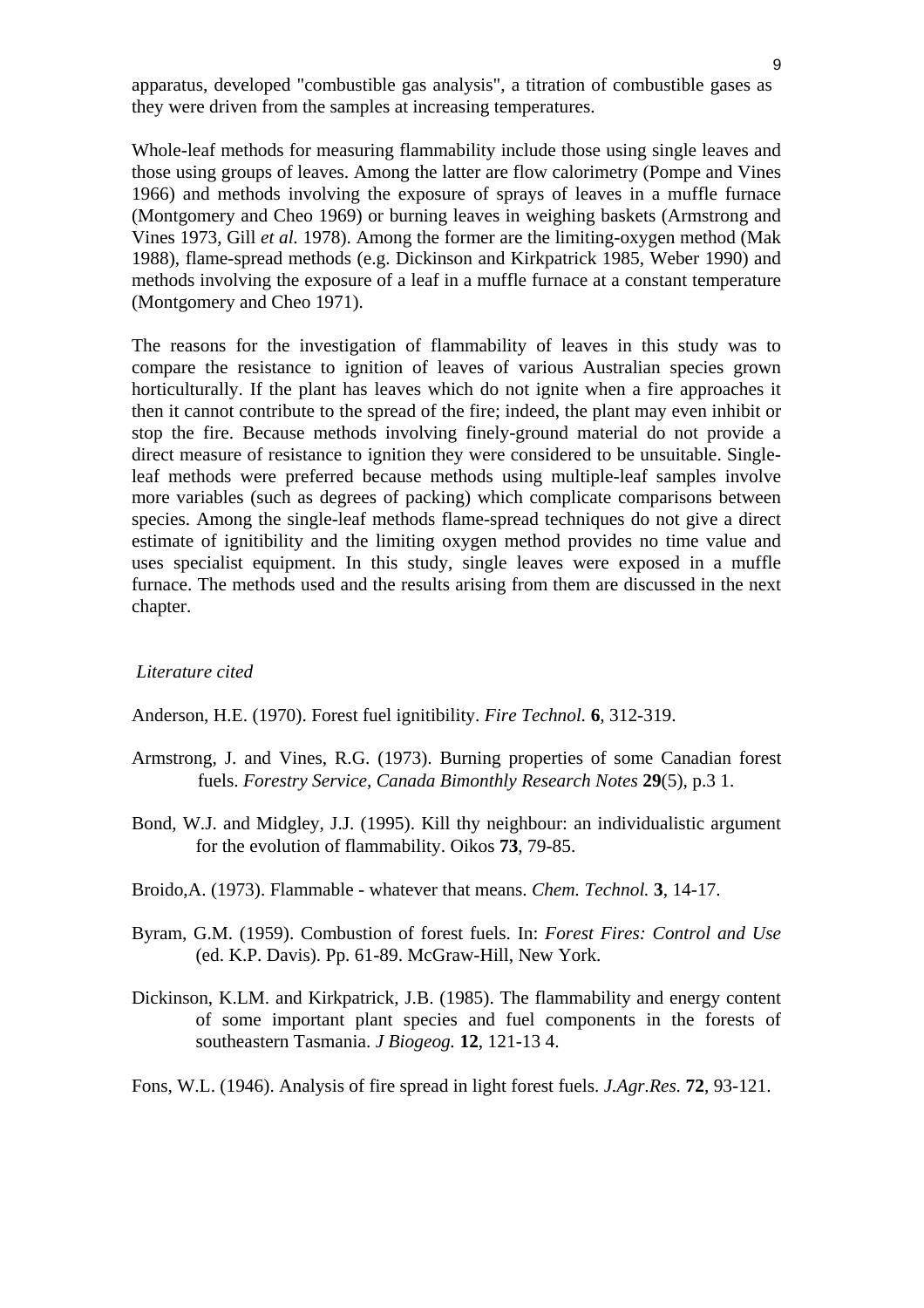apparatus, developed "combustible gas analysis", a titration of combustible gases as they were driven from the samples at increasing temperatures.

Whole-leaf methods for measuring flammability include those using single leaves and those using groups of leaves. Among the latter are flow calorimetry (Pompe and Vines 1966) and methods involving the exposure of sprays of leaves in a muffle furnace (Montgomery and Cheo 1969) or burning leaves in weighing baskets (Armstrong and Vines 1973, Gill *et al.* 1978). Among the former are the limiting-oxygen method (Mak 1988), flame-spread methods (e.g. Dickinson and Kirkpatrick 1985, Weber 1990) and methods involving the exposure of a leaf in a muffle furnace at a constant temperature (Montgomery and Cheo 1971).

The reasons for the investigation of flammability of leaves in this study was to compare the resistance to ignition of leaves of various Australian species grown horticulturally. If the plant has leaves which do not ignite when a fire approaches it then it cannot contribute to the spread of the fire; indeed, the plant may even inhibit or stop the fire. Because methods involving finely-ground material do not provide a direct measure of resistance to ignition they were considered to be unsuitable. Singleleaf methods were preferred because methods using multiple-leaf samples involve more variables (such as degrees of packing) which complicate comparisons between species. Among the single-leaf methods flame-spread techniques do not give a direct estimate of ignitibility and the limiting oxygen method provides no time value and uses specialist equipment. In this study, single leaves were exposed in a muffle furnace. The methods used and the results arising from them are discussed in the next chapter.

#### *Literature cited*

Anderson, H.E. (1970). Forest fuel ignitibility. *Fire Technol.* **6***,* 312-319.

- Armstrong, J. and Vines, R.G. (1973). Burning properties of some Canadian forest fuels. *Forestry Service, Canada Bimonthly Research Notes* **29**(5), p.3 1.
- Bond, W.J. and Midgley, J.J. (1995). Kill thy neighbour: an individualistic argument for the evolution of flammability. Oikos **73**, 79-85.
- Broido,A. (1973). Flammable whatever that means. *Chem. Technol.* **3**, 14-17.
- Byram, G.M. (1959). Combustion of forest fuels. In: *Forest Fires: Control and Use*  (ed. K.P. Davis). Pp. 61-89. McGraw-Hill, New York.
- Dickinson, K.LM. and Kirkpatrick, J.B. (1985). The flammability and energy content of some important plant species and fuel components in the forests of southeastern Tasmania. *J Biogeog.* **12**, 121-13 4.
- Fons, W.L. (1946). Analysis of fire spread in light forest fuels. *J.Agr.Res.* **72**, 93-121.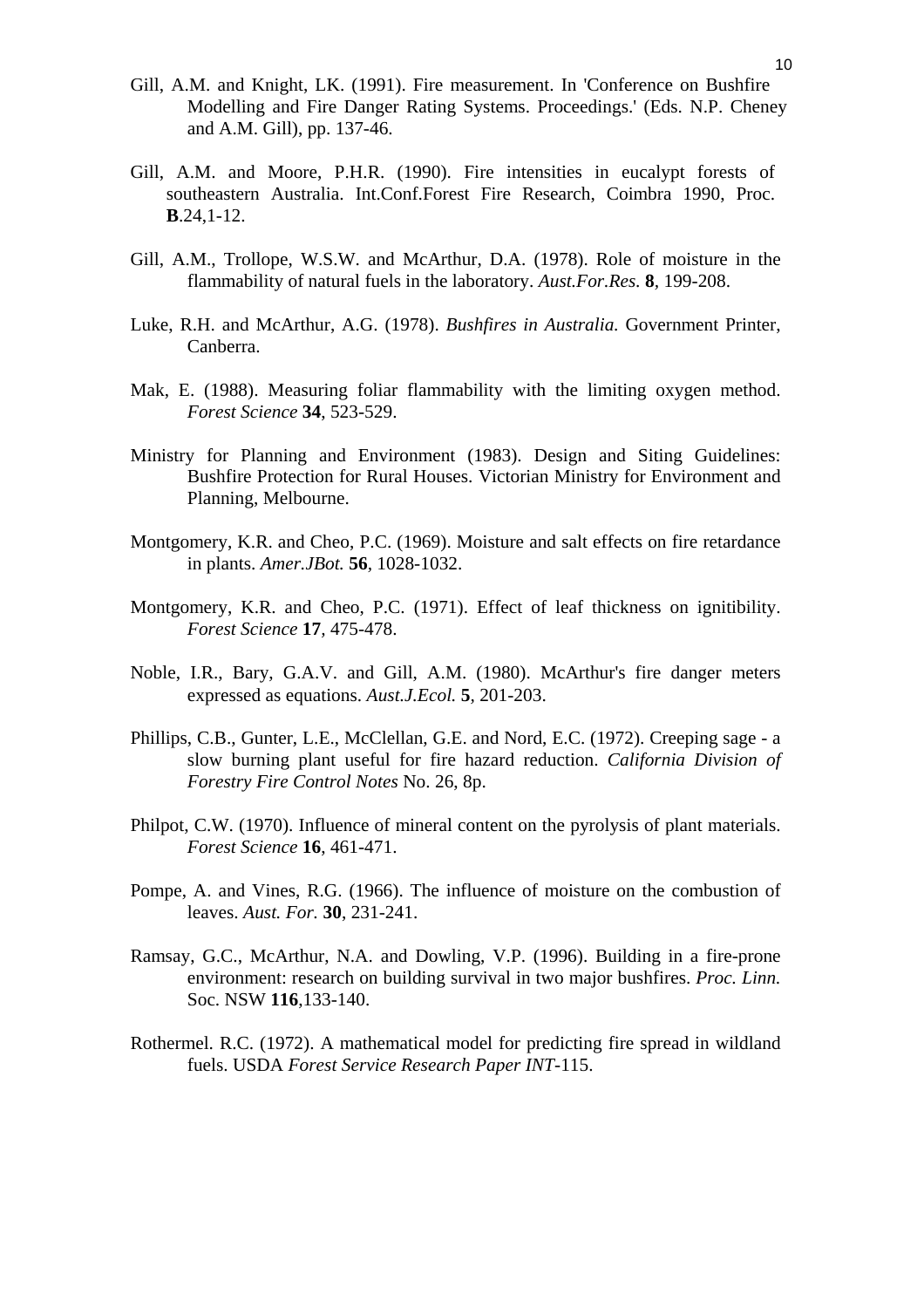- Gill, A.M. and Knight, LK. (1991). Fire measurement. In 'Conference on Bushfire Modelling and Fire Danger Rating Systems. Proceedings.' (Eds. N.P. Cheney and A.M. Gill), pp. 137-46.
- Gill, A.M. and Moore, P.H.R. (1990). Fire intensities in eucalypt forests of southeastern Australia. Int.Conf.Forest Fire Research, Coimbra 1990, Proc. **B**.24,1-12.
- Gill, A.M., Trollope, W.S.W. and McArthur, D.A. (1978). Role of moisture in the flammability of natural fuels in the laboratory. *Aust.For.Res.* **8***,* 199-208.
- Luke, R.H. and McArthur, A.G. (1978). *Bushfires in Australia.* Government Printer, Canberra.
- Mak, E. (1988). Measuring foliar flammability with the limiting oxygen method. *Forest Science* **34**, 523-529.
- Ministry for Planning and Environment (1983). Design and Siting Guidelines: Bushfire Protection for Rural Houses. Victorian Ministry for Environment and Planning, Melbourne.
- Montgomery, K.R. and Cheo, P.C. (1969). Moisture and salt effects on fire retardance in plants. *Amer.JBot.* **56***,* 1028-1032.
- Montgomery, K.R. and Cheo, P.C. (1971). Effect of leaf thickness on ignitibility. *Forest Science* **17***,* 475-478.
- Noble, I.R., Bary, G.A.V. and Gill, A.M. (1980). McArthur's fire danger meters expressed as equations. *Aust.J.Ecol.* **5***,* 201-203.
- Phillips, C.B., Gunter, L.E., McClellan, G.E. and Nord, E.C. (1972). Creeping sage a slow burning plant useful for fire hazard reduction. *California Division of Forestry Fire Control Notes* No. 26, 8p.
- Philpot, C.W. (1970). Influence of mineral content on the pyrolysis of plant materials. *Forest Science* **16**, 461-471.
- Pompe, A. and Vines, R.G. (1966). The influence of moisture on the combustion of leaves. *Aust. For.* **30**, 231-241.
- Ramsay, G.C., McArthur, N.A. and Dowling, V.P. (1996). Building in a fire-prone environment: research on building survival in two major bushfires. *Proc. Linn.*  Soc. NSW **116**,133-140.
- Rothermel. R.C. (1972). A mathematical model for predicting fire spread in wildland fuels. USDA *Forest Service Research Paper INT-*115.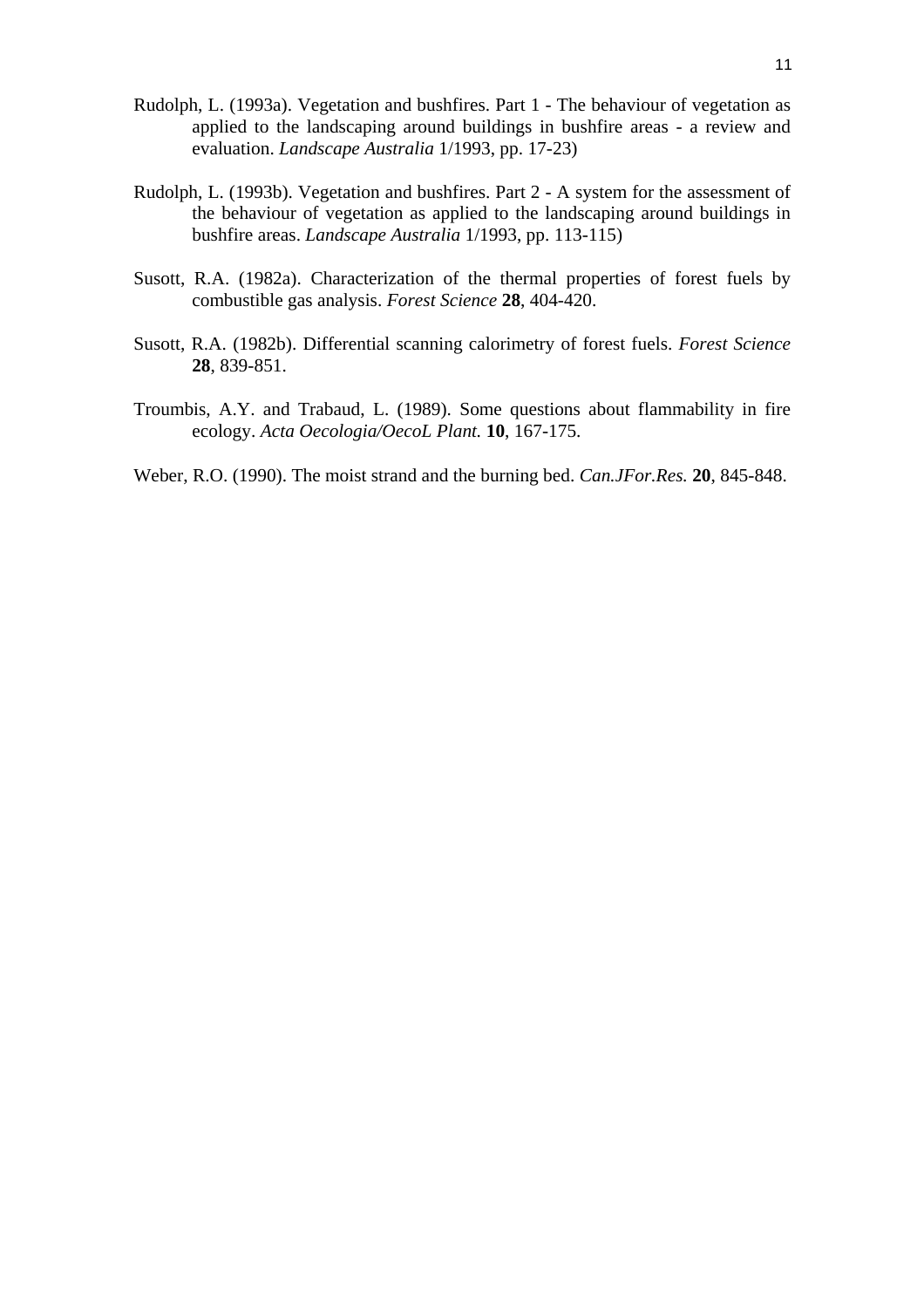- Rudolph, L. (1993a). Vegetation and bushfires. Part 1 The behaviour of vegetation as applied to the landscaping around buildings in bushfire areas - a review and evaluation. *Landscape Australia* 1/1993, pp. 17-23)
- Rudolph, L. (1993b). Vegetation and bushfires. Part 2 A system for the assessment of the behaviour of vegetation as applied to the landscaping around buildings in bushfire areas. *Landscape Australia* 1/1993, pp. 113-115)
- Susott, R.A. (1982a). Characterization of the thermal properties of forest fuels by combustible gas analysis. *Forest Science* **28**, 404-420.
- Susott, R.A. (1982b). Differential scanning calorimetry of forest fuels. *Forest Science*  **28**, 839-851.
- Troumbis, A.Y. and Trabaud, L. (1989). Some questions about flammability in fire ecology. *Acta Oecologia/OecoL Plant.* **10**, 167-175.
- Weber, R.O. (1990). The moist strand and the burning bed. *Can.JFor.Res.* **20**, 845-848.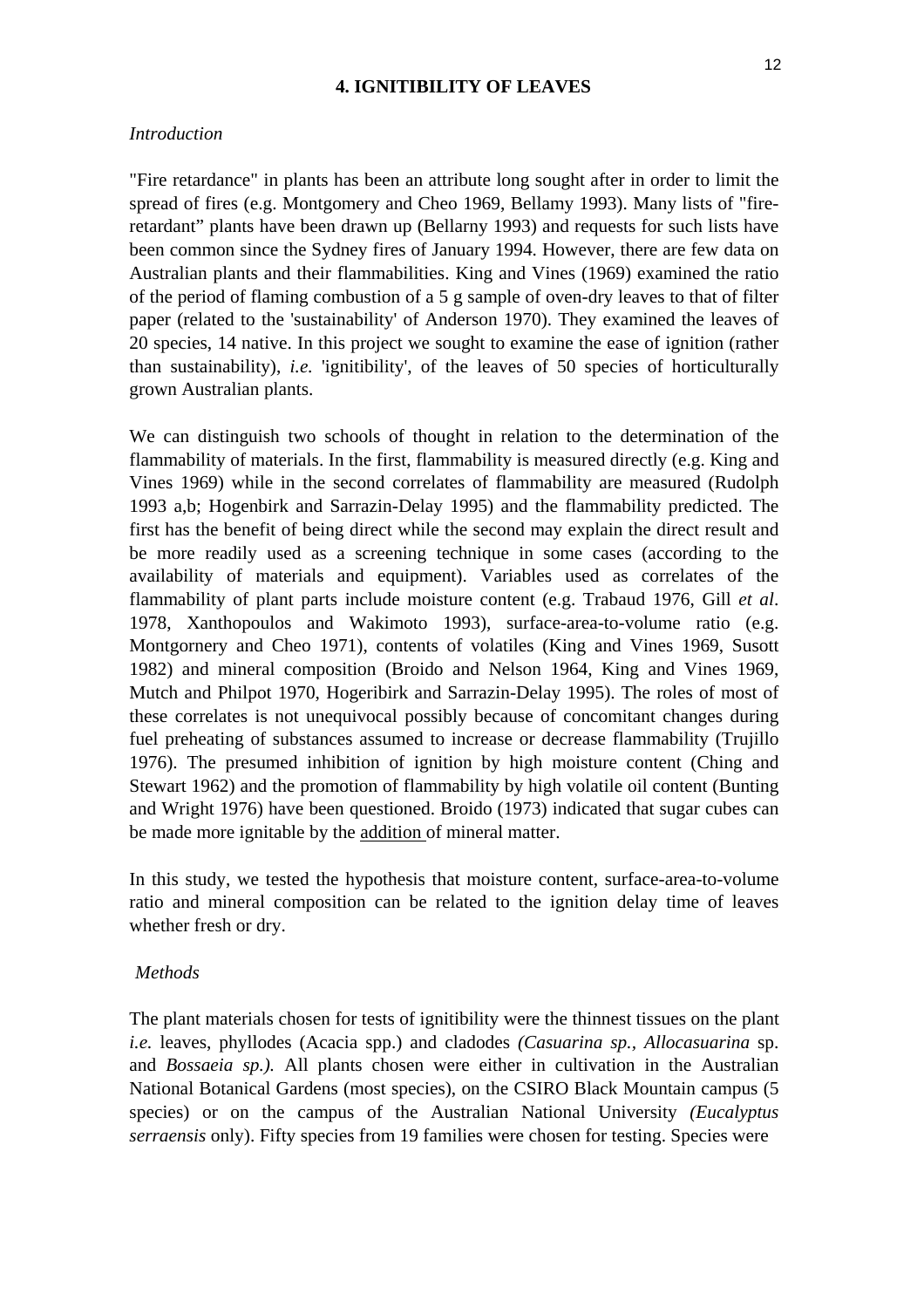#### **4. IGNITIBILITY OF LEAVES**

#### *Introduction*

"Fire retardance" in plants has been an attribute long sought after in order to limit the spread of fires (e.g. Montgomery and Cheo 1969, Bellamy 1993). Many lists of "fireretardant" plants have been drawn up (Bellarny 1993) and requests for such lists have been common since the Sydney fires of January 1994. However, there are few data on Australian plants and their flammabilities. King and Vines (1969) examined the ratio of the period of flaming combustion of a 5 g sample of oven-dry leaves to that of filter paper (related to the 'sustainability' of Anderson 1970). They examined the leaves of 20 species, 14 native. In this project we sought to examine the ease of ignition (rather than sustainability), *i.e.* 'ignitibility', of the leaves of 50 species of horticulturally grown Australian plants.

We can distinguish two schools of thought in relation to the determination of the flammability of materials. In the first, flammability is measured directly (e.g. King and Vines 1969) while in the second correlates of flammability are measured (Rudolph 1993 a,b; Hogenbirk and Sarrazin-Delay 1995) and the flammability predicted. The first has the benefit of being direct while the second may explain the direct result and be more readily used as a screening technique in some cases (according to the availability of materials and equipment). Variables used as correlates of the flammability of plant parts include moisture content (e.g. Trabaud 1976, Gill *et al*. 1978, Xanthopoulos and Wakimoto 1993), surface-area-to-volume ratio (e.g. Montgornery and Cheo 1971), contents of volatiles (King and Vines 1969, Susott 1982) and mineral composition (Broido and Nelson 1964, King and Vines 1969, Mutch and Philpot 1970, Hogeribirk and Sarrazin-Delay 1995). The roles of most of these correlates is not unequivocal possibly because of concomitant changes during fuel preheating of substances assumed to increase or decrease flammability (Trujillo 1976). The presumed inhibition of ignition by high moisture content (Ching and Stewart 1962) and the promotion of flammability by high volatile oil content (Bunting and Wright 1976) have been questioned. Broido (1973) indicated that sugar cubes can be made more ignitable by the addition of mineral matter.

In this study, we tested the hypothesis that moisture content, surface-area-to-volume ratio and mineral composition can be related to the ignition delay time of leaves whether fresh or dry.

#### *Methods*

The plant materials chosen for tests of ignitibility were the thinnest tissues on the plant *i.e.* leaves, phyllodes (Acacia spp.) and cladodes *(Casuarina sp., Allocasuarina* sp. and *Bossaeia sp.).* All plants chosen were either in cultivation in the Australian National Botanical Gardens (most species), on the CSIRO Black Mountain campus (5 species) or on the campus of the Australian National University *(Eucalyptus serraensis* only). Fifty species from 19 families were chosen for testing. Species were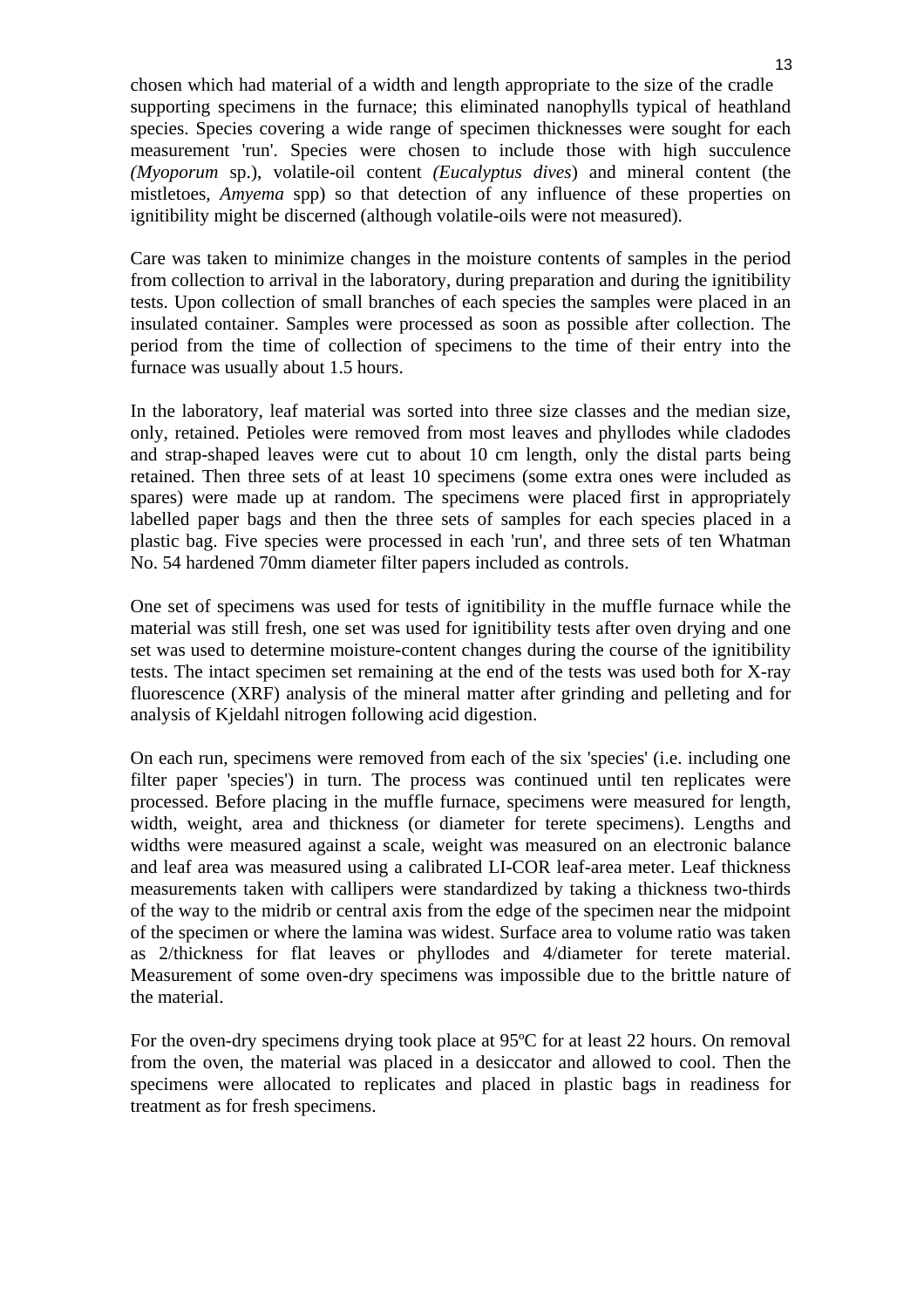chosen which had material of a width and length appropriate to the size of the cradle supporting specimens in the furnace; this eliminated nanophylls typical of heathland species. Species covering a wide range of specimen thicknesses were sought for each measurement 'run'. Species were chosen to include those with high succulence *(Myoporum* sp.), volatile-oil content *(Eucalyptus dives*) and mineral content (the mistletoes, *Amyema* spp) so that detection of any influence of these properties on ignitibility might be discerned (although volatile-oils were not measured).

Care was taken to minimize changes in the moisture contents of samples in the period from collection to arrival in the laboratory, during preparation and during the ignitibility tests. Upon collection of small branches of each species the samples were placed in an insulated container. Samples were processed as soon as possible after collection. The period from the time of collection of specimens to the time of their entry into the furnace was usually about 1.5 hours.

In the laboratory, leaf material was sorted into three size classes and the median size, only, retained. Petioles were removed from most leaves and phyllodes while cladodes and strap-shaped leaves were cut to about 10 cm length, only the distal parts being retained. Then three sets of at least 10 specimens (some extra ones were included as spares) were made up at random. The specimens were placed first in appropriately labelled paper bags and then the three sets of samples for each species placed in a plastic bag. Five species were processed in each 'run', and three sets of ten Whatman No. 54 hardened 70mm diameter filter papers included as controls.

One set of specimens was used for tests of ignitibility in the muffle furnace while the material was still fresh, one set was used for ignitibility tests after oven drying and one set was used to determine moisture-content changes during the course of the ignitibility tests. The intact specimen set remaining at the end of the tests was used both for X-ray fluorescence (XRF) analysis of the mineral matter after grinding and pelleting and for analysis of Kjeldahl nitrogen following acid digestion.

On each run, specimens were removed from each of the six 'species' (i.e. including one filter paper 'species') in turn. The process was continued until ten replicates were processed. Before placing in the muffle furnace, specimens were measured for length, width, weight, area and thickness (or diameter for terete specimens). Lengths and widths were measured against a scale, weight was measured on an electronic balance and leaf area was measured using a calibrated LI-COR leaf-area meter. Leaf thickness measurements taken with callipers were standardized by taking a thickness two-thirds of the way to the midrib or central axis from the edge of the specimen near the midpoint of the specimen or where the lamina was widest. Surface area to volume ratio was taken as 2/thickness for flat leaves or phyllodes and 4/diameter for terete material. Measurement of some oven-dry specimens was impossible due to the brittle nature of the material.

For the oven-dry specimens drying took place at 95ºC for at least 22 hours. On removal from the oven, the material was placed in a desiccator and allowed to cool. Then the specimens were allocated to replicates and placed in plastic bags in readiness for treatment as for fresh specimens.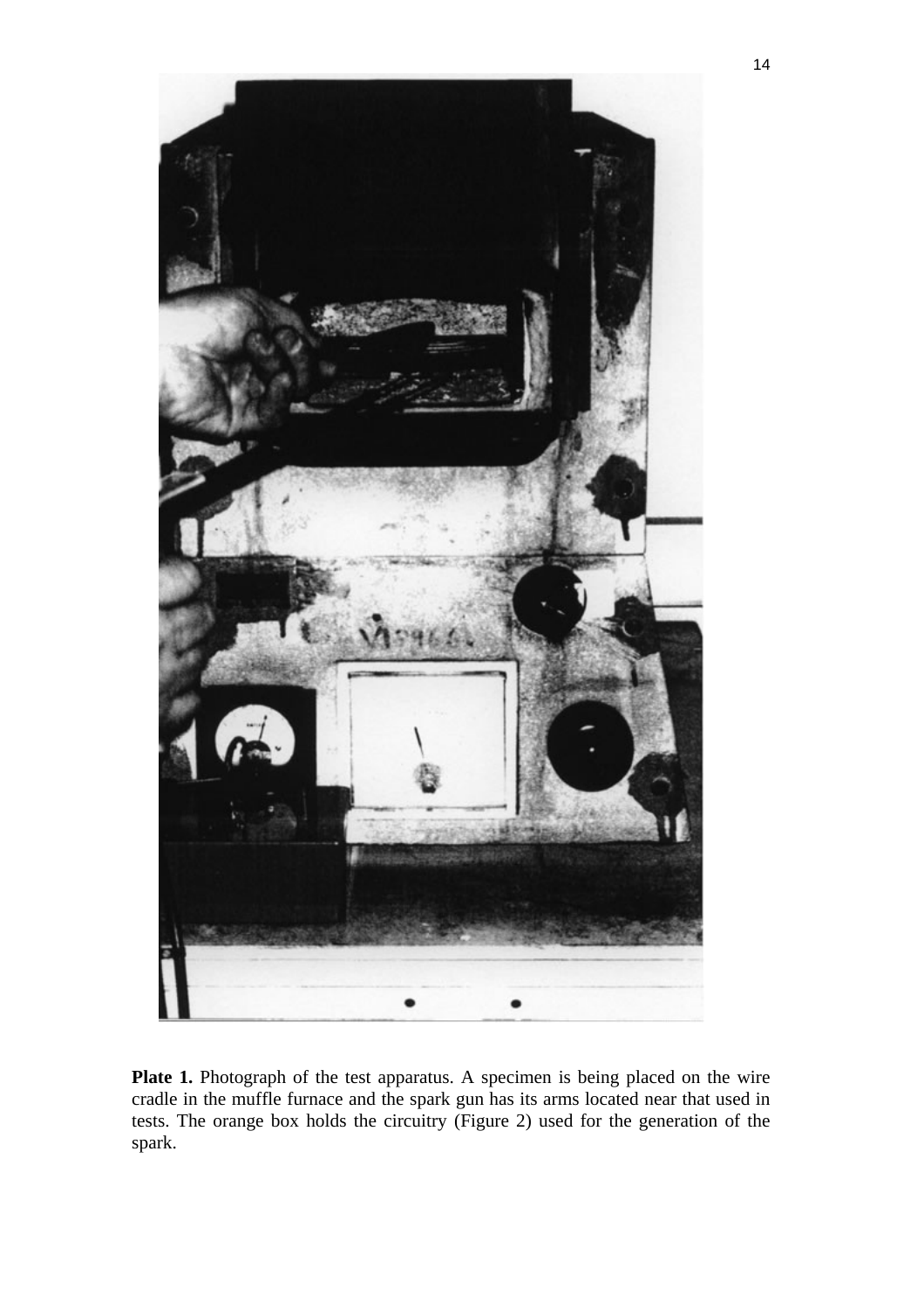

Plate 1. Photograph of the test apparatus. A specimen is being placed on the wire cradle in the muffle furnace and the spark gun has its arms located near that used in tests. The orange box holds the circuitry (Figure 2) used for the generation of the spark.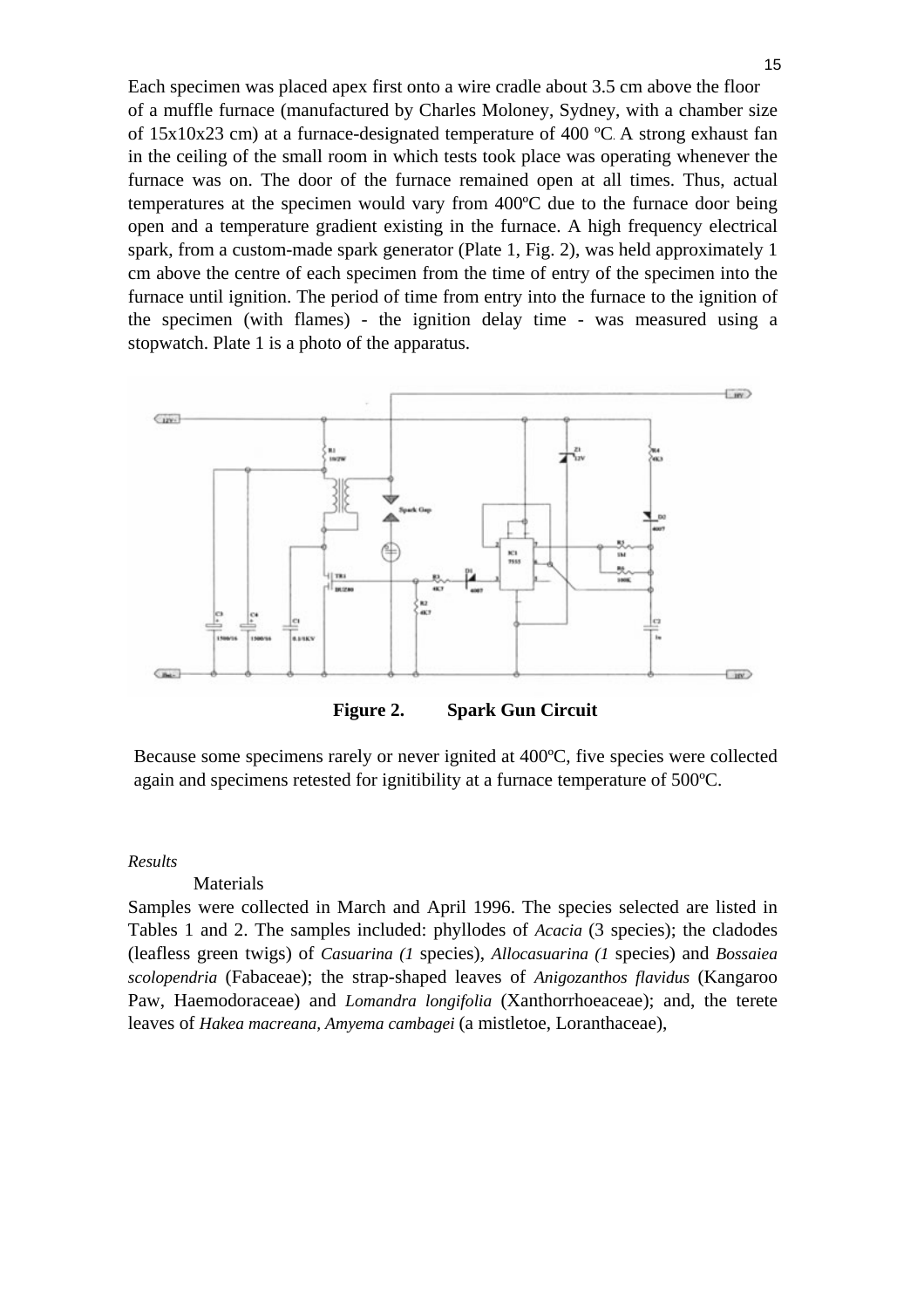Each specimen was placed apex first onto a wire cradle about 3.5 cm above the floor of a muffle furnace (manufactured by Charles Moloney, Sydney, with a chamber size of 15x10x23 cm) at a furnace-designated temperature of 400 ºC. A strong exhaust fan in the ceiling of the small room in which tests took place was operating whenever the furnace was on. The door of the furnace remained open at all times. Thus, actual temperatures at the specimen would vary from 400ºC due to the furnace door being open and a temperature gradient existing in the furnace. A high frequency electrical spark, from a custom-made spark generator (Plate 1, Fig. 2), was held approximately 1 cm above the centre of each specimen from the time of entry of the specimen into the furnace until ignition. The period of time from entry into the furnace to the ignition of the specimen (with flames) - the ignition delay time - was measured using a stopwatch. Plate 1 is a photo of the apparatus.



**Figure 2. Spark Gun Circuit** 

Because some specimens rarely or never ignited at 400ºC, five species were collected again and specimens retested for ignitibility at a furnace temperature of 500ºC.

#### *Results*

## Materials

Samples were collected in March and April 1996. The species selected are listed in Tables 1 and 2. The samples included: phyllodes of *Acacia* (3 species); the cladodes (leafless green twigs) of *Casuarina (1* species), *Allocasuarina (1* species) and *Bossaiea scolopendria* (Fabaceae); the strap-shaped leaves of *Anigozanthos flavidus* (Kangaroo Paw, Haemodoraceae) and *Lomandra longifolia* (Xanthorrhoeaceae); and, the terete leaves of *Hakea macreana, Amyema cambagei* (a mistletoe, Loranthaceae),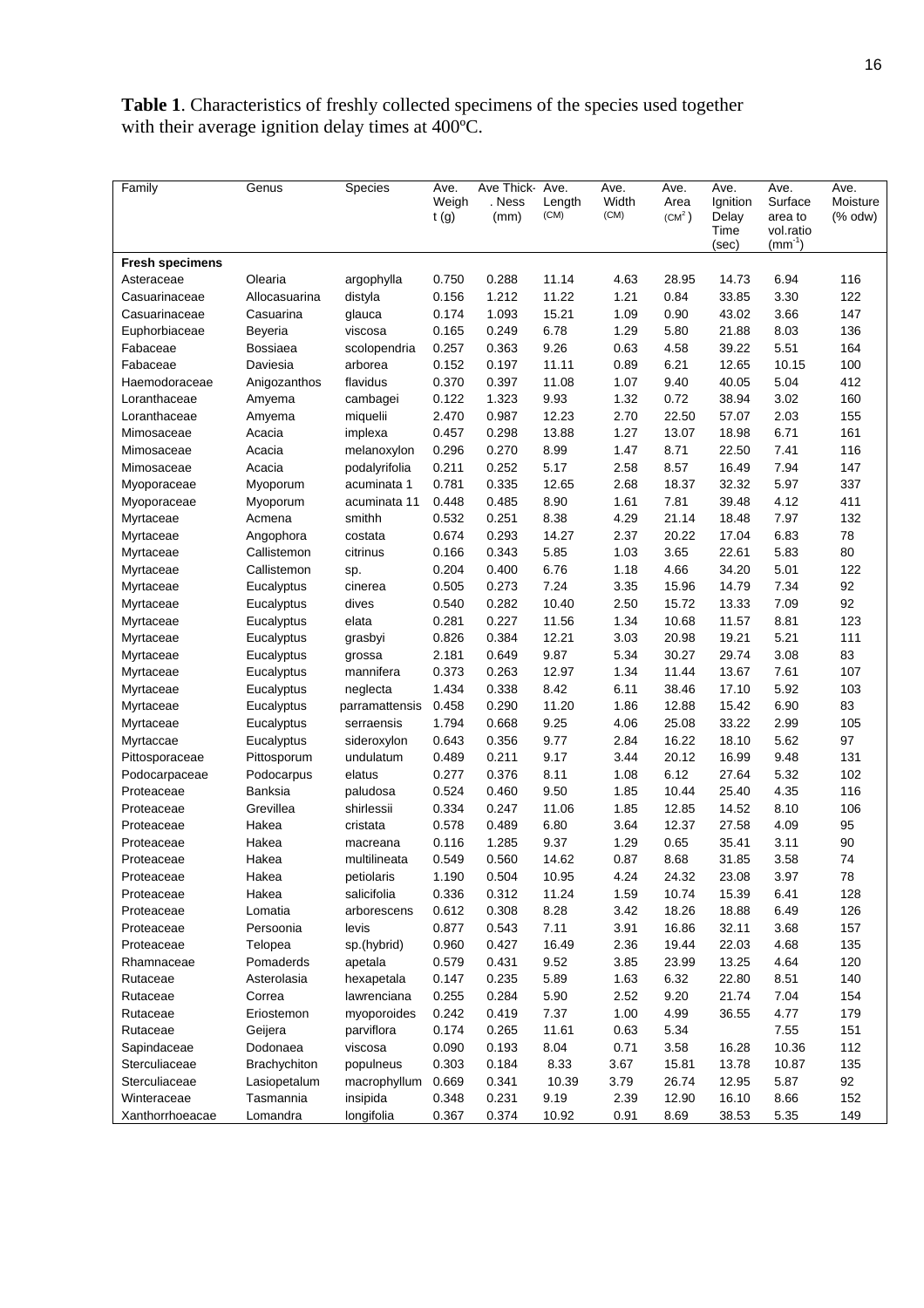**Table 1**. Characteristics of freshly collected specimens of the species used together with their average ignition delay times at 400ºC.

| Family                 | Genus               | <b>Species</b> | Ave.<br>Weigh<br>t(g) | Ave Thick-<br>. Ness<br>(mm) | Ave.<br>Length<br>(CM) | Ave.<br>Width<br>(CM) | Ave.<br>Area<br>(CM <sup>2</sup> ) | Ave.<br>Ignition<br>Delay<br>Time | Ave.<br>Surface<br>area to<br>vol.ratio<br>$(mm^{-1})$ | Ave.<br>Moisture<br>$%$ odw $)$ |
|------------------------|---------------------|----------------|-----------------------|------------------------------|------------------------|-----------------------|------------------------------------|-----------------------------------|--------------------------------------------------------|---------------------------------|
| <b>Fresh specimens</b> |                     |                |                       |                              |                        |                       |                                    | (sec)                             |                                                        |                                 |
| Asteraceae             | Olearia             | argophylla     | 0.750                 | 0.288                        | 11.14                  | 4.63                  | 28.95                              | 14.73                             | 6.94                                                   | 116                             |
| Casuarinaceae          | Allocasuarina       | distyla        | 0.156                 | 1.212                        | 11.22                  | 1.21                  | 0.84                               | 33.85                             | 3.30                                                   | 122                             |
| Casuarinaceae          | Casuarina           | glauca         | 0.174                 | 1.093                        | 15.21                  | 1.09                  | 0.90                               | 43.02                             | 3.66                                                   | 147                             |
| Euphorbiaceae          | Beyeria             | viscosa        | 0.165                 | 0.249                        | 6.78                   | 1.29                  | 5.80                               | 21.88                             | 8.03                                                   | 136                             |
| Fabaceae               | <b>Bossiaea</b>     | scolopendria   | 0.257                 | 0.363                        | 9.26                   | 0.63                  | 4.58                               | 39.22                             | 5.51                                                   | 164                             |
| Fabaceae               | Daviesia            | arborea        | 0.152                 | 0.197                        | 11.11                  | 0.89                  | 6.21                               | 12.65                             | 10.15                                                  | 100                             |
| Haemodoraceae          | Anigozanthos        | flavidus       | 0.370                 | 0.397                        | 11.08                  | 1.07                  | 9.40                               | 40.05                             | 5.04                                                   | 412                             |
| Loranthaceae           | Amyema              | cambagei       | 0.122                 | 1.323                        | 9.93                   | 1.32                  | 0.72                               | 38.94                             | 3.02                                                   | 160                             |
| Loranthaceae           | Amyema              | miquelii       | 2.470                 | 0.987                        | 12.23                  | 2.70                  | 22.50                              | 57.07                             | 2.03                                                   | 155                             |
| Mimosaceae             | Acacia              | implexa        | 0.457                 | 0.298                        | 13.88                  | 1.27                  | 13.07                              | 18.98                             | 6.71                                                   | 161                             |
| Mimosaceae             | Acacia              | melanoxylon    | 0.296                 | 0.270                        | 8.99                   | 1.47                  | 8.71                               | 22.50                             | 7.41                                                   | 116                             |
| Mimosaceae             | Acacia              | podalyrifolia  | 0.211                 | 0.252                        | 5.17                   | 2.58                  | 8.57                               | 16.49                             | 7.94                                                   | 147                             |
| Myoporaceae            | Myoporum            | acuminata 1    | 0.781                 | 0.335                        | 12.65                  | 2.68                  | 18.37                              | 32.32                             | 5.97                                                   | 337                             |
| Myoporaceae            | Myoporum            | acuminata 11   | 0.448                 | 0.485                        | 8.90                   | 1.61                  | 7.81                               | 39.48                             | 4.12                                                   | 411                             |
| Myrtaceae              | Acmena              | smithh         | 0.532                 | 0.251                        | 8.38                   | 4.29                  | 21.14                              | 18.48                             | 7.97                                                   | 132                             |
| Myrtaceae              | Angophora           | costata        | 0.674                 | 0.293                        | 14.27                  | 2.37                  | 20.22                              | 17.04                             | 6.83                                                   | 78                              |
| Myrtaceae              | Callistemon         | citrinus       | 0.166                 | 0.343                        | 5.85                   | 1.03                  | 3.65                               | 22.61                             | 5.83                                                   | 80                              |
| Myrtaceae              | Callistemon         | sp.            | 0.204                 | 0.400                        | 6.76                   | 1.18                  | 4.66                               | 34.20                             | 5.01                                                   | 122                             |
| Myrtaceae              | Eucalyptus          | cinerea        | 0.505                 | 0.273                        | 7.24                   | 3.35                  | 15.96                              | 14.79                             | 7.34                                                   | 92                              |
| Myrtaceae              | Eucalyptus          | dives          | 0.540                 | 0.282                        | 10.40                  | 2.50                  | 15.72                              | 13.33                             | 7.09                                                   | 92                              |
| Myrtaceae              | Eucalyptus          | elata          | 0.281                 | 0.227                        | 11.56                  | 1.34                  | 10.68                              | 11.57                             | 8.81                                                   | 123                             |
| Myrtaceae              | Eucalyptus          | grasbyi        | 0.826                 | 0.384                        | 12.21                  | 3.03                  | 20.98                              | 19.21                             | 5.21                                                   | 111                             |
| Myrtaceae              | Eucalyptus          | grossa         | 2.181                 | 0.649                        | 9.87                   | 5.34                  | 30.27                              | 29.74                             | 3.08                                                   | 83                              |
| Myrtaceae              | Eucalyptus          | mannifera      | 0.373                 | 0.263                        | 12.97                  | 1.34                  | 11.44                              | 13.67                             | 7.61                                                   | 107                             |
| Myrtaceae              | Eucalyptus          | neglecta       | 1.434                 | 0.338                        | 8.42                   | 6.11                  | 38.46                              | 17.10                             | 5.92                                                   | 103                             |
| Myrtaceae              | Eucalyptus          | parramattensis | 0.458                 | 0.290                        | 11.20                  | 1.86                  | 12.88                              | 15.42                             | 6.90                                                   | 83                              |
| Myrtaceae              | Eucalyptus          | serraensis     | 1.794                 | 0.668                        | 9.25                   | 4.06                  | 25.08                              | 33.22                             | 2.99                                                   | 105                             |
| Myrtaccae              | Eucalyptus          | sideroxylon    | 0.643                 | 0.356                        | 9.77                   | 2.84                  | 16.22                              | 18.10                             | 5.62                                                   | 97                              |
| Pittosporaceae         | Pittosporum         | undulatum      | 0.489                 | 0.211                        | 9.17                   | 3.44                  | 20.12                              | 16.99                             | 9.48                                                   | 131                             |
| Podocarpaceae          | Podocarpus          | elatus         | 0.277                 | 0.376                        | 8.11                   | 1.08                  | 6.12                               | 27.64                             | 5.32                                                   | 102                             |
| Proteaceae             | Banksia             | paludosa       | 0.524                 | 0.460                        | 9.50                   | 1.85                  | 10.44                              | 25.40                             | 4.35                                                   | 116                             |
| Proteaceae             | Grevillea           | shirlessii     | 0.334                 | 0.247                        | 11.06                  | 1.85                  | 12.85                              | 14.52                             | 8.10                                                   | 106                             |
| Proteaceae             | Hakea               | cristata       | 0.578                 | 0.489                        | 6.80                   | 3.64                  | 12.37                              | 27.58                             | 4.09                                                   | 95                              |
| Proteaceae             | Hakea               | macreana       | 0.116                 | 1.285                        | 9.37                   | 1.29                  | 0.65                               | 35.41                             | 3.11                                                   | 90                              |
| Proteaceae             | Hakea               | multilineata   | 0.549                 | 0.560                        | 14.62                  | 0.87                  | 8.68                               | 31.85                             | 3.58                                                   | 74                              |
| Proteaceae             | Hakea               | petiolaris     | 1.190                 | 0.504                        | 10.95                  | 4.24                  | 24.32                              | 23.08                             | 3.97                                                   | 78                              |
| Proteaceae             | Hakea               | salicifolia    | 0.336                 | 0.312                        | 11.24                  | 1.59                  | 10.74                              | 15.39                             | 6.41                                                   | 128                             |
| Proteaceae             | Lomatia             | arborescens    | 0.612                 | 0.308                        | 8.28                   | 3.42                  | 18.26                              | 18.88                             | 6.49                                                   | 126                             |
| Proteaceae             | Persoonia           | levis          | 0.877                 | 0.543                        | 7.11                   | 3.91                  | 16.86                              | 32.11                             | 3.68                                                   | 157                             |
| Proteaceae             | Telopea             | sp.(hybrid)    | 0.960                 | 0.427                        | 16.49                  | 2.36                  | 19.44                              | 22.03                             | 4.68                                                   | 135                             |
| Rhamnaceae             | Pomaderds           | apetala        | 0.579                 | 0.431                        | 9.52                   | 3.85                  | 23.99                              | 13.25                             | 4.64                                                   | 120                             |
| Rutaceae               | Asterolasia         | hexapetala     | 0.147                 | 0.235                        | 5.89                   | 1.63                  | 6.32                               | 22.80                             | 8.51                                                   | 140                             |
| Rutaceae               | Correa              | lawrenciana    | 0.255                 | 0.284                        | 5.90                   | 2.52                  | 9.20                               | 21.74                             | 7.04                                                   | 154                             |
| Rutaceae               | Eriostemon          | myoporoides    | 0.242                 | 0.419                        | 7.37                   | 1.00                  | 4.99                               | 36.55                             | 4.77                                                   | 179                             |
| Rutaceae               | Geijera             | parviflora     | 0.174                 | 0.265                        | 11.61                  | 0.63                  | 5.34                               |                                   | 7.55                                                   | 151                             |
| Sapindaceae            | Dodonaea            | viscosa        | 0.090                 | 0.193                        | 8.04                   | 0.71                  | 3.58                               | 16.28                             | 10.36                                                  | 112                             |
| Sterculiaceae          | <b>Brachychiton</b> | populneus      | 0.303                 | 0.184                        | 8.33                   | 3.67                  | 15.81                              | 13.78                             | 10.87                                                  | 135                             |
| Sterculiaceae          | Lasiopetalum        | macrophyllum   | 0.669                 | 0.341                        | 10.39                  | 3.79                  | 26.74                              | 12.95                             | 5.87                                                   | 92                              |
| Winteraceae            | Tasmannia           | insipida       | 0.348                 | 0.231                        | 9.19                   | 2.39                  | 12.90                              | 16.10                             | 8.66                                                   | 152                             |
| Xanthorrhoeacae        | Lomandra            | longifolia     | 0.367                 | 0.374                        | 10.92                  | 0.91                  | 8.69                               | 38.53                             | 5.35                                                   | 149                             |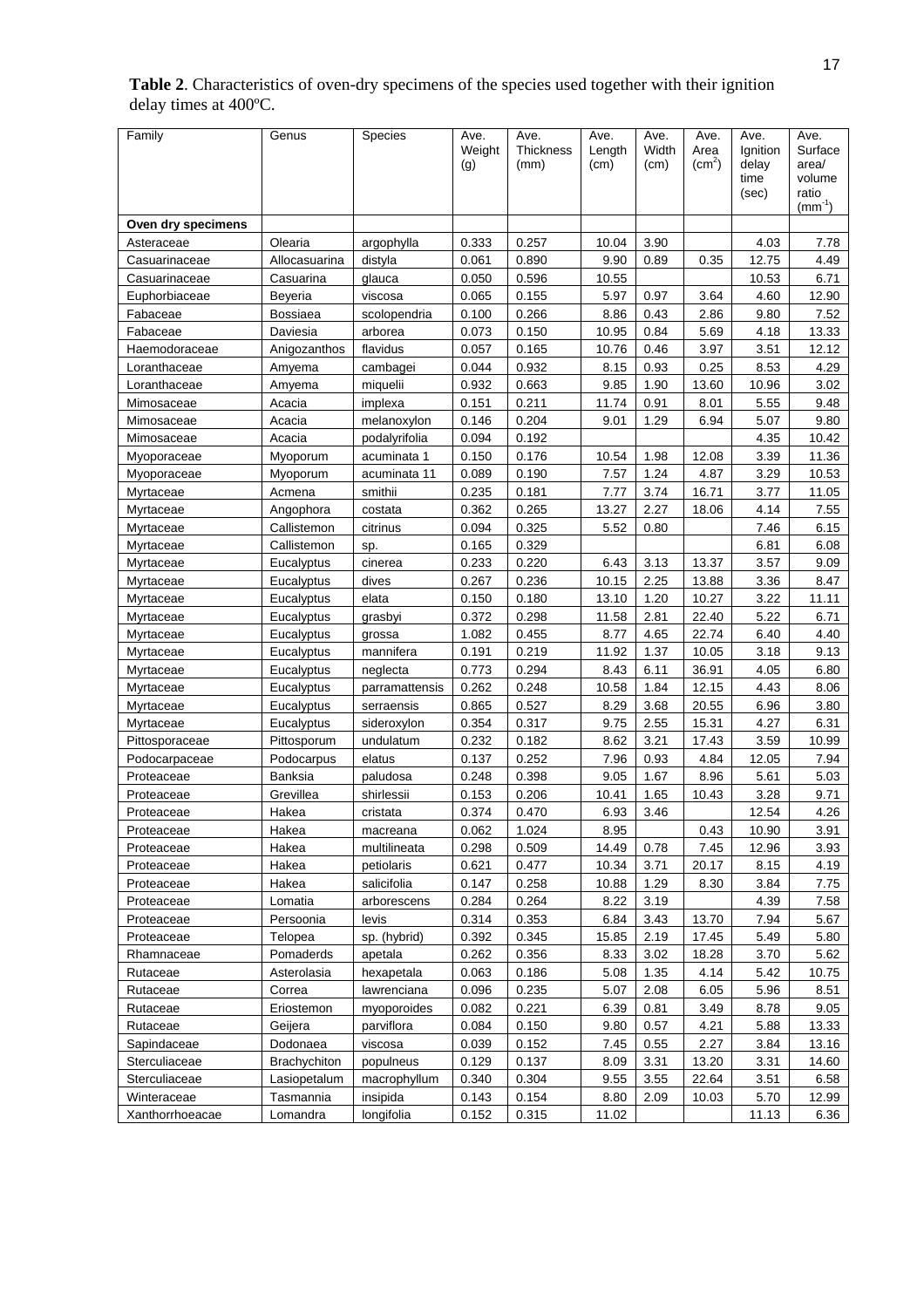| <b>Table 2.</b> Characteristics of oven-dry specimens of the species used together with their ignition |
|--------------------------------------------------------------------------------------------------------|
| delay times at $400^{\circ}$ C.                                                                        |

| Family             | Genus               | Species        | Ave.   | Ave.             | Ave.   | Ave.  | Ave.               | Ave.          | Ave.            |
|--------------------|---------------------|----------------|--------|------------------|--------|-------|--------------------|---------------|-----------------|
|                    |                     |                | Weight | <b>Thickness</b> | Length | Width | Area               | Ignition      | Surface         |
|                    |                     |                | (g)    | (mm)             | (cm)   | (cm)  | (cm <sup>2</sup> ) | delay<br>time | area/<br>volume |
|                    |                     |                |        |                  |        |       |                    | (sec)         | ratio           |
|                    |                     |                |        |                  |        |       |                    |               | $(mm^{-1})$     |
| Oven dry specimens |                     |                |        |                  |        |       |                    |               |                 |
| Asteraceae         | Olearia             | argophylla     | 0.333  | 0.257            | 10.04  | 3.90  |                    | 4.03          | 7.78            |
| Casuarinaceae      | Allocasuarina       | distyla        | 0.061  | 0.890            | 9.90   | 0.89  | 0.35               | 12.75         | 4.49            |
| Casuarinaceae      | Casuarina           | glauca         | 0.050  | 0.596            | 10.55  |       |                    | 10.53         | 6.71            |
| Euphorbiaceae      | Beveria             | viscosa        | 0.065  | 0.155            | 5.97   | 0.97  | 3.64               | 4.60          | 12.90           |
| Fabaceae           | Bossiaea            | scolopendria   | 0.100  | 0.266            | 8.86   | 0.43  | 2.86               | 9.80          | 7.52            |
| Fabaceae           | Daviesia            | arborea        | 0.073  | 0.150            | 10.95  | 0.84  | 5.69               | 4.18          | 13.33           |
| Haemodoraceae      | Anigozanthos        | flavidus       | 0.057  | 0.165            | 10.76  | 0.46  | 3.97               | 3.51          | 12.12           |
| Loranthaceae       | Amyema              | cambagei       | 0.044  | 0.932            | 8.15   | 0.93  | 0.25               | 8.53          | 4.29            |
| Loranthaceae       | Amyema              | miquelii       | 0.932  | 0.663            | 9.85   | 1.90  | 13.60              | 10.96         | 3.02            |
| Mimosaceae         | Acacia              | implexa        | 0.151  | 0.211            | 11.74  | 0.91  | 8.01               | 5.55          | 9.48            |
| Mimosaceae         | Acacia              | melanoxylon    | 0.146  | 0.204            | 9.01   | 1.29  | 6.94               | 5.07          | 9.80            |
| Mimosaceae         | Acacia              | podalyrifolia  | 0.094  | 0.192            |        |       |                    | 4.35          | 10.42           |
| Myoporaceae        | Myoporum            | acuminata 1    | 0.150  | 0.176            | 10.54  | 1.98  | 12.08              | 3.39          | 11.36           |
| Myoporaceae        | Myoporum            | acuminata 11   | 0.089  | 0.190            | 7.57   | 1.24  | 4.87               | 3.29          | 10.53           |
| Myrtaceae          | Acmena              | smithii        | 0.235  | 0.181            | 7.77   | 3.74  | 16.71              | 3.77          | 11.05           |
| Myrtaceae          | Angophora           | costata        | 0.362  | 0.265            | 13.27  | 2.27  | 18.06              | 4.14          | 7.55            |
| Myrtaceae          | Callistemon         | citrinus       | 0.094  | 0.325            | 5.52   | 0.80  |                    | 7.46          | 6.15            |
| Myrtaceae          | Callistemon         | sp.            | 0.165  | 0.329            |        |       |                    | 6.81          | 6.08            |
| Myrtaceae          | Eucalyptus          | cinerea        | 0.233  | 0.220            | 6.43   | 3.13  | 13.37              | 3.57          | 9.09            |
| Myrtaceae          | Eucalyptus          | dives          | 0.267  | 0.236            | 10.15  | 2.25  | 13.88              | 3.36          | 8.47            |
| Myrtaceae          | Eucalyptus          | elata          | 0.150  | 0.180            | 13.10  | 1.20  | 10.27              | 3.22          | 11.11           |
| Myrtaceae          | Eucalyptus          | grasbyi        | 0.372  | 0.298            | 11.58  | 2.81  | 22.40              | 5.22          | 6.71            |
| Myrtaceae          | Eucalyptus          | grossa         | 1.082  | 0.455            | 8.77   | 4.65  | 22.74              | 6.40          | 4.40            |
| Myrtaceae          | Eucalyptus          | mannifera      | 0.191  | 0.219            | 11.92  | 1.37  | 10.05              | 3.18          | 9.13            |
| Myrtaceae          | Eucalyptus          | neglecta       | 0.773  | 0.294            | 8.43   | 6.11  | 36.91              | 4.05          | 6.80            |
| Myrtaceae          | Eucalyptus          | parramattensis | 0.262  | 0.248            | 10.58  | 1.84  | 12.15              | 4.43          | 8.06            |
| Myrtaceae          | Eucalyptus          | serraensis     | 0.865  | 0.527            | 8.29   | 3.68  | 20.55              | 6.96          | 3.80            |
| Myrtaceae          | Eucalyptus          | sideroxylon    | 0.354  | 0.317            | 9.75   | 2.55  | 15.31              | 4.27          | 6.31            |
| Pittosporaceae     | Pittosporum         | undulatum      | 0.232  | 0.182            | 8.62   | 3.21  | 17.43              | 3.59          | 10.99           |
| Podocarpaceae      | Podocarpus          | elatus         | 0.137  | 0.252            | 7.96   | 0.93  | 4.84               | 12.05         | 7.94            |
| Proteaceae         | Banksia             | paludosa       | 0.248  | 0.398            | 9.05   | 1.67  | 8.96               | 5.61          | 5.03            |
| Proteaceae         | Grevillea           | shirlessii     | 0.153  | 0.206            | 10.41  | 1.65  | 10.43              | 3.28          | 9.71            |
| Proteaceae         | Hakea               | cristata       | 0.374  | 0.470            | 6.93   | 3.46  |                    | 12.54         | 4.26            |
| Proteaceae         | Hakea               | macreana       | 0.062  | 1.024            | 8.95   |       | 0.43               | 10.90         | 3.91            |
| Proteaceae         | Hakea               | multilineata   | 0.298  | 0.509            | 14.49  | 0.78  | 7.45               | 12.96         | 3.93            |
| Proteaceae         | Hakea               | petiolaris     | 0.621  | 0.477            | 10.34  | 3.71  | 20.17              | 8.15          | 4.19            |
| Proteaceae         | Hakea               | salicifolia    | 0.147  | 0.258            | 10.88  | 1.29  | 8.30               | 3.84          | 7.75            |
| Proteaceae         | Lomatia             | arborescens    | 0.284  | 0.264            | 8.22   | 3.19  |                    | 4.39          | 7.58            |
| Proteaceae         | Persoonia           | levis          | 0.314  | 0.353            | 6.84   | 3.43  | 13.70              | 7.94          | 5.67            |
| Proteaceae         | Telopea             | sp. (hybrid)   | 0.392  | 0.345            | 15.85  | 2.19  | 17.45              | 5.49          | 5.80            |
| Rhamnaceae         | Pomaderds           | apetala        | 0.262  | 0.356            | 8.33   | 3.02  | 18.28              | 3.70          | 5.62            |
| Rutaceae           | Asterolasia         | hexapetala     | 0.063  | 0.186            | 5.08   | 1.35  | 4.14               | 5.42          | 10.75           |
| Rutaceae           | Correa              | lawrenciana    | 0.096  | 0.235            | 5.07   | 2.08  | 6.05               | 5.96          | 8.51            |
| Rutaceae           | Eriostemon          | myoporoides    | 0.082  | 0.221            | 6.39   | 0.81  | 3.49               | 8.78          | 9.05            |
| Rutaceae           | Geijera             | parviflora     | 0.084  | 0.150            | 9.80   | 0.57  | 4.21               | 5.88          | 13.33           |
| Sapindaceae        | Dodonaea            | viscosa        | 0.039  | 0.152            | 7.45   | 0.55  | 2.27               | 3.84          | 13.16           |
| Sterculiaceae      | <b>Brachychiton</b> | populneus      | 0.129  | 0.137            | 8.09   | 3.31  | 13.20              | 3.31          | 14.60           |
| Sterculiaceae      | Lasiopetalum        | macrophyllum   | 0.340  | 0.304            | 9.55   | 3.55  | 22.64              | 3.51          | 6.58            |
| Winteraceae        | Tasmannia           | insipida       | 0.143  | 0.154            | 8.80   | 2.09  | 10.03              | 5.70          | 12.99           |
| Xanthorrhoeacae    | Lomandra            | longifolia     | 0.152  | 0.315            | 11.02  |       |                    | 11.13         | 6.36            |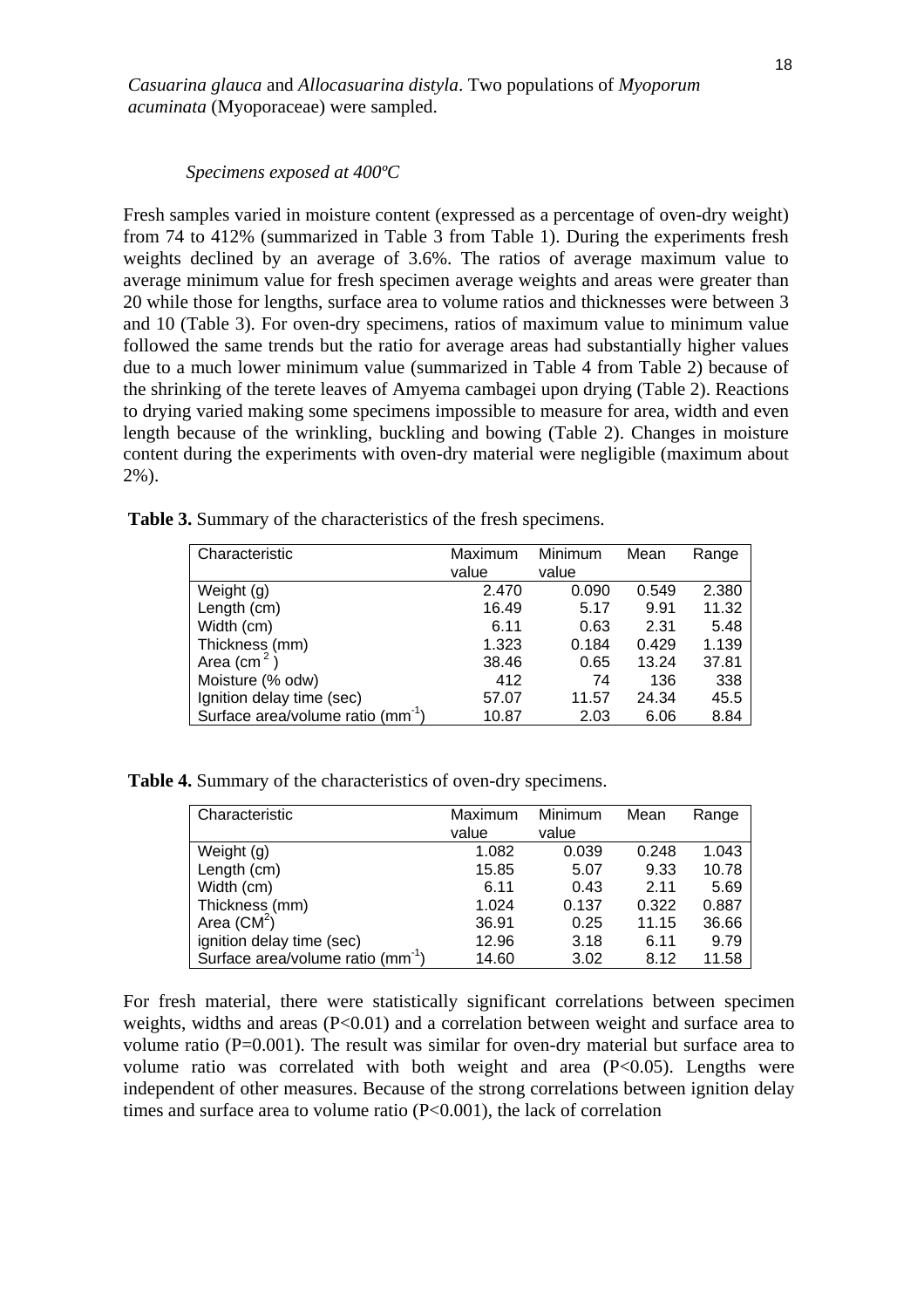*Casuarina glauca* and *Allocasuarina distyla*. Two populations of *Myoporum acuminata* (Myoporaceae) were sampled.

#### *Specimens exposed at 400ºC*

Fresh samples varied in moisture content (expressed as a percentage of oven-dry weight) from 74 to 412% (summarized in Table 3 from Table 1). During the experiments fresh weights declined by an average of 3.6%. The ratios of average maximum value to average minimum value for fresh specimen average weights and areas were greater than 20 while those for lengths, surface area to volume ratios and thicknesses were between 3 and 10 (Table 3). For oven-dry specimens, ratios of maximum value to minimum value followed the same trends but the ratio for average areas had substantially higher values due to a much lower minimum value (summarized in Table 4 from Table 2) because of the shrinking of the terete leaves of Amyema cambagei upon drying (Table 2). Reactions to drying varied making some specimens impossible to measure for area, width and even length because of the wrinkling, buckling and bowing (Table 2). Changes in moisture content during the experiments with oven-dry material were negligible (maximum about 2%).

| Characteristic                                | Maximum | Minimum | Mean  | Range |
|-----------------------------------------------|---------|---------|-------|-------|
|                                               | value   | value   |       |       |
| Weight (g)                                    | 2.470   | 0.090   | 0.549 | 2.380 |
| Length (cm)                                   | 16.49   | 5.17    | 9.91  | 11.32 |
| Width (cm)                                    | 6.11    | 0.63    | 2.31  | 5.48  |
| Thickness (mm)                                | 1.323   | 0.184   | 0.429 | 1.139 |
| Area (cm <sup>2</sup> )                       | 38.46   | 0.65    | 13.24 | 37.81 |
| Moisture (% odw)                              | 412     | 74      | 136   | 338   |
| Ignition delay time (sec)                     | 57.07   | 11.57   | 24.34 | 45.5  |
| Surface area/volume ratio (mm <sup>-1</sup> ) | 10.87   | 2.03    | 6.06  | 8.84  |

**Table 3.** Summary of the characteristics of the fresh specimens.

**Table 4.** Summary of the characteristics of oven-dry specimens.

| Characteristic                                | Maximum<br>value | Minimum<br>value | Mean  | Range |
|-----------------------------------------------|------------------|------------------|-------|-------|
| Weight (g)                                    | 1.082            | 0.039            | 0.248 | 1.043 |
| Length (cm)                                   | 15.85            | 5.07             | 9.33  | 10.78 |
| Width (cm)                                    | 6.11             | 0.43             | 2.11  | 5.69  |
| Thickness (mm)                                | 1.024            | 0.137            | 0.322 | 0.887 |
| Area $(CM^2)$                                 | 36.91            | 0.25             | 11.15 | 36.66 |
| ignition delay time (sec)                     | 12.96            | 3.18             | 6.11  | 9.79  |
| Surface area/volume ratio (mm <sup>-1</sup> ) | 14.60            | 3.02             | 8.12  | 11.58 |

For fresh material, there were statistically significant correlations between specimen weights, widths and areas (P<0.01) and a correlation between weight and surface area to volume ratio ( $P=0.001$ ). The result was similar for oven-dry material but surface area to volume ratio was correlated with both weight and area  $(P<0.05)$ . Lengths were independent of other measures. Because of the strong correlations between ignition delay times and surface area to volume ratio (P<0.001), the lack of correlation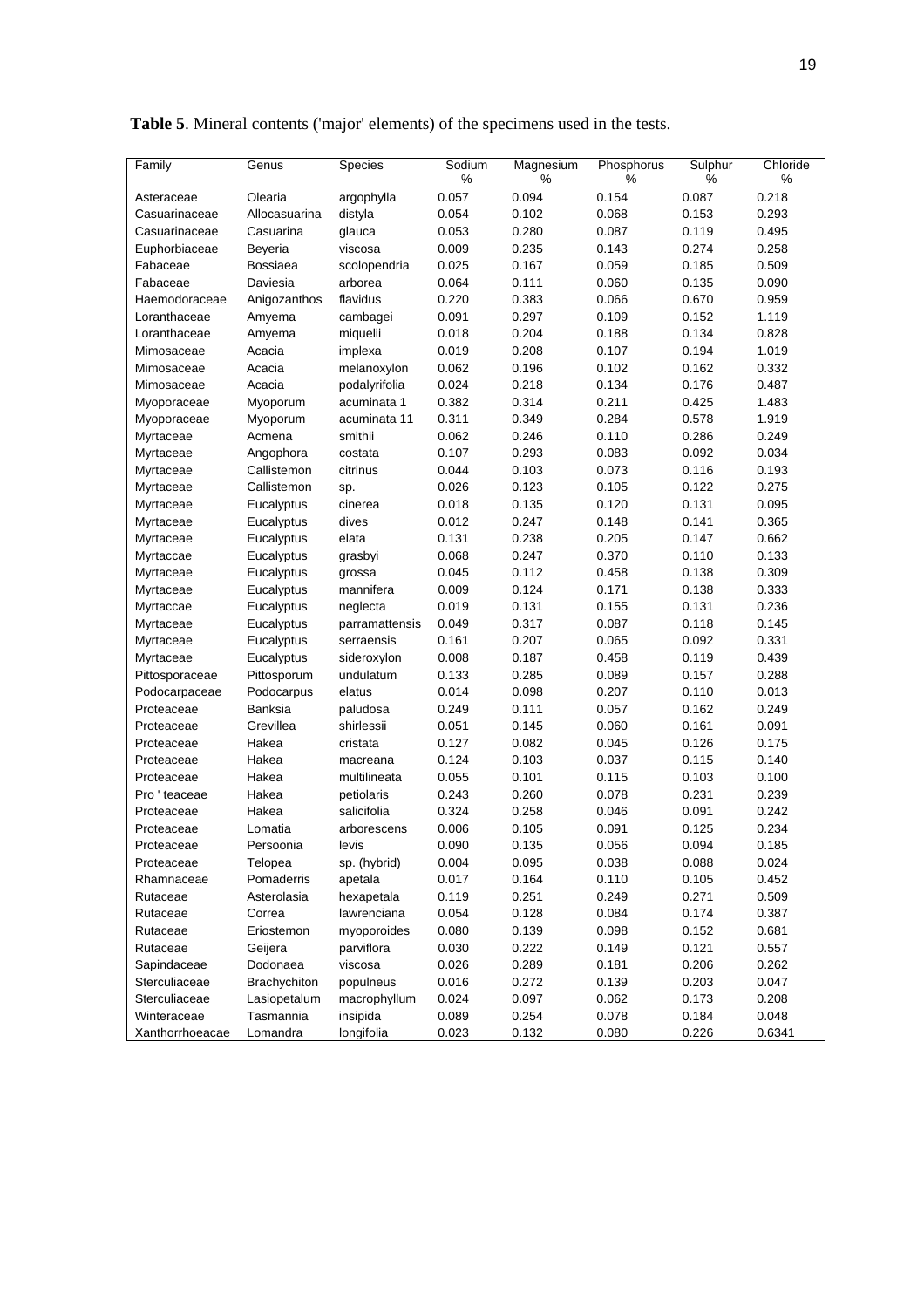| Family          | Genus         | Species        | Sodium | Magnesium | Phosphorus | Sulphur | Chloride |
|-----------------|---------------|----------------|--------|-----------|------------|---------|----------|
|                 |               |                | $\%$   | $\%$      | $\%$       | %       | $\%$     |
| Asteraceae      | Olearia       | argophylla     | 0.057  | 0.094     | 0.154      | 0.087   | 0.218    |
| Casuarinaceae   | Allocasuarina | distyla        | 0.054  | 0.102     | 0.068      | 0.153   | 0.293    |
| Casuarinaceae   | Casuarina     | glauca         | 0.053  | 0.280     | 0.087      | 0.119   | 0.495    |
| Euphorbiaceae   | Beyeria       | viscosa        | 0.009  | 0.235     | 0.143      | 0.274   | 0.258    |
| Fabaceae        | Bossiaea      | scolopendria   | 0.025  | 0.167     | 0.059      | 0.185   | 0.509    |
| Fabaceae        | Daviesia      | arborea        | 0.064  | 0.111     | 0.060      | 0.135   | 0.090    |
| Haemodoraceae   | Anigozanthos  | flavidus       | 0.220  | 0.383     | 0.066      | 0.670   | 0.959    |
| Loranthaceae    | Amyema        | cambagei       | 0.091  | 0.297     | 0.109      | 0.152   | 1.119    |
| Loranthaceae    | Amyema        | miquelii       | 0.018  | 0.204     | 0.188      | 0.134   | 0.828    |
| Mimosaceae      | Acacia        | implexa        | 0.019  | 0.208     | 0.107      | 0.194   | 1.019    |
| Mimosaceae      | Acacia        | melanoxylon    | 0.062  | 0.196     | 0.102      | 0.162   | 0.332    |
| Mimosaceae      | Acacia        | podalyrifolia  | 0.024  | 0.218     | 0.134      | 0.176   | 0.487    |
| Myoporaceae     | Myoporum      | acuminata 1    | 0.382  | 0.314     | 0.211      | 0.425   | 1.483    |
| Myoporaceae     | Myoporum      | acuminata 11   | 0.311  | 0.349     | 0.284      | 0.578   | 1.919    |
| Myrtaceae       | Acmena        | smithii        | 0.062  | 0.246     | 0.110      | 0.286   | 0.249    |
| Myrtaceae       | Angophora     | costata        | 0.107  | 0.293     | 0.083      | 0.092   | 0.034    |
| Myrtaceae       | Callistemon   | citrinus       | 0.044  | 0.103     | 0.073      | 0.116   | 0.193    |
| Myrtaceae       | Callistemon   | sp.            | 0.026  | 0.123     | 0.105      | 0.122   | 0.275    |
| Myrtaceae       | Eucalyptus    | cinerea        | 0.018  | 0.135     | 0.120      | 0.131   | 0.095    |
| Myrtaceae       | Eucalyptus    | dives          | 0.012  | 0.247     | 0.148      | 0.141   | 0.365    |
| Myrtaceae       | Eucalyptus    | elata          | 0.131  | 0.238     | 0.205      | 0.147   | 0.662    |
| Myrtaccae       | Eucalyptus    | grasbyi        | 0.068  | 0.247     | 0.370      | 0.110   | 0.133    |
| Myrtaceae       | Eucalyptus    | grossa         | 0.045  | 0.112     | 0.458      | 0.138   | 0.309    |
| Myrtaceae       | Eucalyptus    | mannifera      | 0.009  | 0.124     | 0.171      | 0.138   | 0.333    |
| Myrtaccae       | Eucalyptus    | neglecta       | 0.019  | 0.131     | 0.155      | 0.131   | 0.236    |
| Myrtaceae       | Eucalyptus    | parramattensis | 0.049  | 0.317     | 0.087      | 0.118   | 0.145    |
| Myrtaceae       | Eucalyptus    | serraensis     | 0.161  | 0.207     | 0.065      | 0.092   | 0.331    |
| Myrtaceae       | Eucalyptus    | sideroxylon    | 0.008  | 0.187     | 0.458      | 0.119   | 0.439    |
| Pittosporaceae  | Pittosporum   | undulatum      | 0.133  | 0.285     | 0.089      | 0.157   | 0.288    |
| Podocarpaceae   | Podocarpus    | elatus         | 0.014  | 0.098     | 0.207      | 0.110   | 0.013    |
| Proteaceae      | Banksia       | paludosa       | 0.249  | 0.111     | 0.057      | 0.162   | 0.249    |
| Proteaceae      | Grevillea     | shirlessii     | 0.051  | 0.145     | 0.060      | 0.161   | 0.091    |
| Proteaceae      | Hakea         | cristata       | 0.127  | 0.082     | 0.045      | 0.126   | 0.175    |
| Proteaceae      | Hakea         | macreana       | 0.124  | 0.103     | 0.037      | 0.115   | 0.140    |
| Proteaceae      | Hakea         | multilineata   | 0.055  | 0.101     | 0.115      | 0.103   | 0.100    |
| Pro ' teaceae   | Hakea         | petiolaris     | 0.243  | 0.260     | 0.078      | 0.231   | 0.239    |
| Proteaceae      | Hakea         | salicifolia    | 0.324  | 0.258     | 0.046      | 0.091   | 0.242    |
| Proteaceae      | Lomatia       | arborescens    | 0.006  | 0.105     | 0.091      | 0.125   | 0.234    |
| Proteaceae      | Persoonia     | levis          | 0.090  | 0.135     | 0.056      | 0.094   | 0.185    |
| Proteaceae      | Telopea       | sp. (hybrid)   | 0.004  | 0.095     | 0.038      | 0.088   | 0.024    |
| Rhamnaceae      | Pomaderris    | apetala        | 0.017  | 0.164     | 0.110      | 0.105   | 0.452    |
| Rutaceae        | Asterolasia   | hexapetala     | 0.119  | 0.251     | 0.249      | 0.271   | 0.509    |
| Rutaceae        | Correa        | lawrenciana    | 0.054  | 0.128     | 0.084      | 0.174   | 0.387    |
| Rutaceae        | Eriostemon    | myoporoides    | 0.080  | 0.139     | 0.098      | 0.152   | 0.681    |
| Rutaceae        | Geijera       | parviflora     | 0.030  | 0.222     | 0.149      | 0.121   | 0.557    |
| Sapindaceae     | Dodonaea      | viscosa        | 0.026  | 0.289     | 0.181      | 0.206   | 0.262    |
| Sterculiaceae   | Brachychiton  | populneus      | 0.016  | 0.272     | 0.139      | 0.203   | 0.047    |
| Sterculiaceae   | Lasiopetalum  | macrophyllum   | 0.024  | 0.097     | 0.062      | 0.173   | 0.208    |
| Winteraceae     | Tasmannia     | insipida       | 0.089  | 0.254     | 0.078      | 0.184   | 0.048    |
| Xanthorrhoeacae | Lomandra      | longifolia     | 0.023  | 0.132     | 0.080      | 0.226   | 0.6341   |

**Table 5**. Mineral contents ('major' elements) of the specimens used in the tests.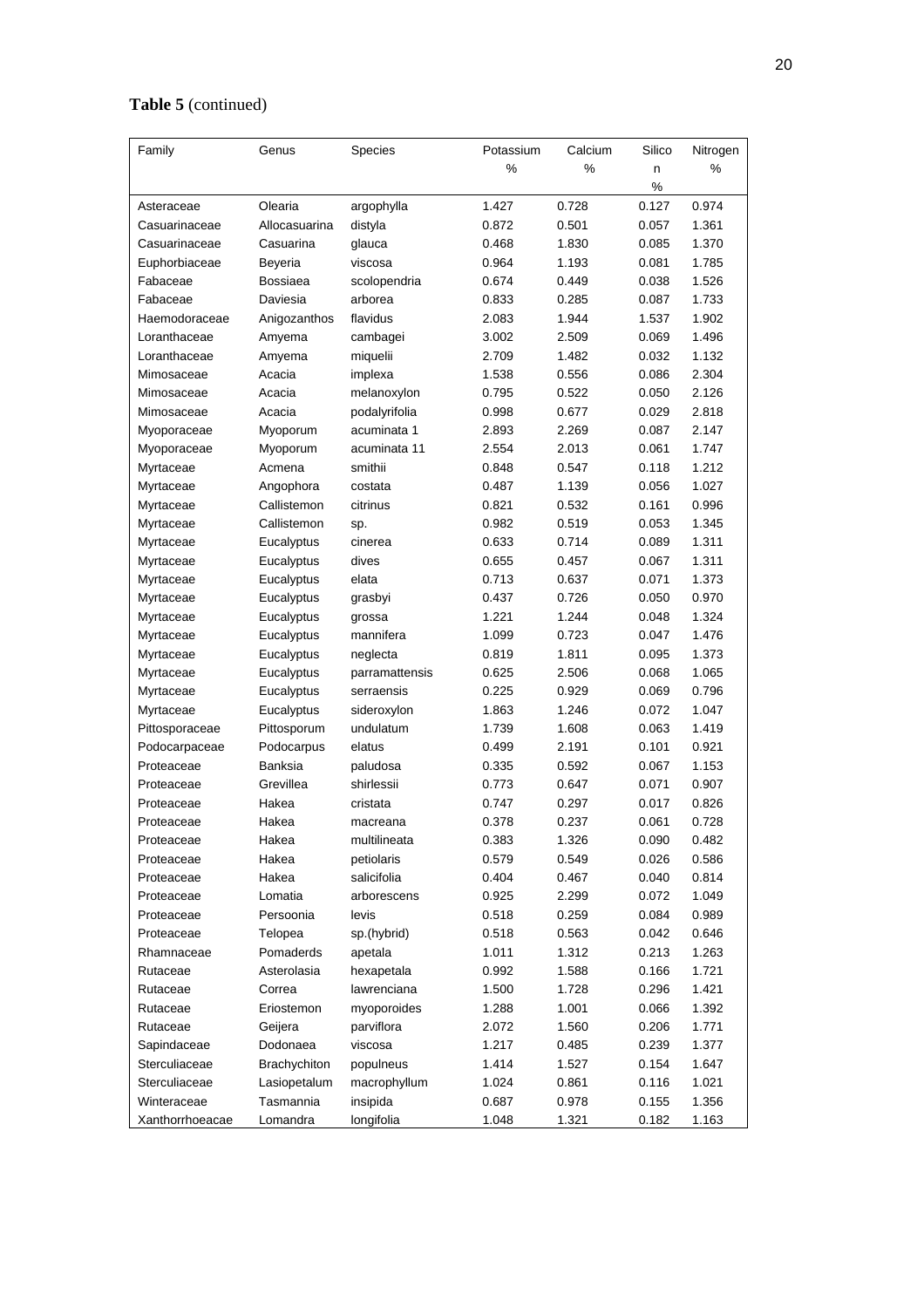# **Table 5** (continued)

| %<br>%<br>%<br>n<br>%<br>Olearia<br>1.427<br>0.728<br>0.127<br>0.974<br>Asteraceae<br>argophylla<br>Allocasuarina<br>0.872<br>0.501<br>0.057<br>1.361<br>Casuarinaceae<br>distyla<br>Casuarina<br>0.468<br>1.830<br>0.085<br>1.370<br>Casuarinaceae<br>glauca<br>Euphorbiaceae<br>0.964<br>1.193<br>0.081<br>1.785<br>Beyeria<br>viscosa<br>Bossiaea<br>0.674<br>0.038<br>1.526<br>Fabaceae<br>scolopendria<br>0.449<br>Fabaceae<br>Daviesia<br>0.833<br>0.285<br>0.087<br>1.733<br>arborea<br>Haemodoraceae<br>flavidus<br>2.083<br>1.944<br>1.537<br>1.902<br>Anigozanthos<br>3.002<br>2.509<br>0.069<br>1.496<br>Loranthaceae<br>cambagei<br>Amyema<br>Loranthaceae<br>2.709<br>1.482<br>0.032<br>1.132<br>Amyema<br>miquelii<br>Acacia<br>1.538<br>0.556<br>0.086<br>2.304<br>Mimosaceae<br>implexa<br>Acacia<br>0.795<br>0.522<br>0.050<br>2.126<br>Mimosaceae<br>melanoxylon<br>Acacia<br>0.998<br>0.677<br>0.029<br>2.818<br>Mimosaceae<br>podalyrifolia<br>acuminata 1<br>2.893<br>0.087<br>2.147<br>Myoporum<br>2.269<br>Myoporaceae<br>acuminata 11<br>2.554<br>2.013<br>0.061<br>1.747<br>Myoporum<br>Myoporaceae<br>Acmena<br>smithii<br>0.848<br>0.547<br>0.118<br>1.212<br>Myrtaceae<br>0.487<br>1.139<br>0.056<br>1.027<br>Myrtaceae<br>Angophora<br>costata<br>citrinus<br>0.821<br>0.532<br>0.161<br>0.996<br>Myrtaceae<br>Callistemon<br>Callistemon<br>0.982<br>0.519<br>0.053<br>1.345<br>Myrtaceae<br>sp.<br>Eucalyptus<br>0.633<br>0.714<br>0.089<br>1.311<br>Myrtaceae<br>cinerea<br>0.655<br>0.457<br>0.067<br>1.311<br>Myrtaceae<br>Eucalyptus<br>dives<br>0.713<br>0.637<br>0.071<br>1.373<br>Myrtaceae<br>Eucalyptus<br>elata<br>0.970<br>0.437<br>0.726<br>0.050<br>Myrtaceae<br>Eucalyptus<br>grasbyi<br>1.221<br>1.244<br>0.048<br>1.324<br>Myrtaceae<br>Eucalyptus<br>grossa<br>1.476<br>mannifera<br>1.099<br>0.723<br>0.047<br>Myrtaceae<br>Eucalyptus<br>0.819<br>1.811<br>0.095<br>1.373<br>Myrtaceae<br>Eucalyptus<br>neglecta<br>0.625<br>2.506<br>0.068<br>1.065<br>Myrtaceae<br>Eucalyptus<br>parramattensis<br>0.225<br>0.929<br>0.069<br>0.796<br>Myrtaceae<br>Eucalyptus<br>serraensis<br>1.047<br>1.863<br>1.246<br>0.072<br>Eucalyptus<br>sideroxylon<br>Myrtaceae |
|----------------------------------------------------------------------------------------------------------------------------------------------------------------------------------------------------------------------------------------------------------------------------------------------------------------------------------------------------------------------------------------------------------------------------------------------------------------------------------------------------------------------------------------------------------------------------------------------------------------------------------------------------------------------------------------------------------------------------------------------------------------------------------------------------------------------------------------------------------------------------------------------------------------------------------------------------------------------------------------------------------------------------------------------------------------------------------------------------------------------------------------------------------------------------------------------------------------------------------------------------------------------------------------------------------------------------------------------------------------------------------------------------------------------------------------------------------------------------------------------------------------------------------------------------------------------------------------------------------------------------------------------------------------------------------------------------------------------------------------------------------------------------------------------------------------------------------------------------------------------------------------------------------------------------------------------------------------------------------------------------------------------------------------------------------------------------------------------------------------------------------------------------------------------------------------------------------------|
|                                                                                                                                                                                                                                                                                                                                                                                                                                                                                                                                                                                                                                                                                                                                                                                                                                                                                                                                                                                                                                                                                                                                                                                                                                                                                                                                                                                                                                                                                                                                                                                                                                                                                                                                                                                                                                                                                                                                                                                                                                                                                                                                                                                                                |
|                                                                                                                                                                                                                                                                                                                                                                                                                                                                                                                                                                                                                                                                                                                                                                                                                                                                                                                                                                                                                                                                                                                                                                                                                                                                                                                                                                                                                                                                                                                                                                                                                                                                                                                                                                                                                                                                                                                                                                                                                                                                                                                                                                                                                |
|                                                                                                                                                                                                                                                                                                                                                                                                                                                                                                                                                                                                                                                                                                                                                                                                                                                                                                                                                                                                                                                                                                                                                                                                                                                                                                                                                                                                                                                                                                                                                                                                                                                                                                                                                                                                                                                                                                                                                                                                                                                                                                                                                                                                                |
|                                                                                                                                                                                                                                                                                                                                                                                                                                                                                                                                                                                                                                                                                                                                                                                                                                                                                                                                                                                                                                                                                                                                                                                                                                                                                                                                                                                                                                                                                                                                                                                                                                                                                                                                                                                                                                                                                                                                                                                                                                                                                                                                                                                                                |
|                                                                                                                                                                                                                                                                                                                                                                                                                                                                                                                                                                                                                                                                                                                                                                                                                                                                                                                                                                                                                                                                                                                                                                                                                                                                                                                                                                                                                                                                                                                                                                                                                                                                                                                                                                                                                                                                                                                                                                                                                                                                                                                                                                                                                |
|                                                                                                                                                                                                                                                                                                                                                                                                                                                                                                                                                                                                                                                                                                                                                                                                                                                                                                                                                                                                                                                                                                                                                                                                                                                                                                                                                                                                                                                                                                                                                                                                                                                                                                                                                                                                                                                                                                                                                                                                                                                                                                                                                                                                                |
|                                                                                                                                                                                                                                                                                                                                                                                                                                                                                                                                                                                                                                                                                                                                                                                                                                                                                                                                                                                                                                                                                                                                                                                                                                                                                                                                                                                                                                                                                                                                                                                                                                                                                                                                                                                                                                                                                                                                                                                                                                                                                                                                                                                                                |
|                                                                                                                                                                                                                                                                                                                                                                                                                                                                                                                                                                                                                                                                                                                                                                                                                                                                                                                                                                                                                                                                                                                                                                                                                                                                                                                                                                                                                                                                                                                                                                                                                                                                                                                                                                                                                                                                                                                                                                                                                                                                                                                                                                                                                |
|                                                                                                                                                                                                                                                                                                                                                                                                                                                                                                                                                                                                                                                                                                                                                                                                                                                                                                                                                                                                                                                                                                                                                                                                                                                                                                                                                                                                                                                                                                                                                                                                                                                                                                                                                                                                                                                                                                                                                                                                                                                                                                                                                                                                                |
|                                                                                                                                                                                                                                                                                                                                                                                                                                                                                                                                                                                                                                                                                                                                                                                                                                                                                                                                                                                                                                                                                                                                                                                                                                                                                                                                                                                                                                                                                                                                                                                                                                                                                                                                                                                                                                                                                                                                                                                                                                                                                                                                                                                                                |
|                                                                                                                                                                                                                                                                                                                                                                                                                                                                                                                                                                                                                                                                                                                                                                                                                                                                                                                                                                                                                                                                                                                                                                                                                                                                                                                                                                                                                                                                                                                                                                                                                                                                                                                                                                                                                                                                                                                                                                                                                                                                                                                                                                                                                |
|                                                                                                                                                                                                                                                                                                                                                                                                                                                                                                                                                                                                                                                                                                                                                                                                                                                                                                                                                                                                                                                                                                                                                                                                                                                                                                                                                                                                                                                                                                                                                                                                                                                                                                                                                                                                                                                                                                                                                                                                                                                                                                                                                                                                                |
|                                                                                                                                                                                                                                                                                                                                                                                                                                                                                                                                                                                                                                                                                                                                                                                                                                                                                                                                                                                                                                                                                                                                                                                                                                                                                                                                                                                                                                                                                                                                                                                                                                                                                                                                                                                                                                                                                                                                                                                                                                                                                                                                                                                                                |
|                                                                                                                                                                                                                                                                                                                                                                                                                                                                                                                                                                                                                                                                                                                                                                                                                                                                                                                                                                                                                                                                                                                                                                                                                                                                                                                                                                                                                                                                                                                                                                                                                                                                                                                                                                                                                                                                                                                                                                                                                                                                                                                                                                                                                |
|                                                                                                                                                                                                                                                                                                                                                                                                                                                                                                                                                                                                                                                                                                                                                                                                                                                                                                                                                                                                                                                                                                                                                                                                                                                                                                                                                                                                                                                                                                                                                                                                                                                                                                                                                                                                                                                                                                                                                                                                                                                                                                                                                                                                                |
|                                                                                                                                                                                                                                                                                                                                                                                                                                                                                                                                                                                                                                                                                                                                                                                                                                                                                                                                                                                                                                                                                                                                                                                                                                                                                                                                                                                                                                                                                                                                                                                                                                                                                                                                                                                                                                                                                                                                                                                                                                                                                                                                                                                                                |
|                                                                                                                                                                                                                                                                                                                                                                                                                                                                                                                                                                                                                                                                                                                                                                                                                                                                                                                                                                                                                                                                                                                                                                                                                                                                                                                                                                                                                                                                                                                                                                                                                                                                                                                                                                                                                                                                                                                                                                                                                                                                                                                                                                                                                |
|                                                                                                                                                                                                                                                                                                                                                                                                                                                                                                                                                                                                                                                                                                                                                                                                                                                                                                                                                                                                                                                                                                                                                                                                                                                                                                                                                                                                                                                                                                                                                                                                                                                                                                                                                                                                                                                                                                                                                                                                                                                                                                                                                                                                                |
|                                                                                                                                                                                                                                                                                                                                                                                                                                                                                                                                                                                                                                                                                                                                                                                                                                                                                                                                                                                                                                                                                                                                                                                                                                                                                                                                                                                                                                                                                                                                                                                                                                                                                                                                                                                                                                                                                                                                                                                                                                                                                                                                                                                                                |
|                                                                                                                                                                                                                                                                                                                                                                                                                                                                                                                                                                                                                                                                                                                                                                                                                                                                                                                                                                                                                                                                                                                                                                                                                                                                                                                                                                                                                                                                                                                                                                                                                                                                                                                                                                                                                                                                                                                                                                                                                                                                                                                                                                                                                |
|                                                                                                                                                                                                                                                                                                                                                                                                                                                                                                                                                                                                                                                                                                                                                                                                                                                                                                                                                                                                                                                                                                                                                                                                                                                                                                                                                                                                                                                                                                                                                                                                                                                                                                                                                                                                                                                                                                                                                                                                                                                                                                                                                                                                                |
|                                                                                                                                                                                                                                                                                                                                                                                                                                                                                                                                                                                                                                                                                                                                                                                                                                                                                                                                                                                                                                                                                                                                                                                                                                                                                                                                                                                                                                                                                                                                                                                                                                                                                                                                                                                                                                                                                                                                                                                                                                                                                                                                                                                                                |
|                                                                                                                                                                                                                                                                                                                                                                                                                                                                                                                                                                                                                                                                                                                                                                                                                                                                                                                                                                                                                                                                                                                                                                                                                                                                                                                                                                                                                                                                                                                                                                                                                                                                                                                                                                                                                                                                                                                                                                                                                                                                                                                                                                                                                |
|                                                                                                                                                                                                                                                                                                                                                                                                                                                                                                                                                                                                                                                                                                                                                                                                                                                                                                                                                                                                                                                                                                                                                                                                                                                                                                                                                                                                                                                                                                                                                                                                                                                                                                                                                                                                                                                                                                                                                                                                                                                                                                                                                                                                                |
|                                                                                                                                                                                                                                                                                                                                                                                                                                                                                                                                                                                                                                                                                                                                                                                                                                                                                                                                                                                                                                                                                                                                                                                                                                                                                                                                                                                                                                                                                                                                                                                                                                                                                                                                                                                                                                                                                                                                                                                                                                                                                                                                                                                                                |
|                                                                                                                                                                                                                                                                                                                                                                                                                                                                                                                                                                                                                                                                                                                                                                                                                                                                                                                                                                                                                                                                                                                                                                                                                                                                                                                                                                                                                                                                                                                                                                                                                                                                                                                                                                                                                                                                                                                                                                                                                                                                                                                                                                                                                |
|                                                                                                                                                                                                                                                                                                                                                                                                                                                                                                                                                                                                                                                                                                                                                                                                                                                                                                                                                                                                                                                                                                                                                                                                                                                                                                                                                                                                                                                                                                                                                                                                                                                                                                                                                                                                                                                                                                                                                                                                                                                                                                                                                                                                                |
|                                                                                                                                                                                                                                                                                                                                                                                                                                                                                                                                                                                                                                                                                                                                                                                                                                                                                                                                                                                                                                                                                                                                                                                                                                                                                                                                                                                                                                                                                                                                                                                                                                                                                                                                                                                                                                                                                                                                                                                                                                                                                                                                                                                                                |
|                                                                                                                                                                                                                                                                                                                                                                                                                                                                                                                                                                                                                                                                                                                                                                                                                                                                                                                                                                                                                                                                                                                                                                                                                                                                                                                                                                                                                                                                                                                                                                                                                                                                                                                                                                                                                                                                                                                                                                                                                                                                                                                                                                                                                |
|                                                                                                                                                                                                                                                                                                                                                                                                                                                                                                                                                                                                                                                                                                                                                                                                                                                                                                                                                                                                                                                                                                                                                                                                                                                                                                                                                                                                                                                                                                                                                                                                                                                                                                                                                                                                                                                                                                                                                                                                                                                                                                                                                                                                                |
| undulatum<br>1.739<br>1.608<br>0.063<br>1.419<br>Pittosporaceae<br>Pittosporum                                                                                                                                                                                                                                                                                                                                                                                                                                                                                                                                                                                                                                                                                                                                                                                                                                                                                                                                                                                                                                                                                                                                                                                                                                                                                                                                                                                                                                                                                                                                                                                                                                                                                                                                                                                                                                                                                                                                                                                                                                                                                                                                 |
| 0.499<br>2.191<br>0.101<br>0.921<br>Podocarpaceae<br>Podocarpus<br>elatus                                                                                                                                                                                                                                                                                                                                                                                                                                                                                                                                                                                                                                                                                                                                                                                                                                                                                                                                                                                                                                                                                                                                                                                                                                                                                                                                                                                                                                                                                                                                                                                                                                                                                                                                                                                                                                                                                                                                                                                                                                                                                                                                      |
| Banksia<br>0.335<br>0.592<br>0.067<br>1.153<br>Proteaceae<br>paludosa                                                                                                                                                                                                                                                                                                                                                                                                                                                                                                                                                                                                                                                                                                                                                                                                                                                                                                                                                                                                                                                                                                                                                                                                                                                                                                                                                                                                                                                                                                                                                                                                                                                                                                                                                                                                                                                                                                                                                                                                                                                                                                                                          |
| Grevillea<br>shirlessii<br>0.647<br>0.071<br>0.907<br>Proteaceae<br>0.773                                                                                                                                                                                                                                                                                                                                                                                                                                                                                                                                                                                                                                                                                                                                                                                                                                                                                                                                                                                                                                                                                                                                                                                                                                                                                                                                                                                                                                                                                                                                                                                                                                                                                                                                                                                                                                                                                                                                                                                                                                                                                                                                      |
| Hakea<br>0.297<br>0.017<br>0.826<br>cristata<br>0.747<br>Proteaceae                                                                                                                                                                                                                                                                                                                                                                                                                                                                                                                                                                                                                                                                                                                                                                                                                                                                                                                                                                                                                                                                                                                                                                                                                                                                                                                                                                                                                                                                                                                                                                                                                                                                                                                                                                                                                                                                                                                                                                                                                                                                                                                                            |
| 0.237<br>0.061<br>0.728<br>Hakea<br>0.378<br>Proteaceae<br>macreana                                                                                                                                                                                                                                                                                                                                                                                                                                                                                                                                                                                                                                                                                                                                                                                                                                                                                                                                                                                                                                                                                                                                                                                                                                                                                                                                                                                                                                                                                                                                                                                                                                                                                                                                                                                                                                                                                                                                                                                                                                                                                                                                            |
| 0.383<br>1.326<br>0.090<br>0.482<br>Hakea<br>multilineata<br>Proteaceae                                                                                                                                                                                                                                                                                                                                                                                                                                                                                                                                                                                                                                                                                                                                                                                                                                                                                                                                                                                                                                                                                                                                                                                                                                                                                                                                                                                                                                                                                                                                                                                                                                                                                                                                                                                                                                                                                                                                                                                                                                                                                                                                        |
| Hakea<br>petiolaris<br>0.579<br>0.549<br>0.026<br>0.586<br>Proteaceae                                                                                                                                                                                                                                                                                                                                                                                                                                                                                                                                                                                                                                                                                                                                                                                                                                                                                                                                                                                                                                                                                                                                                                                                                                                                                                                                                                                                                                                                                                                                                                                                                                                                                                                                                                                                                                                                                                                                                                                                                                                                                                                                          |
| salicifolia<br>Hakea<br>0.404<br>0.467<br>0.040<br>0.814<br>Proteaceae                                                                                                                                                                                                                                                                                                                                                                                                                                                                                                                                                                                                                                                                                                                                                                                                                                                                                                                                                                                                                                                                                                                                                                                                                                                                                                                                                                                                                                                                                                                                                                                                                                                                                                                                                                                                                                                                                                                                                                                                                                                                                                                                         |
| Lomatia<br>0.925<br>2.299<br>0.072<br>1.049<br>Proteaceae<br>arborescens                                                                                                                                                                                                                                                                                                                                                                                                                                                                                                                                                                                                                                                                                                                                                                                                                                                                                                                                                                                                                                                                                                                                                                                                                                                                                                                                                                                                                                                                                                                                                                                                                                                                                                                                                                                                                                                                                                                                                                                                                                                                                                                                       |
| 0.989<br>Persoonia<br>levis<br>0.518<br>0.259<br>0.084<br>Proteaceae                                                                                                                                                                                                                                                                                                                                                                                                                                                                                                                                                                                                                                                                                                                                                                                                                                                                                                                                                                                                                                                                                                                                                                                                                                                                                                                                                                                                                                                                                                                                                                                                                                                                                                                                                                                                                                                                                                                                                                                                                                                                                                                                           |
| Telopea<br>sp.(hybrid)<br>0.518<br>0.563<br>0.042<br>0.646<br>Proteaceae                                                                                                                                                                                                                                                                                                                                                                                                                                                                                                                                                                                                                                                                                                                                                                                                                                                                                                                                                                                                                                                                                                                                                                                                                                                                                                                                                                                                                                                                                                                                                                                                                                                                                                                                                                                                                                                                                                                                                                                                                                                                                                                                       |
| Pomaderds<br>apetala<br>1.011<br>1.312<br>0.213<br>1.263<br>Rhamnaceae                                                                                                                                                                                                                                                                                                                                                                                                                                                                                                                                                                                                                                                                                                                                                                                                                                                                                                                                                                                                                                                                                                                                                                                                                                                                                                                                                                                                                                                                                                                                                                                                                                                                                                                                                                                                                                                                                                                                                                                                                                                                                                                                         |
| Asterolasia<br>0.992<br>1.588<br>0.166<br>1.721<br>Rutaceae<br>hexapetala                                                                                                                                                                                                                                                                                                                                                                                                                                                                                                                                                                                                                                                                                                                                                                                                                                                                                                                                                                                                                                                                                                                                                                                                                                                                                                                                                                                                                                                                                                                                                                                                                                                                                                                                                                                                                                                                                                                                                                                                                                                                                                                                      |
| Correa<br>lawrenciana<br>1.500<br>1.728<br>0.296<br>1.421<br>Rutaceae                                                                                                                                                                                                                                                                                                                                                                                                                                                                                                                                                                                                                                                                                                                                                                                                                                                                                                                                                                                                                                                                                                                                                                                                                                                                                                                                                                                                                                                                                                                                                                                                                                                                                                                                                                                                                                                                                                                                                                                                                                                                                                                                          |
| Eriostemon<br>myoporoides<br>1.288<br>1.001<br>0.066<br>1.392<br>Rutaceae                                                                                                                                                                                                                                                                                                                                                                                                                                                                                                                                                                                                                                                                                                                                                                                                                                                                                                                                                                                                                                                                                                                                                                                                                                                                                                                                                                                                                                                                                                                                                                                                                                                                                                                                                                                                                                                                                                                                                                                                                                                                                                                                      |
| Geijera<br>parviflora<br>2.072<br>1.560<br>0.206<br>1.771<br>Rutaceae                                                                                                                                                                                                                                                                                                                                                                                                                                                                                                                                                                                                                                                                                                                                                                                                                                                                                                                                                                                                                                                                                                                                                                                                                                                                                                                                                                                                                                                                                                                                                                                                                                                                                                                                                                                                                                                                                                                                                                                                                                                                                                                                          |
| Sapindaceae<br>Dodonaea<br>viscosa<br>1.217<br>0.485<br>0.239<br>1.377                                                                                                                                                                                                                                                                                                                                                                                                                                                                                                                                                                                                                                                                                                                                                                                                                                                                                                                                                                                                                                                                                                                                                                                                                                                                                                                                                                                                                                                                                                                                                                                                                                                                                                                                                                                                                                                                                                                                                                                                                                                                                                                                         |
| Sterculiaceae<br>Brachychiton<br>populneus<br>1.414<br>1.527<br>0.154<br>1.647                                                                                                                                                                                                                                                                                                                                                                                                                                                                                                                                                                                                                                                                                                                                                                                                                                                                                                                                                                                                                                                                                                                                                                                                                                                                                                                                                                                                                                                                                                                                                                                                                                                                                                                                                                                                                                                                                                                                                                                                                                                                                                                                 |
| Sterculiaceae<br>Lasiopetalum<br>macrophyllum<br>1.024<br>0.861<br>0.116<br>1.021                                                                                                                                                                                                                                                                                                                                                                                                                                                                                                                                                                                                                                                                                                                                                                                                                                                                                                                                                                                                                                                                                                                                                                                                                                                                                                                                                                                                                                                                                                                                                                                                                                                                                                                                                                                                                                                                                                                                                                                                                                                                                                                              |
| Tasmannia<br>Winteraceae<br>insipida<br>0.687<br>0.978<br>0.155<br>1.356                                                                                                                                                                                                                                                                                                                                                                                                                                                                                                                                                                                                                                                                                                                                                                                                                                                                                                                                                                                                                                                                                                                                                                                                                                                                                                                                                                                                                                                                                                                                                                                                                                                                                                                                                                                                                                                                                                                                                                                                                                                                                                                                       |
| Xanthorrhoeacae<br>Lomandra<br>longifolia<br>1.048<br>1.321<br>1.163<br>0.182                                                                                                                                                                                                                                                                                                                                                                                                                                                                                                                                                                                                                                                                                                                                                                                                                                                                                                                                                                                                                                                                                                                                                                                                                                                                                                                                                                                                                                                                                                                                                                                                                                                                                                                                                                                                                                                                                                                                                                                                                                                                                                                                  |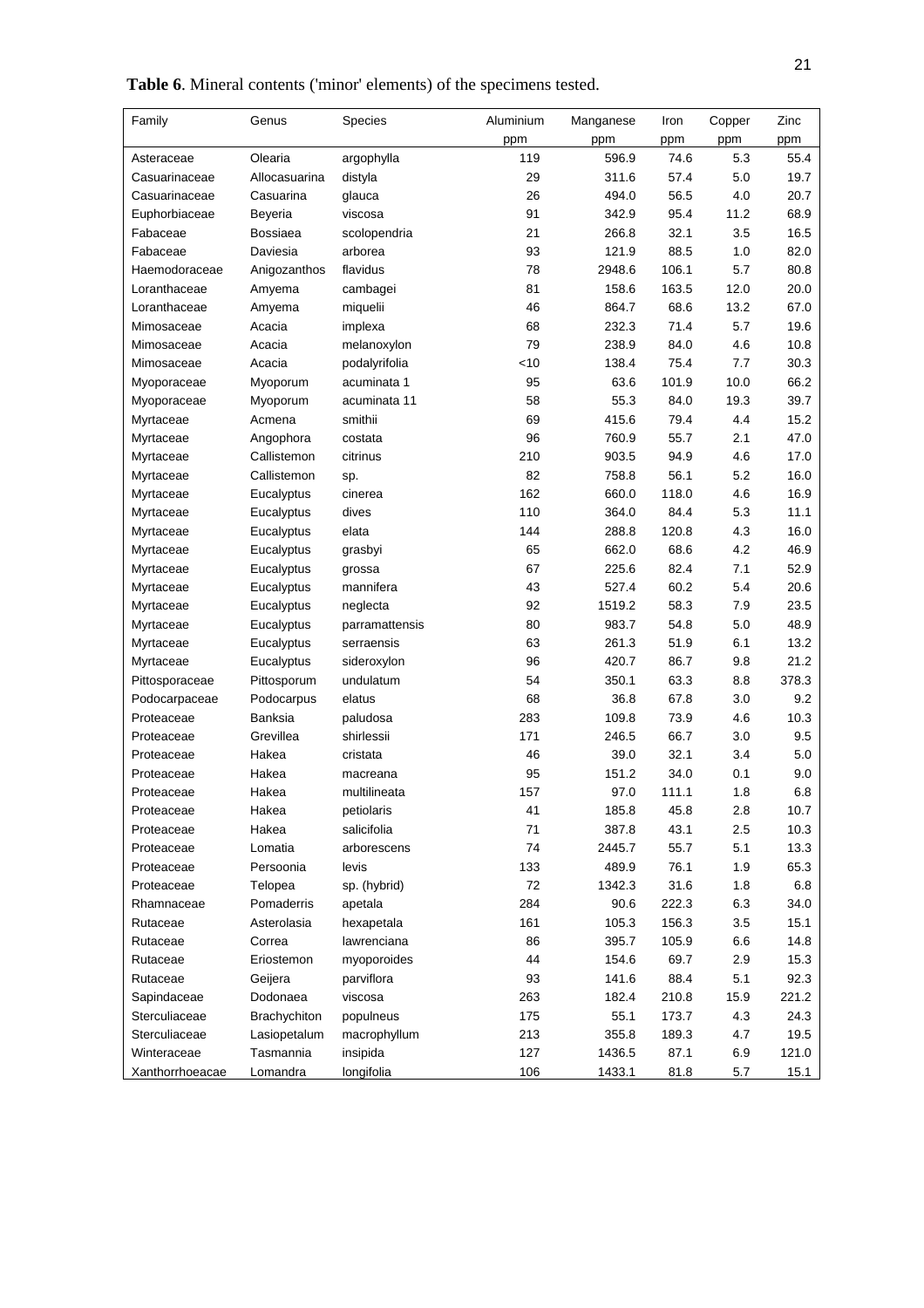| Table 6. Mineral contents ('minor' elements) of the specimens tested. |  |  |  |
|-----------------------------------------------------------------------|--|--|--|
|                                                                       |  |  |  |

| Family          | Genus           | Species        | Aluminium | Manganese | Iron  | Copper | Zinc  |
|-----------------|-----------------|----------------|-----------|-----------|-------|--------|-------|
|                 |                 |                | ppm       | ppm       | ppm   | ppm    | ppm   |
| Asteraceae      | Olearia         | argophylla     | 119       | 596.9     | 74.6  | 5.3    | 55.4  |
| Casuarinaceae   | Allocasuarina   | distyla        | 29        | 311.6     | 57.4  | 5.0    | 19.7  |
| Casuarinaceae   | Casuarina       | glauca         | 26        | 494.0     | 56.5  | 4.0    | 20.7  |
| Euphorbiaceae   | Beyeria         | viscosa        | 91        | 342.9     | 95.4  | 11.2   | 68.9  |
| Fabaceae        | <b>Bossiaea</b> | scolopendria   | 21        | 266.8     | 32.1  | 3.5    | 16.5  |
| Fabaceae        | Daviesia        | arborea        | 93        | 121.9     | 88.5  | 1.0    | 82.0  |
| Haemodoraceae   | Anigozanthos    | flavidus       | 78        | 2948.6    | 106.1 | 5.7    | 80.8  |
| Loranthaceae    | Amyema          | cambagei       | 81        | 158.6     | 163.5 | 12.0   | 20.0  |
| Loranthaceae    | Amyema          | miquelii       | 46        | 864.7     | 68.6  | 13.2   | 67.0  |
| Mimosaceae      | Acacia          | implexa        | 68        | 232.3     | 71.4  | 5.7    | 19.6  |
| Mimosaceae      | Acacia          | melanoxylon    | 79        | 238.9     | 84.0  | 4.6    | 10.8  |
| Mimosaceae      | Acacia          | podalyrifolia  | $<$ 10    | 138.4     | 75.4  | 7.7    | 30.3  |
| Myoporaceae     | Myoporum        | acuminata 1    | 95        | 63.6      | 101.9 | 10.0   | 66.2  |
| Myoporaceae     | Myoporum        | acuminata 11   | 58        | 55.3      | 84.0  | 19.3   | 39.7  |
| Myrtaceae       | Acmena          | smithii        | 69        | 415.6     | 79.4  | 4.4    | 15.2  |
| Myrtaceae       | Angophora       | costata        | 96        | 760.9     | 55.7  | 2.1    | 47.0  |
| Myrtaceae       | Callistemon     | citrinus       | 210       | 903.5     | 94.9  | 4.6    | 17.0  |
| Myrtaceae       | Callistemon     | sp.            | 82        | 758.8     | 56.1  | 5.2    | 16.0  |
| Myrtaceae       | Eucalyptus      | cinerea        | 162       | 660.0     | 118.0 | 4.6    | 16.9  |
| Myrtaceae       | Eucalyptus      | dives          | 110       | 364.0     | 84.4  | 5.3    | 11.1  |
| Myrtaceae       | Eucalyptus      | elata          | 144       | 288.8     | 120.8 | 4.3    | 16.0  |
| Myrtaceae       | Eucalyptus      | grasbyi        | 65        | 662.0     | 68.6  | 4.2    | 46.9  |
| Myrtaceae       | Eucalyptus      | grossa         | 67        | 225.6     | 82.4  | 7.1    | 52.9  |
| Myrtaceae       | Eucalyptus      | mannifera      | 43        | 527.4     | 60.2  | 5.4    | 20.6  |
| Myrtaceae       | Eucalyptus      | neglecta       | 92        | 1519.2    | 58.3  | 7.9    | 23.5  |
| Myrtaceae       | Eucalyptus      | parramattensis | 80        | 983.7     | 54.8  | 5.0    | 48.9  |
| Myrtaceae       | Eucalyptus      | serraensis     | 63        | 261.3     | 51.9  | 6.1    | 13.2  |
| Myrtaceae       | Eucalyptus      | sideroxylon    | 96        | 420.7     | 86.7  | 9.8    | 21.2  |
| Pittosporaceae  | Pittosporum     | undulatum      | 54        | 350.1     | 63.3  | 8.8    | 378.3 |
| Podocarpaceae   | Podocarpus      | elatus         | 68        | 36.8      | 67.8  | 3.0    | 9.2   |
| Proteaceae      | Banksia         | paludosa       | 283       | 109.8     | 73.9  | 4.6    | 10.3  |
| Proteaceae      | Grevillea       | shirlessii     | 171       | 246.5     | 66.7  | 3.0    | 9.5   |
| Proteaceae      | Hakea           | cristata       | 46        | 39.0      | 32.1  | 3.4    | 5.0   |
| Proteaceae      | Hakea           | macreana       | 95        | 151.2     | 34.0  | 0.1    | 9.0   |
| Proteaceae      | Hakea           | multilineata   | 157       | 97.0      | 111.1 | 1.8    | 6.8   |
| Proteaceae      | Hakea           | petiolaris     | 41        | 185.8     | 45.8  | 2.8    | 10.7  |
| Proteaceae      | Hakea           | salicifolia    | $71$      | 387.8     | 43.1  | 2.5    | 10.3  |
| Proteaceae      | Lomatia         | arborescens    | 74        | 2445.7    | 55.7  | 5.1    | 13.3  |
| Proteaceae      | Persoonia       | levis          | 133       | 489.9     | 76.1  | 1.9    | 65.3  |
| Proteaceae      | Telopea         | sp. (hybrid)   | 72        | 1342.3    | 31.6  | 1.8    | 6.8   |
| Rhamnaceae      | Pomaderris      | apetala        | 284       | 90.6      | 222.3 | 6.3    | 34.0  |
| Rutaceae        | Asterolasia     | hexapetala     | 161       | 105.3     | 156.3 | 3.5    | 15.1  |
| Rutaceae        | Correa          | lawrenciana    | 86        | 395.7     | 105.9 | 6.6    | 14.8  |
| Rutaceae        | Eriostemon      | myoporoides    | 44        | 154.6     | 69.7  | 2.9    | 15.3  |
| Rutaceae        | Geijera         | parviflora     | 93        | 141.6     | 88.4  | 5.1    | 92.3  |
| Sapindaceae     | Dodonaea        | viscosa        | 263       | 182.4     | 210.8 | 15.9   | 221.2 |
| Sterculiaceae   | Brachychiton    | populneus      | 175       | 55.1      | 173.7 | 4.3    | 24.3  |
| Sterculiaceae   | Lasiopetalum    | macrophyllum   | 213       | 355.8     | 189.3 | 4.7    | 19.5  |
| Winteraceae     | Tasmannia       | insipida       | 127       | 1436.5    | 87.1  | 6.9    | 121.0 |
| Xanthorrhoeacae | Lomandra        | longifolia     | 106       | 1433.1    | 81.8  | 5.7    | 15.1  |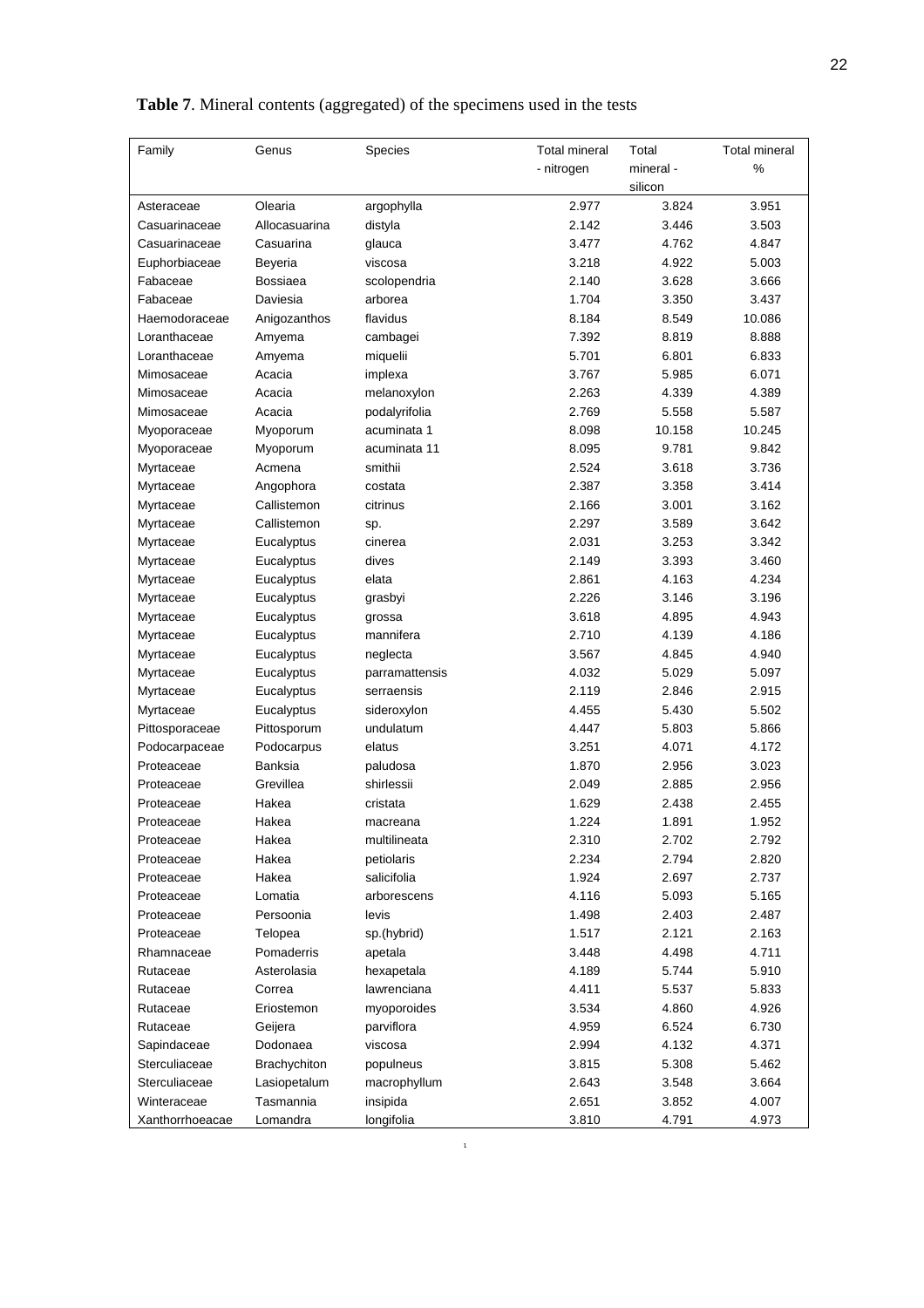22

| Family          | Genus               | Species        | <b>Total mineral</b> | Total     | <b>Total mineral</b> |
|-----------------|---------------------|----------------|----------------------|-----------|----------------------|
|                 |                     |                | - nitrogen           | mineral - | %                    |
|                 |                     |                |                      | silicon   |                      |
| Asteraceae      | Olearia             | argophylla     | 2.977                | 3.824     | 3.951                |
| Casuarinaceae   | Allocasuarina       | distyla        | 2.142                | 3.446     | 3.503                |
| Casuarinaceae   | Casuarina           | glauca         | 3.477                | 4.762     | 4.847                |
| Euphorbiaceae   | Beyeria             | viscosa        | 3.218                | 4.922     | 5.003                |
| Fabaceae        | <b>Bossiaea</b>     | scolopendria   | 2.140                | 3.628     | 3.666                |
| Fabaceae        | Daviesia            | arborea        | 1.704                | 3.350     | 3.437                |
| Haemodoraceae   | Anigozanthos        | flavidus       | 8.184                | 8.549     | 10.086               |
| Loranthaceae    | Amyema              | cambagei       | 7.392                | 8.819     | 8.888                |
| Loranthaceae    | Amyema              | miquelii       | 5.701                | 6.801     | 6.833                |
| Mimosaceae      | Acacia              | implexa        | 3.767                | 5.985     | 6.071                |
| Mimosaceae      | Acacia              | melanoxylon    | 2.263                | 4.339     | 4.389                |
| Mimosaceae      | Acacia              | podalyrifolia  | 2.769                | 5.558     | 5.587                |
| Myoporaceae     | Myoporum            | acuminata 1    | 8.098                | 10.158    | 10.245               |
| Myoporaceae     | Myoporum            | acuminata 11   | 8.095                | 9.781     | 9.842                |
| Myrtaceae       | Acmena              | smithii        | 2.524                | 3.618     | 3.736                |
| Myrtaceae       | Angophora           | costata        | 2.387                | 3.358     | 3.414                |
| Myrtaceae       | Callistemon         | citrinus       | 2.166                | 3.001     | 3.162                |
| Myrtaceae       | Callistemon         | sp.            | 2.297                | 3.589     | 3.642                |
| Myrtaceae       | Eucalyptus          | cinerea        | 2.031                | 3.253     | 3.342                |
| Myrtaceae       | Eucalyptus          | dives          | 2.149                | 3.393     | 3.460                |
| Myrtaceae       | Eucalyptus          | elata          | 2.861                | 4.163     | 4.234                |
| Myrtaceae       | Eucalyptus          | grasbyi        | 2.226                | 3.146     | 3.196                |
| Myrtaceae       | Eucalyptus          | grossa         | 3.618                | 4.895     | 4.943                |
| Myrtaceae       | Eucalyptus          | mannifera      | 2.710                | 4.139     | 4.186                |
| Myrtaceae       | Eucalyptus          | neglecta       | 3.567                | 4.845     | 4.940                |
| Myrtaceae       | Eucalyptus          | parramattensis | 4.032                | 5.029     | 5.097                |
| Myrtaceae       | Eucalyptus          | serraensis     | 2.119                | 2.846     | 2.915                |
| Myrtaceae       | Eucalyptus          | sideroxylon    | 4.455                | 5.430     | 5.502                |
| Pittosporaceae  | Pittosporum         | undulatum      | 4.447                | 5.803     | 5.866                |
| Podocarpaceae   | Podocarpus          | elatus         | 3.251                | 4.071     | 4.172                |
| Proteaceae      | Banksia             | paludosa       | 1.870                | 2.956     | 3.023                |
| Proteaceae      | Grevillea           | shirlessii     | 2.049                | 2.885     | 2.956                |
| Proteaceae      | Hakea               | cristata       | 1.629                | 2.438     | 2.455                |
| Proteaceae      | Hakea               | macreana       | 1.224                | 1.891     | 1.952                |
| Proteaceae      | Hakea               | multilineata   | 2.310                | 2.702     | 2.792                |
| Proteaceae      | Hakea               | petiolaris     | 2.234                | 2.794     | 2.820                |
| Proteaceae      | Hakea               | salicifolia    | 1.924                | 2.697     | 2.737                |
| Proteaceae      | Lomatia             | arborescens    | 4.116                | 5.093     | 5.165                |
| Proteaceae      | Persoonia           | levis          | 1.498                | 2.403     | 2.487                |
| Proteaceae      | Telopea             | sp.(hybrid)    | 1.517                | 2.121     | 2.163                |
| Rhamnaceae      | Pomaderris          | apetala        | 3.448                | 4.498     | 4.711                |
| Rutaceae        | Asterolasia         | hexapetala     | 4.189                | 5.744     | 5.910                |
| Rutaceae        | Correa              | lawrenciana    | 4.411                | 5.537     | 5.833                |
| Rutaceae        | Eriostemon          | myoporoides    | 3.534                | 4.860     | 4.926                |
| Rutaceae        | Geijera             | parviflora     | 4.959                | 6.524     | 6.730                |
| Sapindaceae     | Dodonaea            | viscosa        | 2.994                | 4.132     | 4.371                |
| Sterculiaceae   | <b>Brachychiton</b> | populneus      | 3.815                | 5.308     | 5.462                |
| Sterculiaceae   | Lasiopetalum        | macrophyllum   | 2.643                | 3.548     | 3.664                |
| Winteraceae     | Tasmannia           | insipida       | 2.651                | 3.852     | 4.007                |
| Xanthorrhoeacae | Lomandra            | longifolia     | 3.810                | 4.791     | 4.973                |

# **Table 7**. Mineral contents (aggregated) of the specimens used in the tests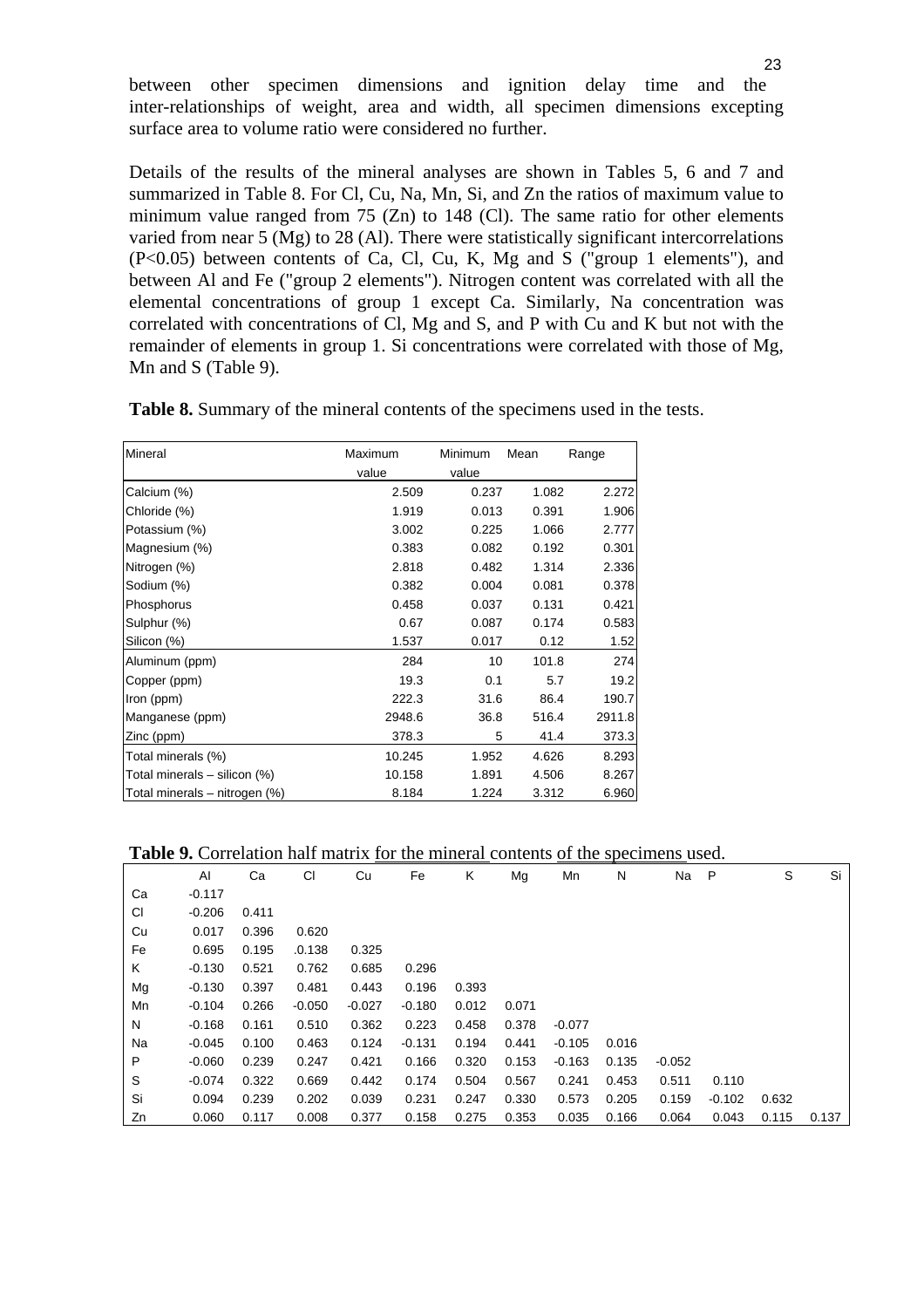between other specimen dimensions and ignition delay time and the inter-relationships of weight, area and width, all specimen dimensions excepting surface area to volume ratio were considered no further.

Details of the results of the mineral analyses are shown in Tables 5, 6 and 7 and summarized in Table 8. For Cl, Cu, Na, Mn, Si, and Zn the ratios of maximum value to minimum value ranged from 75 (Zn) to 148 (Cl). The same ratio for other elements varied from near 5 (Mg) to 28 (Al). There were statistically significant intercorrelations (P<0.05) between contents of Ca, Cl, Cu, K, Mg and S ("group 1 elements"), and between Al and Fe ("group 2 elements"). Nitrogen content was correlated with all the elemental concentrations of group 1 except Ca. Similarly, Na concentration was correlated with concentrations of Cl, Mg and S, and P with Cu and K but not with the remainder of elements in group 1. Si concentrations were correlated with those of Mg, Mn and S (Table 9).

| <b>Table 8.</b> Summary of the mineral contents of the specimens used in the tests. |  |  |  |  |  |  |
|-------------------------------------------------------------------------------------|--|--|--|--|--|--|
|-------------------------------------------------------------------------------------|--|--|--|--|--|--|

| Mineral                       | Maximum | Minimum | Mean  | Range  |  |
|-------------------------------|---------|---------|-------|--------|--|
|                               | value   | value   |       |        |  |
| Calcium (%)                   | 2.509   | 0.237   | 1.082 | 2.272  |  |
| Chloride (%)                  | 1.919   | 0.013   | 0.391 | 1.906  |  |
| Potassium (%)                 | 3.002   | 0.225   | 1.066 | 2.777  |  |
| Magnesium (%)                 | 0.383   | 0.082   | 0.192 | 0.301  |  |
| Nitrogen (%)                  | 2.818   | 0.482   | 1.314 | 2.336  |  |
| Sodium (%)                    | 0.382   | 0.004   | 0.081 | 0.378  |  |
| Phosphorus                    | 0.458   | 0.037   | 0.131 | 0.421  |  |
| Sulphur (%)                   | 0.67    | 0.087   | 0.174 | 0.583  |  |
| Silicon (%)                   | 1.537   | 0.017   | 0.12  | 1.52   |  |
| Aluminum (ppm)                | 284     | 10      | 101.8 | 274    |  |
| Copper (ppm)                  | 19.3    | 0.1     | 5.7   | 19.2   |  |
| Iron (ppm)                    | 222.3   | 31.6    | 86.4  | 190.7  |  |
| Manganese (ppm)               | 2948.6  | 36.8    | 516.4 | 2911.8 |  |
| Zinc (ppm)                    | 378.3   | 5       | 41.4  | 373.3  |  |
| Total minerals (%)            | 10.245  | 1.952   | 4.626 | 8.293  |  |
| Total minerals - silicon (%)  | 10.158  | 1.891   | 4.506 | 8.267  |  |
| Total minerals - nitrogen (%) | 8.184   | 1.224   | 3.312 | 6.960  |  |

#### **Table 9.** Correlation half matrix for the mineral contents of the specimens used.

|    | AI       | Ca    | CI       | Cu       | Fe       | Κ     | Mg    | Mn       | N     | Na       | P        | S     | Si    |
|----|----------|-------|----------|----------|----------|-------|-------|----------|-------|----------|----------|-------|-------|
| Ca | $-0.117$ |       |          |          |          |       |       |          |       |          |          |       |       |
| CI | $-0.206$ | 0.411 |          |          |          |       |       |          |       |          |          |       |       |
| Cu | 0.017    | 0.396 | 0.620    |          |          |       |       |          |       |          |          |       |       |
| Fe | 0.695    | 0.195 | .0.138   | 0.325    |          |       |       |          |       |          |          |       |       |
| Κ  | $-0.130$ | 0.521 | 0.762    | 0.685    | 0.296    |       |       |          |       |          |          |       |       |
| Mg | $-0.130$ | 0.397 | 0.481    | 0.443    | 0.196    | 0.393 |       |          |       |          |          |       |       |
| Mn | $-0.104$ | 0.266 | $-0.050$ | $-0.027$ | $-0.180$ | 0.012 | 0.071 |          |       |          |          |       |       |
| N  | $-0.168$ | 0.161 | 0.510    | 0.362    | 0.223    | 0.458 | 0.378 | $-0.077$ |       |          |          |       |       |
| Na | $-0.045$ | 0.100 | 0.463    | 0.124    | $-0.131$ | 0.194 | 0.441 | $-0.105$ | 0.016 |          |          |       |       |
| P  | $-0.060$ | 0.239 | 0.247    | 0.421    | 0.166    | 0.320 | 0.153 | $-0.163$ | 0.135 | $-0.052$ |          |       |       |
| S  | $-0.074$ | 0.322 | 0.669    | 0.442    | 0.174    | 0.504 | 0.567 | 0.241    | 0.453 | 0.511    | 0.110    |       |       |
| Si | 0.094    | 0.239 | 0.202    | 0.039    | 0.231    | 0.247 | 0.330 | 0.573    | 0.205 | 0.159    | $-0.102$ | 0.632 |       |
| Zn | 0.060    | 0.117 | 0.008    | 0.377    | 0.158    | 0.275 | 0.353 | 0.035    | 0.166 | 0.064    | 0.043    | 0.115 | 0.137 |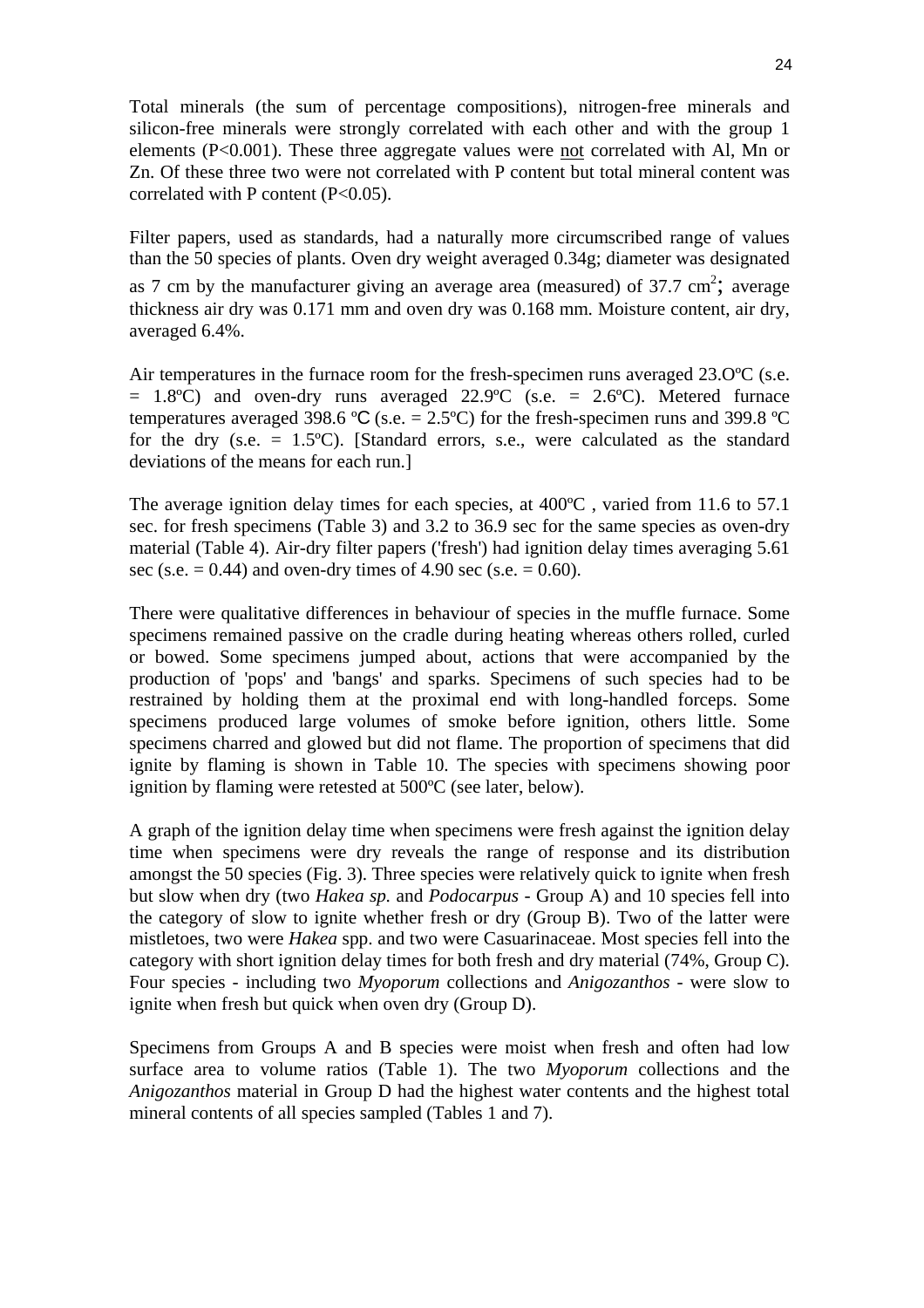Total minerals (the sum of percentage compositions), nitrogen-free minerals and silicon-free minerals were strongly correlated with each other and with the group 1 elements (P<0.001). These three aggregate values were not correlated with Al, Mn or Zn. Of these three two were not correlated with P content but total mineral content was correlated with P content  $(P<0.05)$ .

Filter papers, used as standards, had a naturally more circumscribed range of values than the 50 species of plants. Oven dry weight averaged 0.34g; diameter was designated as 7 cm by the manufacturer giving an average area (measured) of  $37.7 \text{ cm}^2$ ; average thickness air dry was 0.171 mm and oven dry was 0.168 mm. Moisture content, air dry, averaged 6.4%.

Air temperatures in the furnace room for the fresh-specimen runs averaged 23.0 °C (s.e.  $= 1.8$ °C) and oven-dry runs averaged 22.9°C (s.e.  $= 2.6$ °C). Metered furnace temperatures averaged 398.6 °C (s.e. = 2.5°C) for the fresh-specimen runs and 399.8 °C for the dry (s.e.  $= 1.5^{\circ}$ C). [Standard errors, s.e., were calculated as the standard deviations of the means for each run.]

The average ignition delay times for each species, at 400°C, varied from 11.6 to 57.1 sec. for fresh specimens (Table 3) and 3.2 to 36.9 sec for the same species as oven-dry material (Table 4). Air-dry filter papers ('fresh') had ignition delay times averaging 5.61 sec (s.e.  $= 0.44$ ) and oven-dry times of 4.90 sec (s.e.  $= 0.60$ ).

There were qualitative differences in behaviour of species in the muffle furnace. Some specimens remained passive on the cradle during heating whereas others rolled, curled or bowed. Some specimens jumped about, actions that were accompanied by the production of 'pops' and 'bangs' and sparks. Specimens of such species had to be restrained by holding them at the proximal end with long-handled forceps. Some specimens produced large volumes of smoke before ignition, others little. Some specimens charred and glowed but did not flame. The proportion of specimens that did ignite by flaming is shown in Table 10. The species with specimens showing poor ignition by flaming were retested at 500ºC (see later, below).

A graph of the ignition delay time when specimens were fresh against the ignition delay time when specimens were dry reveals the range of response and its distribution amongst the 50 species (Fig. 3). Three species were relatively quick to ignite when fresh but slow when dry (two *Hakea sp.* and *Podocarpus -* Group A) and 10 species fell into the category of slow to ignite whether fresh or dry (Group B). Two of the latter were mistletoes, two were *Hakea* spp. and two were Casuarinaceae. Most species fell into the category with short ignition delay times for both fresh and dry material (74%, Group C). Four species - including two *Myoporum* collections and *Anigozanthos -* were slow to ignite when fresh but quick when oven dry (Group D).

Specimens from Groups A and B species were moist when fresh and often had low surface area to volume ratios (Table 1). The two *Myoporum* collections and the *Anigozanthos* material in Group D had the highest water contents and the highest total mineral contents of all species sampled (Tables 1 and 7).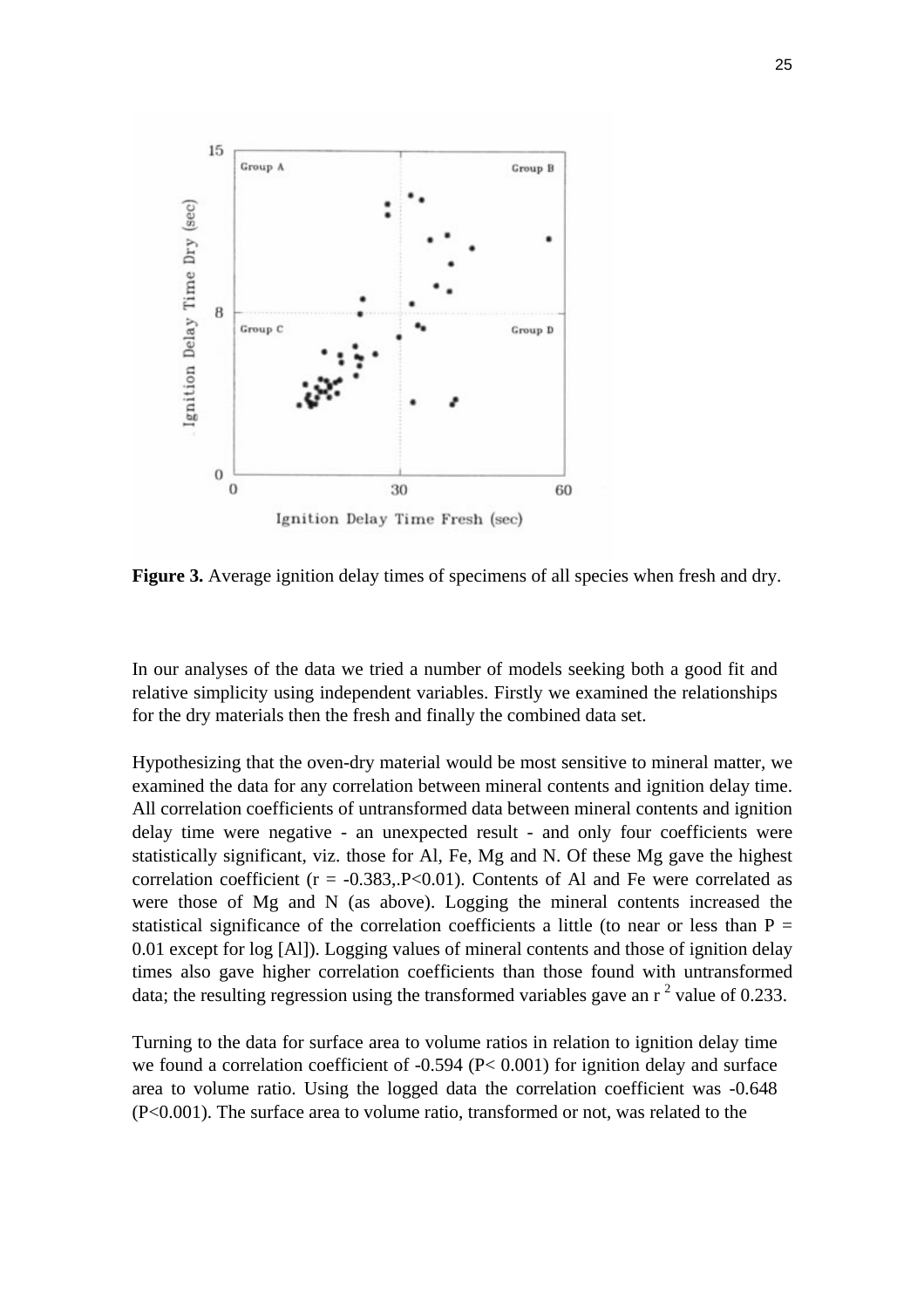

Figure 3. Average ignition delay times of specimens of all species when fresh and dry.

In our analyses of the data we tried a number of models seeking both a good fit and relative simplicity using independent variables. Firstly we examined the relationships for the dry materials then the fresh and finally the combined data set.

Hypothesizing that the oven-dry material would be most sensitive to mineral matter, we examined the data for any correlation between mineral contents and ignition delay time. All correlation coefficients of untransformed data between mineral contents and ignition delay time were negative - an unexpected result - and only four coefficients were statistically significant, viz. those for Al, Fe, Mg and N. Of these Mg gave the highest correlation coefficient ( $r = -0.383$ ,  $P < 0.01$ ). Contents of Al and Fe were correlated as were those of Mg and N (as above). Logging the mineral contents increased the statistical significance of the correlation coefficients a little (to near or less than  $P =$ 0.01 except for log [Al]). Logging values of mineral contents and those of ignition delay times also gave higher correlation coefficients than those found with untransformed data; the resulting regression using the transformed variables gave an  $r^2$  value of 0.233.

Turning to the data for surface area to volume ratios in relation to ignition delay time we found a correlation coefficient of -0.594 (P< 0.001) for ignition delay and surface area to volume ratio. Using the logged data the correlation coefficient was -0.648 (P<0.001). The surface area to volume ratio, transformed or not, was related to the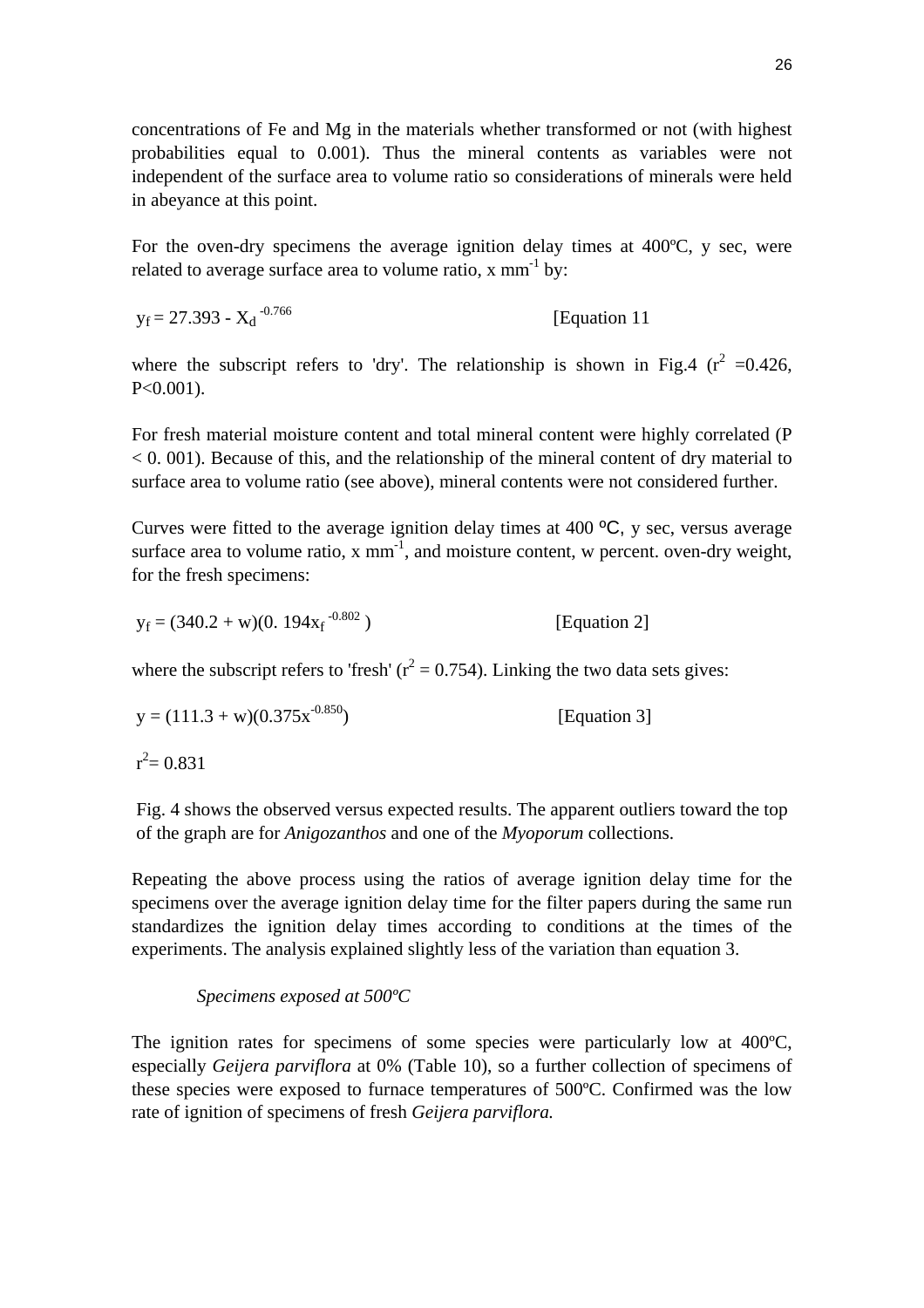concentrations of Fe and Mg in the materials whether transformed or not (with highest probabilities equal to 0.001). Thus the mineral contents as variables were not independent of the surface area to volume ratio so considerations of minerals were held in abeyance at this point.

For the oven-dry specimens the average ignition delay times at 400ºC, y sec, were related to average surface area to volume ratio,  $x \text{ mm}^{-1}$  by:

 $y_f = 27.393 - X_d^{0.766}$ [Equation 11]

where the subscript refers to 'dry'. The relationship is shown in Fig.4 ( $r^2$  =0.426, P<0.001).

For fresh material moisture content and total mineral content were highly correlated (P  $< 0.001$ ). Because of this, and the relationship of the mineral content of dry material to surface area to volume ratio (see above), mineral contents were not considered further.

Curves were fitted to the average ignition delay times at 400 ºC, y sec, versus average surface area to volume ratio,  $x \text{ mm}^{-1}$ , and moisture content, w percent. oven-dry weight, for the fresh specimens:

$$
y_f = (340.2 + w)(0.194x_f^{-0.802})
$$
 [Equation 2]

where the subscript refers to 'fresh' ( $r^2 = 0.754$ ). Linking the two data sets gives:

$$
y = (111.3 + w)(0.375x-0.850)
$$
 [Equation 3]

 $r^2$  = 0.831

Fig. 4 shows the observed versus expected results. The apparent outliers toward the top of the graph are for *Anigozanthos* and one of the *Myoporum* collections.

Repeating the above process using the ratios of average ignition delay time for the specimens over the average ignition delay time for the filter papers during the same run standardizes the ignition delay times according to conditions at the times of the experiments. The analysis explained slightly less of the variation than equation 3.

# *Specimens exposed at 500ºC*

The ignition rates for specimens of some species were particularly low at 400ºC, especially *Geijera parviflora* at 0% (Table 10), so a further collection of specimens of these species were exposed to furnace temperatures of 500ºC. Confirmed was the low rate of ignition of specimens of fresh *Geijera parviflora.*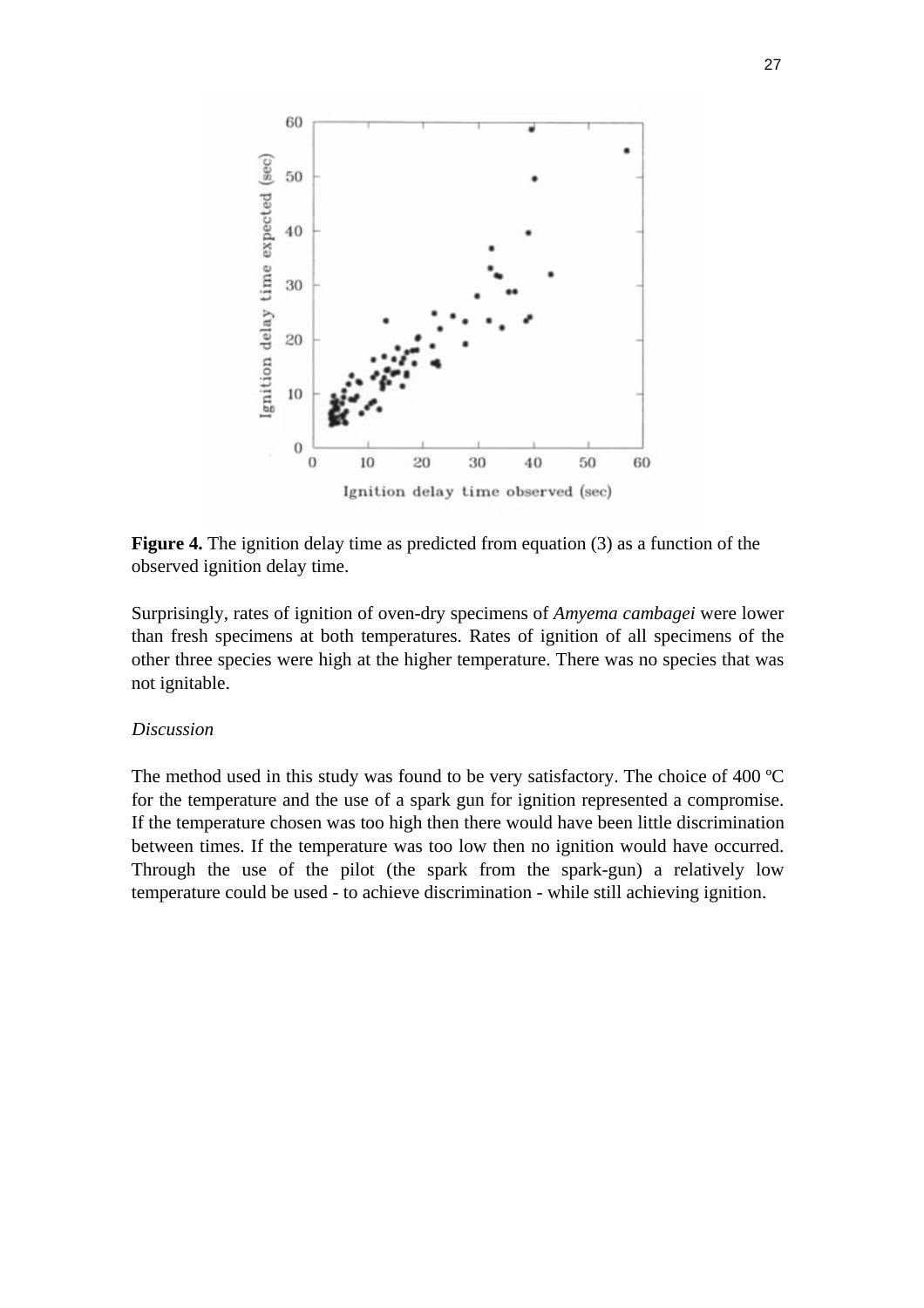

**Figure 4.** The ignition delay time as predicted from equation (3) as a function of the observed ignition delay time.

Surprisingly, rates of ignition of oven-dry specimens of *Amyema cambagei* were lower than fresh specimens at both temperatures. Rates of ignition of all specimens of the other three species were high at the higher temperature. There was no species that was not ignitable.

# *Discussion*

The method used in this study was found to be very satisfactory. The choice of 400 ºC for the temperature and the use of a spark gun for ignition represented a compromise. If the temperature chosen was too high then there would have been little discrimination between times. If the temperature was too low then no ignition would have occurred. Through the use of the pilot (the spark from the spark-gun) a relatively low temperature could be used - to achieve discrimination - while still achieving ignition.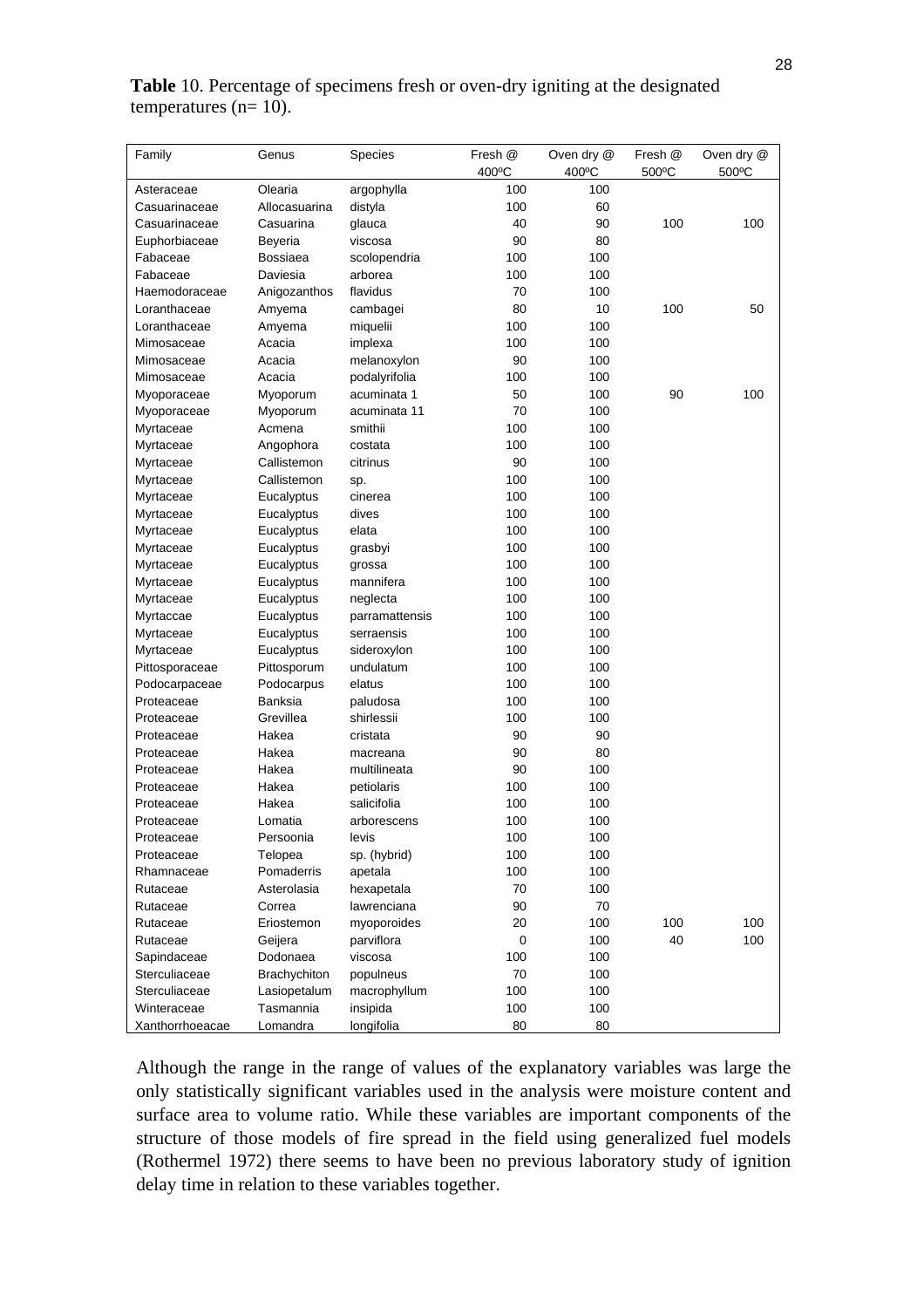| Family          | Genus         | Species        | Fresh @   | Oven dry @ | Fresh @ | Oven dry @ |
|-----------------|---------------|----------------|-----------|------------|---------|------------|
|                 |               |                | 400°C     | 400°C      | 500°C   | 500°C      |
| Asteraceae      | Olearia       | argophylla     | 100       | 100        |         |            |
| Casuarinaceae   | Allocasuarina | distyla        | 100       | 60         |         |            |
| Casuarinaceae   | Casuarina     | glauca         | 40        | 90         | 100     | 100        |
| Euphorbiaceae   | Beyeria       | viscosa        | 90        | 80         |         |            |
| Fabaceae        | Bossiaea      | scolopendria   | 100       | 100        |         |            |
| Fabaceae        | Daviesia      | arborea        | 100       | 100        |         |            |
| Haemodoraceae   | Anigozanthos  | flavidus       | 70        | 100        |         |            |
| Loranthaceae    | Amyema        | cambagei       | 80        | 10         | 100     | 50         |
| Loranthaceae    | Amyema        | miquelii       | 100       | 100        |         |            |
| Mimosaceae      | Acacia        | implexa        | 100       | 100        |         |            |
| Mimosaceae      | Acacia        | melanoxylon    | 90        | 100        |         |            |
| Mimosaceae      | Acacia        | podalyrifolia  | 100       | 100        |         |            |
| Myoporaceae     | Myoporum      | acuminata 1    | 50        | 100        | 90      | 100        |
| Myoporaceae     | Myoporum      | acuminata 11   | 70        | 100        |         |            |
| Myrtaceae       | Acmena        | smithii        | 100       | 100        |         |            |
| Myrtaceae       | Angophora     | costata        | 100       | 100        |         |            |
| Myrtaceae       | Callistemon   | citrinus       | 90        | 100        |         |            |
| Myrtaceae       | Callistemon   | sp.            | 100       | 100        |         |            |
| Myrtaceae       | Eucalyptus    | cinerea        | 100       | 100        |         |            |
| Myrtaceae       | Eucalyptus    | dives          | 100       | 100        |         |            |
| Myrtaceae       | Eucalyptus    | elata          | 100       | 100        |         |            |
| Myrtaceae       | Eucalyptus    | grasbyi        | 100       | 100        |         |            |
| Myrtaceae       | Eucalyptus    | grossa         | 100       | 100        |         |            |
| Myrtaceae       | Eucalyptus    | mannifera      | 100       | 100        |         |            |
| Myrtaceae       | Eucalyptus    | neglecta       | 100       | 100        |         |            |
| Myrtaccae       | Eucalyptus    | parramattensis | 100       | 100        |         |            |
| Myrtaceae       | Eucalyptus    | serraensis     | 100       | 100        |         |            |
| Myrtaceae       | Eucalyptus    | sideroxylon    | 100       | 100        |         |            |
| Pittosporaceae  | Pittosporum   | undulatum      | 100       | 100        |         |            |
| Podocarpaceae   | Podocarpus    | elatus         | 100       | 100        |         |            |
| Proteaceae      | Banksia       | paludosa       | 100       | 100        |         |            |
| Proteaceae      | Grevillea     | shirlessii     | 100       | 100        |         |            |
| Proteaceae      | Hakea         | cristata       | 90        | 90         |         |            |
| Proteaceae      | Hakea         | macreana       | 90        | 80         |         |            |
| Proteaceae      | Hakea         | multilineata   | 90        | 100        |         |            |
| Proteaceae      | Hakea         | petiolaris     | 100       | 100        |         |            |
| Proteaceae      | Hakea         | salicifolia    | 100       | 100        |         |            |
| Proteaceae      | Lomatia       | arborescens    | 100       | 100        |         |            |
| Proteaceae      | Persoonia     | levis          | 100       | 100        |         |            |
| Proteaceae      | Telopea       | sp. (hybrid)   | 100       | 100        |         |            |
| Rhamnaceae      | Pomaderris    | apetala        | 100       | 100        |         |            |
| Rutaceae        | Asterolasia   | hexapetala     | 70        | 100        |         |            |
| Rutaceae        | Correa        | lawrenciana    | 90        | 70         |         |            |
| Rutaceae        | Eriostemon    | myoporoides    | 20        | 100        | 100     | 100        |
| Rutaceae        | Geijera       | parviflora     | $\pmb{0}$ | 100        | 40      | 100        |
| Sapindaceae     | Dodonaea      | viscosa        | 100       | 100        |         |            |
| Sterculiaceae   | Brachychiton  | populneus      | 70        | 100        |         |            |
| Sterculiaceae   | Lasiopetalum  | macrophyllum   | 100       | 100        |         |            |
| Winteraceae     | Tasmannia     | insipida       | 100       | 100        |         |            |
| Xanthorrhoeacae | Lomandra      | longifolia     | 80        | 80         |         |            |

# **Table** 10. Percentage of specimens fresh or oven-dry igniting at the designated temperatures ( $n=10$ ).

Although the range in the range of values of the explanatory variables was large the only statistically significant variables used in the analysis were moisture content and surface area to volume ratio. While these variables are important components of the structure of those models of fire spread in the field using generalized fuel models (Rothermel 1972) there seems to have been no previous laboratory study of ignition delay time in relation to these variables together.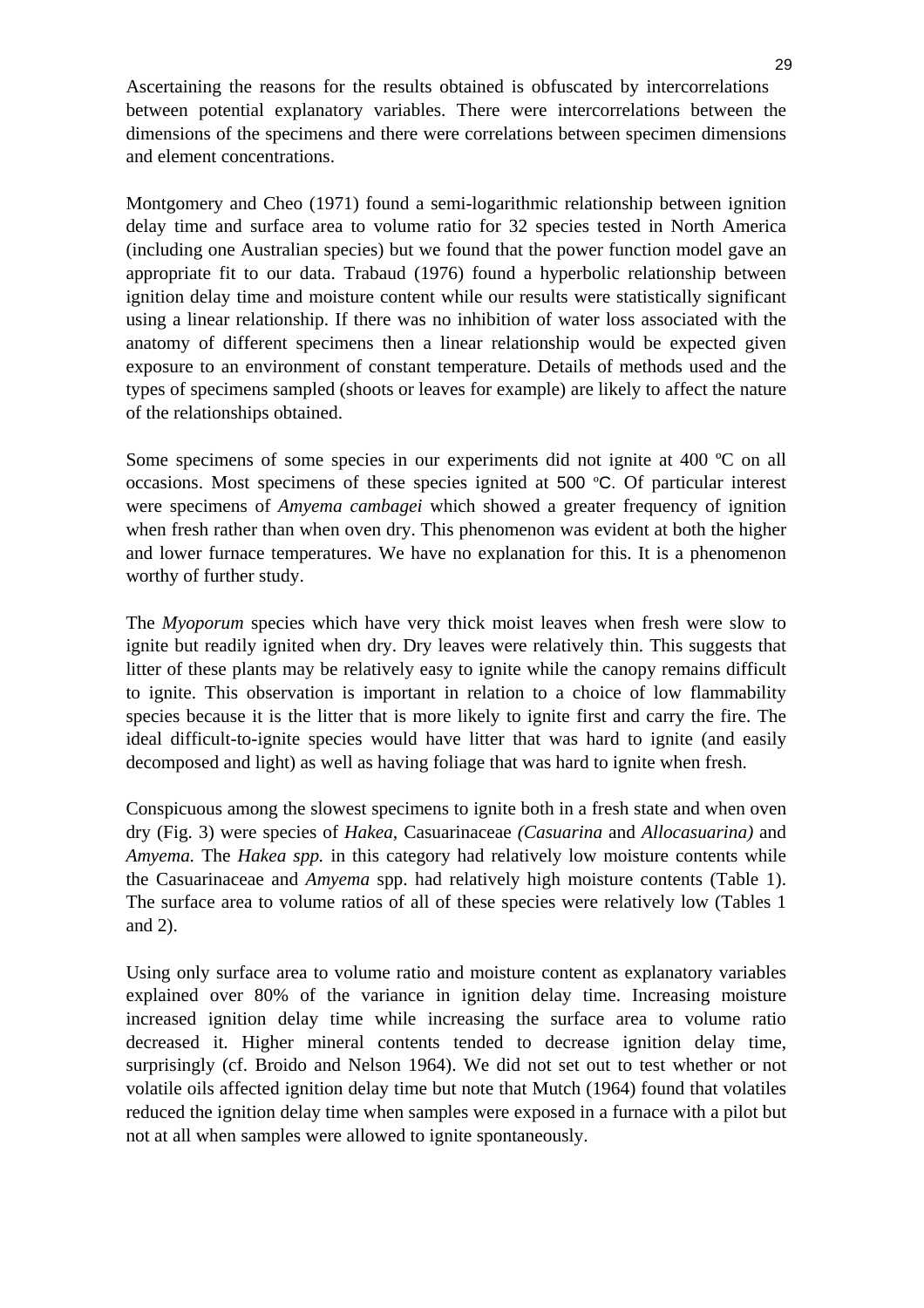Ascertaining the reasons for the results obtained is obfuscated by intercorrelations between potential explanatory variables. There were intercorrelations between the dimensions of the specimens and there were correlations between specimen dimensions and element concentrations.

Montgomery and Cheo (1971) found a semi-logarithmic relationship between ignition delay time and surface area to volume ratio for 32 species tested in North America (including one Australian species) but we found that the power function model gave an appropriate fit to our data. Trabaud (1976) found a hyperbolic relationship between ignition delay time and moisture content while our results were statistically significant using a linear relationship. If there was no inhibition of water loss associated with the anatomy of different specimens then a linear relationship would be expected given exposure to an environment of constant temperature. Details of methods used and the types of specimens sampled (shoots or leaves for example) are likely to affect the nature of the relationships obtained.

Some specimens of some species in our experiments did not ignite at 400 °C on all occasions. Most specimens of these species ignited at 500 ºC. Of particular interest were specimens of *Amyema cambagei* which showed a greater frequency of ignition when fresh rather than when oven dry. This phenomenon was evident at both the higher and lower furnace temperatures. We have no explanation for this. It is a phenomenon worthy of further study.

The *Myoporum* species which have very thick moist leaves when fresh were slow to ignite but readily ignited when dry. Dry leaves were relatively thin. This suggests that litter of these plants may be relatively easy to ignite while the canopy remains difficult to ignite. This observation is important in relation to a choice of low flammability species because it is the litter that is more likely to ignite first and carry the fire. The ideal difficult-to-ignite species would have litter that was hard to ignite (and easily decomposed and light) as well as having foliage that was hard to ignite when fresh.

Conspicuous among the slowest specimens to ignite both in a fresh state and when oven dry (Fig. 3) were species of *Hakea,* Casuarinaceae *(Casuarina* and *Allocasuarina)* and *Amyema.* The *Hakea spp.* in this category had relatively low moisture contents while the Casuarinaceae and *Amyema* spp. had relatively high moisture contents (Table 1). The surface area to volume ratios of all of these species were relatively low (Tables 1 and 2).

Using only surface area to volume ratio and moisture content as explanatory variables explained over 80% of the variance in ignition delay time. Increasing moisture increased ignition delay time while increasing the surface area to volume ratio decreased it. Higher mineral contents tended to decrease ignition delay time, surprisingly (cf. Broido and Nelson 1964). We did not set out to test whether or not volatile oils affected ignition delay time but note that Mutch (1964) found that volatiles reduced the ignition delay time when samples were exposed in a furnace with a pilot but not at all when samples were allowed to ignite spontaneously.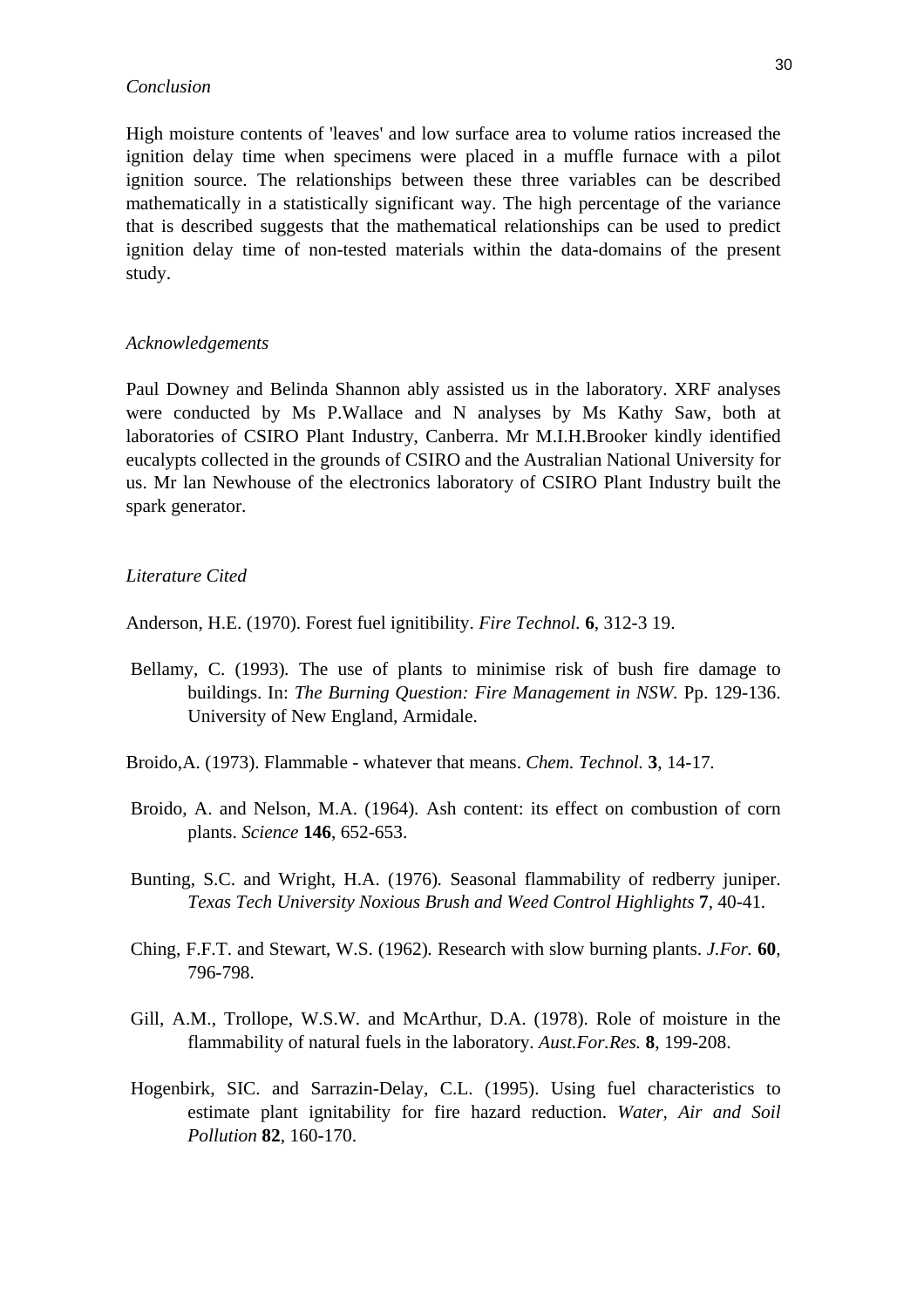#### *Conclusion*

High moisture contents of 'leaves' and low surface area to volume ratios increased the ignition delay time when specimens were placed in a muffle furnace with a pilot ignition source. The relationships between these three variables can be described mathematically in a statistically significant way. The high percentage of the variance that is described suggests that the mathematical relationships can be used to predict ignition delay time of non-tested materials within the data-domains of the present study.

#### *Acknowledgements*

Paul Downey and Belinda Shannon ably assisted us in the laboratory. XRF analyses were conducted by Ms P.Wallace and N analyses by Ms Kathy Saw, both at laboratories of CSIRO Plant Industry, Canberra. Mr M.I.H.Brooker kindly identified eucalypts collected in the grounds of CSIRO and the Australian National University for us. Mr lan Newhouse of the electronics laboratory of CSIRO Plant Industry built the spark generator.

#### *Literature Cited*

Anderson, H.E. (1970). Forest fuel ignitibility. *Fire Technol.* **6**, 312-3 19.

- Bellamy, C. (1993)*.* The use of plants to minimise risk of bush fire damage to buildings. In: *The Burning Question: Fire Management in NSW.* Pp. 129-136. University of New England, Armidale.
- Broido,A. (1973). Flammable whatever that means. *Chem. Technol.* **3**, 14-17*.*
- Broido, A. and Nelson, M.A. (1964)*.* Ash content: its effect on combustion of corn plants. *Science* **146**, 652-653.
- Bunting, S.C. and Wright, H.A. (1976)*.* Seasonal flammability of redberry juniper. *Texas Tech University Noxious Brush and Weed Control Highlights* **7**, 40-41*.*
- Ching, F.F.T. and Stewart, W.S. (1962)*.* Research with slow burning plants. *J.For.* **60**, 796-798.
- Gill, A.M., Trollope, W.S.W. and McArthur, D.A. (1978). Role of moisture in the flammability of natural fuels in the laboratory. *Aust.For.Res.* **8**, 199-208.
- Hogenbirk, SIC. and Sarrazin-Delay, C.L. (1995). Using fuel characteristics to estimate plant ignitability for fire hazard reduction. *Water, Air and Soil Pollution* **82**, 160-170.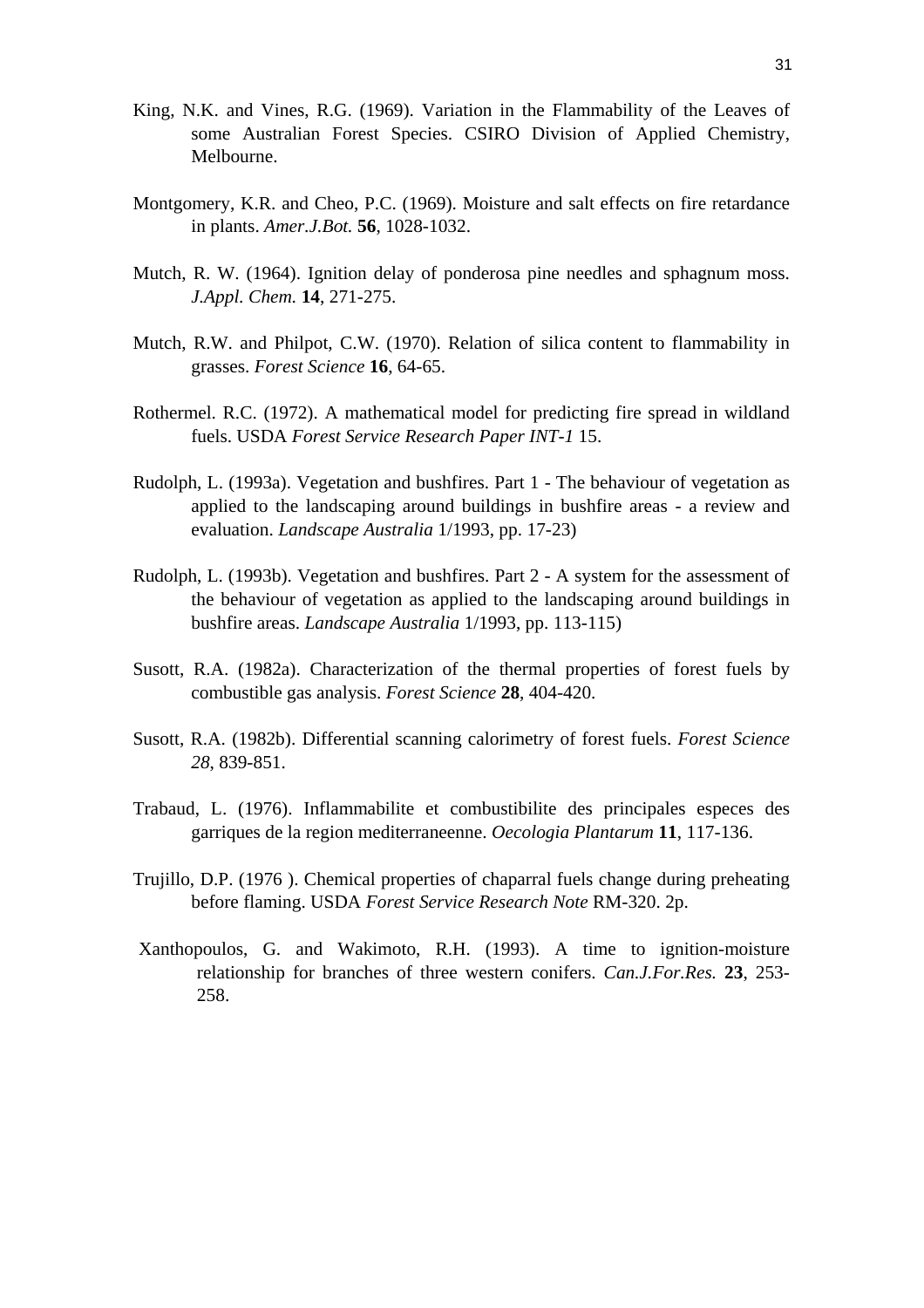- King, N.K. and Vines, R.G. (1969). Variation in the Flammability of the Leaves of some Australian Forest Species. CSIRO Division of Applied Chemistry, Melbourne.
- Montgomery, K.R. and Cheo, P.C. (1969). Moisture and salt effects on fire retardance in plants. *Amer.J.Bot.* **56**, 1028-1032.
- Mutch, R. W. (1964). Ignition delay of ponderosa pine needles and sphagnum moss. *J.Appl. Chem.* **14**, 271-275.
- Mutch, R.W. and Philpot, C.W. (1970). Relation of silica content to flammability in grasses. *Forest Science* **16**, 64-65.
- Rothermel. R.C. (1972). A mathematical model for predicting fire spread in wildland fuels. USDA *Forest Service Research Paper INT-1* 15.
- Rudolph, L. (1993a). Vegetation and bushfires. Part 1 The behaviour of vegetation as applied to the landscaping around buildings in bushfire areas - a review and evaluation. *Landscape Australia* 1/1993, pp. 17-23)
- Rudolph, L. (1993b). Vegetation and bushfires. Part 2 A system for the assessment of the behaviour of vegetation as applied to the landscaping around buildings in bushfire areas. *Landscape Australia* 1/1993, pp. 113-115)
- Susott, R.A. (1982a). Characterization of the thermal properties of forest fuels by combustible gas analysis. *Forest Science* **28**, 404-420.
- Susott, R.A. (1982b). Differential scanning calorimetry of forest fuels. *Forest Science 28*, 839-851.
- Trabaud, L. (1976). Inflammabilite et combustibilite des principales especes des garriques de la region mediterraneenne. *Oecologia Plantarum* **11**, 117-136.
- Trujillo, D.P. (1976 ). Chemical properties of chaparral fuels change during preheating before flaming. USDA *Forest Service Research Note* RM-320. 2p.
- Xanthopoulos, G. and Wakimoto, R.H. (1993). A time to ignition-moisture relationship for branches of three western conifers. *Can.J.For.Res.* **23**, 253- 258.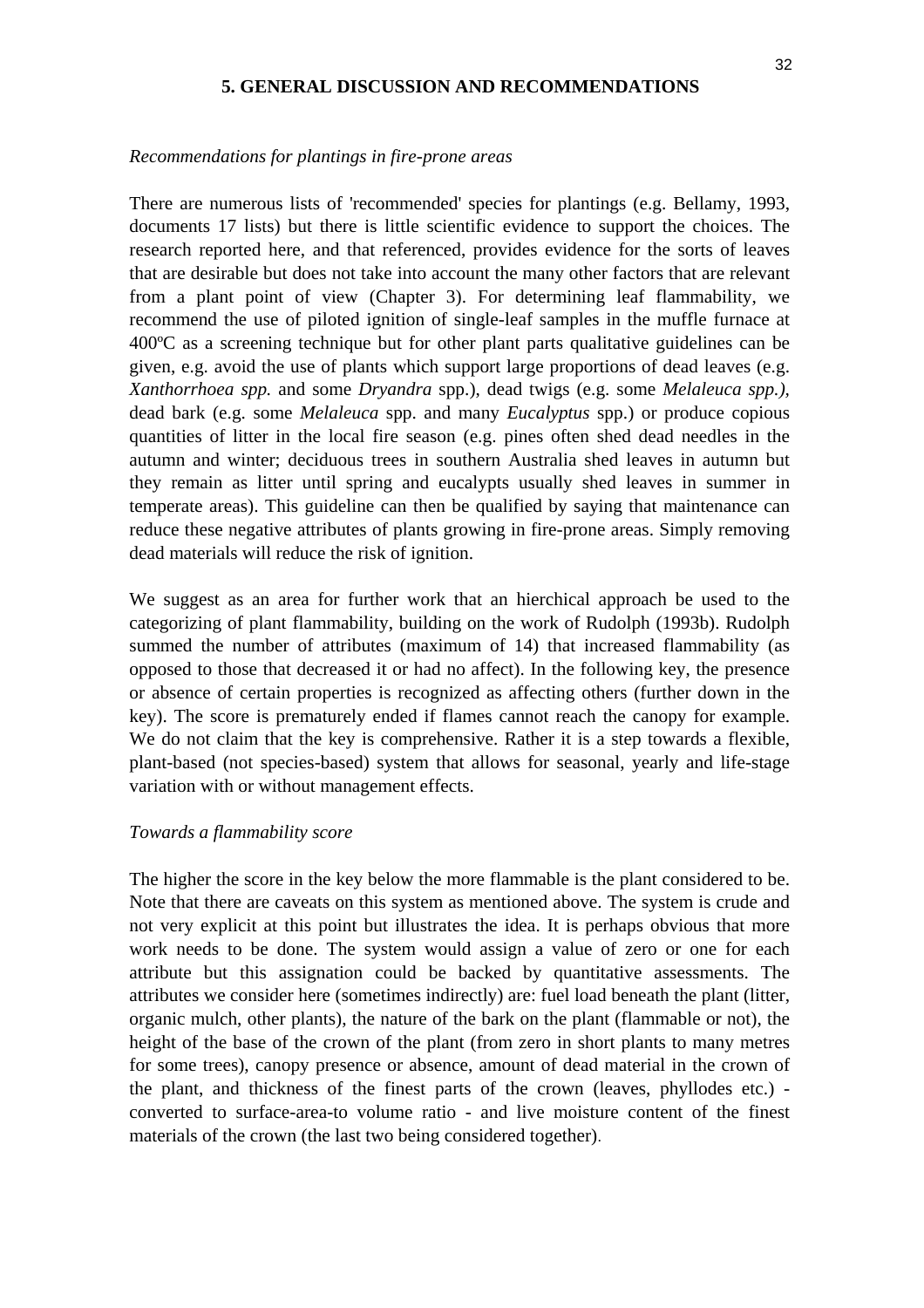#### **5. GENERAL DISCUSSION AND RECOMMENDATIONS**

#### *Recommendations for plantings in fire-prone areas*

There are numerous lists of 'recommended' species for plantings (e.g. Bellamy, 1993, documents 17 lists) but there is little scientific evidence to support the choices. The research reported here, and that referenced, provides evidence for the sorts of leaves that are desirable but does not take into account the many other factors that are relevant from a plant point of view (Chapter 3). For determining leaf flammability, we recommend the use of piloted ignition of single-leaf samples in the muffle furnace at 400ºC as a screening technique but for other plant parts qualitative guidelines can be given, e.g. avoid the use of plants which support large proportions of dead leaves (e.g. *Xanthorrhoea spp.* and some *Dryandra* spp.), dead twigs (e.g. some *Melaleuca spp.),*  dead bark (e.g. some *Melaleuca* spp. and many *Eucalyptus* spp.) or produce copious quantities of litter in the local fire season (e.g. pines often shed dead needles in the autumn and winter; deciduous trees in southern Australia shed leaves in autumn but they remain as litter until spring and eucalypts usually shed leaves in summer in temperate areas). This guideline can then be qualified by saying that maintenance can reduce these negative attributes of plants growing in fire-prone areas. Simply removing dead materials will reduce the risk of ignition.

We suggest as an area for further work that an hierchical approach be used to the categorizing of plant flammability, building on the work of Rudolph (1993b). Rudolph summed the number of attributes (maximum of 14) that increased flammability (as opposed to those that decreased it or had no affect). In the following key, the presence or absence of certain properties is recognized as affecting others (further down in the key). The score is prematurely ended if flames cannot reach the canopy for example. We do not claim that the key is comprehensive. Rather it is a step towards a flexible, plant-based (not species-based) system that allows for seasonal, yearly and life-stage variation with or without management effects.

#### *Towards a flammability score*

The higher the score in the key below the more flammable is the plant considered to be. Note that there are caveats on this system as mentioned above. The system is crude and not very explicit at this point but illustrates the idea. It is perhaps obvious that more work needs to be done. The system would assign a value of zero or one for each attribute but this assignation could be backed by quantitative assessments. The attributes we consider here (sometimes indirectly) are: fuel load beneath the plant (litter, organic mulch, other plants), the nature of the bark on the plant (flammable or not), the height of the base of the crown of the plant (from zero in short plants to many metres for some trees), canopy presence or absence, amount of dead material in the crown of the plant, and thickness of the finest parts of the crown (leaves, phyllodes etc.) converted to surface-area-to volume ratio - and live moisture content of the finest materials of the crown (the last two being considered together).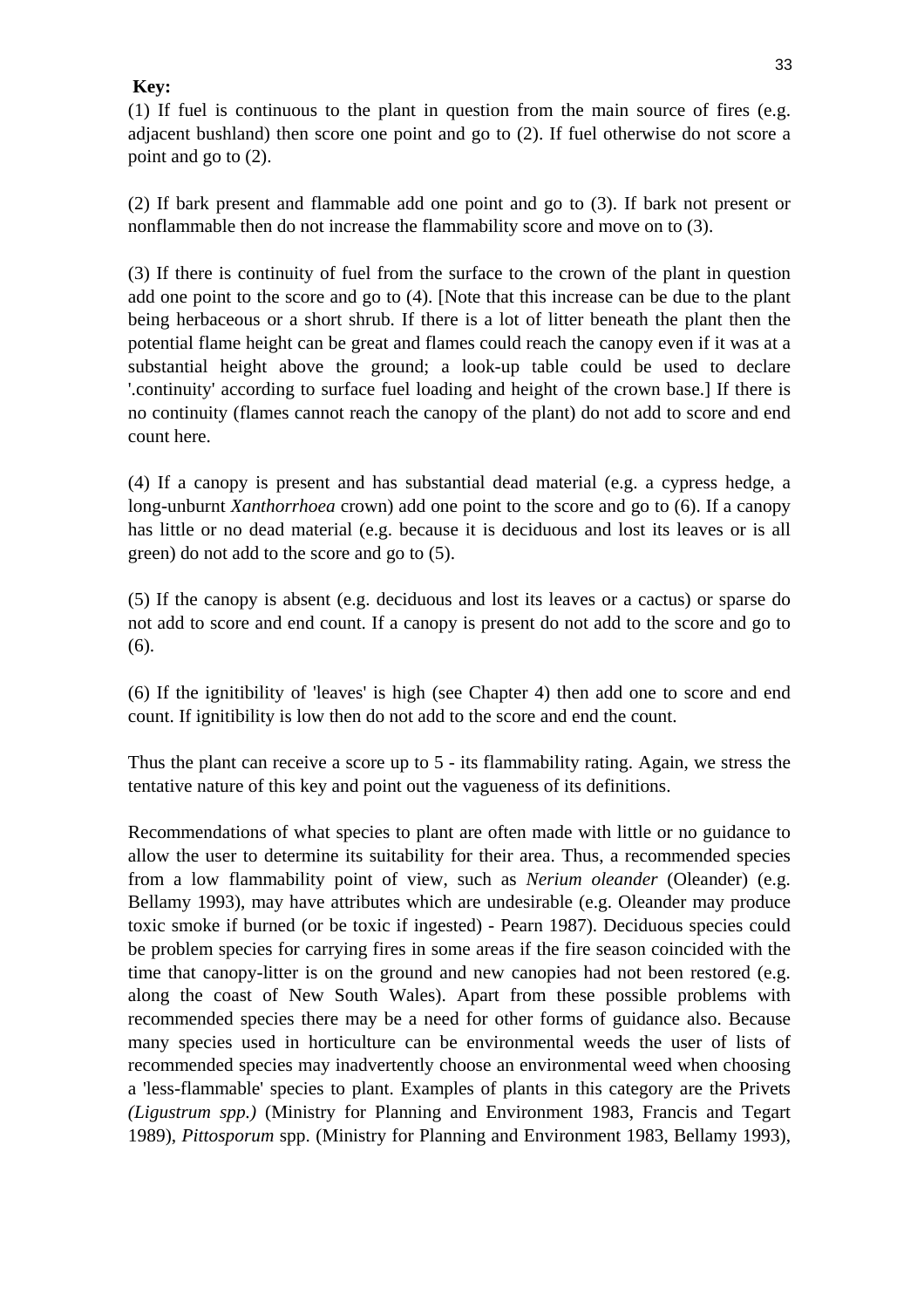# **Key:**

(1) If fuel is continuous to the plant in question from the main source of fires (e.g. adjacent bushland) then score one point and go to (2). If fuel otherwise do not score a point and go to (2).

(2) If bark present and flammable add one point and go to (3). If bark not present or nonflammable then do not increase the flammability score and move on to (3).

(3) If there is continuity of fuel from the surface to the crown of the plant in question add one point to the score and go to (4). [Note that this increase can be due to the plant being herbaceous or a short shrub. If there is a lot of litter beneath the plant then the potential flame height can be great and flames could reach the canopy even if it was at a substantial height above the ground; a look-up table could be used to declare '.continuity' according to surface fuel loading and height of the crown base.] If there is no continuity (flames cannot reach the canopy of the plant) do not add to score and end count here.

(4) If a canopy is present and has substantial dead material (e.g. a cypress hedge, a long-unburnt *Xanthorrhoea* crown) add one point to the score and go to (6). If a canopy has little or no dead material (e.g. because it is deciduous and lost its leaves or is all green) do not add to the score and go to (5).

(5) If the canopy is absent (e.g. deciduous and lost its leaves or a cactus) or sparse do not add to score and end count. If a canopy is present do not add to the score and go to (6).

(6) If the ignitibility of 'leaves' is high (see Chapter 4) then add one to score and end count. If ignitibility is low then do not add to the score and end the count.

Thus the plant can receive a score up to 5 - its flammability rating. Again, we stress the tentative nature of this key and point out the vagueness of its definitions.

Recommendations of what species to plant are often made with little or no guidance to allow the user to determine its suitability for their area. Thus, a recommended species from a low flammability point of view, such as *Nerium oleander* (Oleander) (e.g. Bellamy 1993), may have attributes which are undesirable (e.g. Oleander may produce toxic smoke if burned (or be toxic if ingested) - Pearn 1987). Deciduous species could be problem species for carrying fires in some areas if the fire season coincided with the time that canopy-litter is on the ground and new canopies had not been restored (e.g. along the coast of New South Wales). Apart from these possible problems with recommended species there may be a need for other forms of guidance also. Because many species used in horticulture can be environmental weeds the user of lists of recommended species may inadvertently choose an environmental weed when choosing a 'less-flammable' species to plant. Examples of plants in this category are the Privets *(Ligustrum spp.)* (Ministry for Planning and Environment 1983, Francis and Tegart 1989), *Pittosporum* spp. (Ministry for Planning and Environment 1983, Bellamy 1993),